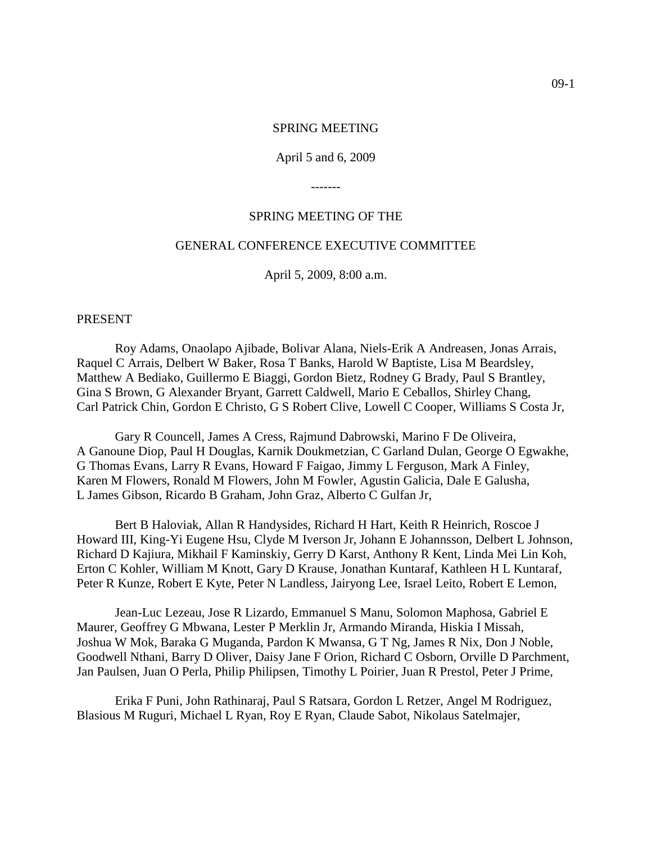#### SPRING MEETING

#### April 5 and 6, 2009

-------

### SPRING MEETING OF THE

## GENERAL CONFERENCE EXECUTIVE COMMITTEE

April 5, 2009, 8:00 a.m.

#### PRESENT

Roy Adams, Onaolapo Ajibade, Bolivar Alana, Niels-Erik A Andreasen, Jonas Arrais, Raquel C Arrais, Delbert W Baker, Rosa T Banks, Harold W Baptiste, Lisa M Beardsley, Matthew A Bediako, Guillermo E Biaggi, Gordon Bietz, Rodney G Brady, Paul S Brantley, Gina S Brown, G Alexander Bryant, Garrett Caldwell, Mario E Ceballos, Shirley Chang, Carl Patrick Chin, Gordon E Christo, G S Robert Clive, Lowell C Cooper, Williams S Costa Jr,

Gary R Councell, James A Cress, Rajmund Dabrowski, Marino F De Oliveira, A Ganoune Diop, Paul H Douglas, Karnik Doukmetzian, C Garland Dulan, George O Egwakhe, G Thomas Evans, Larry R Evans, Howard F Faigao, Jimmy L Ferguson, Mark A Finley, Karen M Flowers, Ronald M Flowers, John M Fowler, Agustin Galicia, Dale E Galusha, L James Gibson, Ricardo B Graham, John Graz, Alberto C Gulfan Jr,

Bert B Haloviak, Allan R Handysides, Richard H Hart, Keith R Heinrich, Roscoe J Howard III, King-Yi Eugene Hsu, Clyde M Iverson Jr, Johann E Johannsson, Delbert L Johnson, Richard D Kajiura, Mikhail F Kaminskiy, Gerry D Karst, Anthony R Kent, Linda Mei Lin Koh, Erton C Kohler, William M Knott, Gary D Krause, Jonathan Kuntaraf, Kathleen H L Kuntaraf, Peter R Kunze, Robert E Kyte, Peter N Landless, Jairyong Lee, Israel Leito, Robert E Lemon,

Jean-Luc Lezeau, Jose R Lizardo, Emmanuel S Manu, Solomon Maphosa, Gabriel E Maurer, Geoffrey G Mbwana, Lester P Merklin Jr, Armando Miranda, Hiskia I Missah, Joshua W Mok, Baraka G Muganda, Pardon K Mwansa, G T Ng, James R Nix, Don J Noble, Goodwell Nthani, Barry D Oliver, Daisy Jane F Orion, Richard C Osborn, Orville D Parchment, Jan Paulsen, Juan O Perla, Philip Philipsen, Timothy L Poirier, Juan R Prestol, Peter J Prime,

Erika F Puni, John Rathinaraj, Paul S Ratsara, Gordon L Retzer, Angel M Rodriguez, Blasious M Ruguri, Michael L Ryan, Roy E Ryan, Claude Sabot, Nikolaus Satelmajer,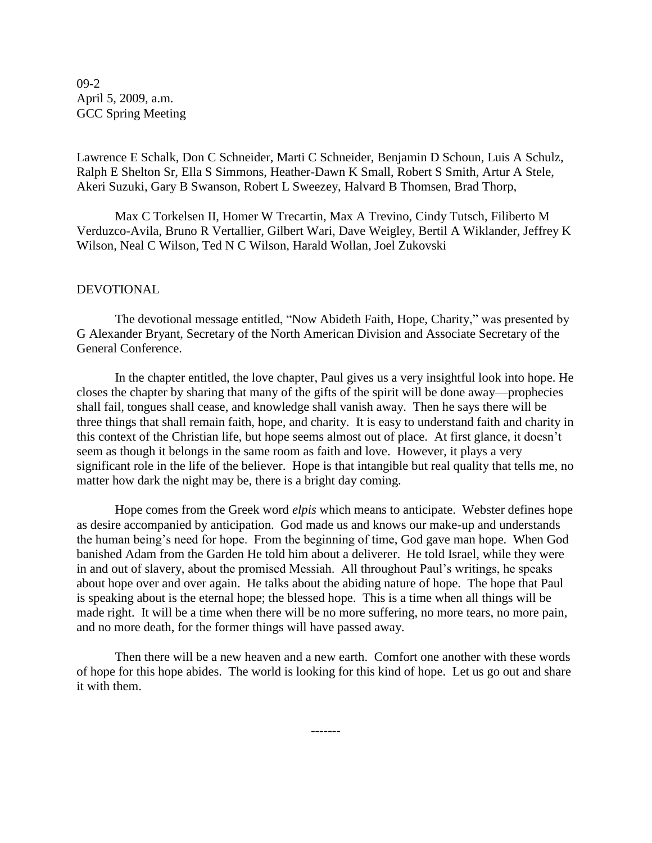09-2 April 5, 2009, a.m. GCC Spring Meeting

Lawrence E Schalk, Don C Schneider, Marti C Schneider, Benjamin D Schoun, Luis A Schulz, Ralph E Shelton Sr, Ella S Simmons, Heather-Dawn K Small, Robert S Smith, Artur A Stele, Akeri Suzuki, Gary B Swanson, Robert L Sweezey, Halvard B Thomsen, Brad Thorp,

Max C Torkelsen II, Homer W Trecartin, Max A Trevino, Cindy Tutsch, Filiberto M Verduzco-Avila, Bruno R Vertallier, Gilbert Wari, Dave Weigley, Bertil A Wiklander, Jeffrey K Wilson, Neal C Wilson, Ted N C Wilson, Harald Wollan, Joel Zukovski

### DEVOTIONAL

The devotional message entitled, "Now Abideth Faith, Hope, Charity," was presented by G Alexander Bryant, Secretary of the North American Division and Associate Secretary of the General Conference.

In the chapter entitled, the love chapter, Paul gives us a very insightful look into hope. He closes the chapter by sharing that many of the gifts of the spirit will be done away—prophecies shall fail, tongues shall cease, and knowledge shall vanish away. Then he says there will be three things that shall remain faith, hope, and charity. It is easy to understand faith and charity in this context of the Christian life, but hope seems almost out of place. At first glance, it doesn"t seem as though it belongs in the same room as faith and love. However, it plays a very significant role in the life of the believer. Hope is that intangible but real quality that tells me, no matter how dark the night may be, there is a bright day coming.

Hope comes from the Greek word *elpis* which means to anticipate. Webster defines hope as desire accompanied by anticipation. God made us and knows our make-up and understands the human being"s need for hope. From the beginning of time, God gave man hope. When God banished Adam from the Garden He told him about a deliverer. He told Israel, while they were in and out of slavery, about the promised Messiah. All throughout Paul"s writings, he speaks about hope over and over again. He talks about the abiding nature of hope. The hope that Paul is speaking about is the eternal hope; the blessed hope. This is a time when all things will be made right. It will be a time when there will be no more suffering, no more tears, no more pain, and no more death, for the former things will have passed away.

Then there will be a new heaven and a new earth. Comfort one another with these words of hope for this hope abides. The world is looking for this kind of hope. Let us go out and share it with them.

-------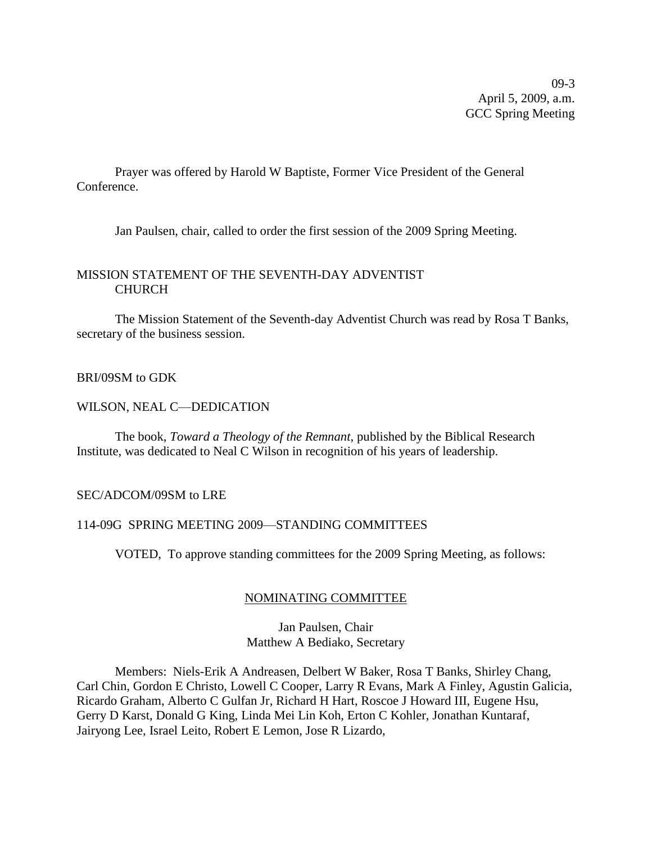09-3 April 5, 2009, a.m. GCC Spring Meeting

Prayer was offered by Harold W Baptiste, Former Vice President of the General Conference.

Jan Paulsen, chair, called to order the first session of the 2009 Spring Meeting.

## MISSION STATEMENT OF THE SEVENTH-DAY ADVENTIST **CHURCH**

The Mission Statement of the Seventh-day Adventist Church was read by Rosa T Banks, secretary of the business session.

## BRI/09SM to GDK

### WILSON, NEAL C—DEDICATION

The book, *Toward a Theology of the Remnant*, published by the Biblical Research Institute, was dedicated to Neal C Wilson in recognition of his years of leadership.

### SEC/ADCOM/09SM to LRE

### 114-09G SPRING MEETING 2009—STANDING COMMITTEES

VOTED, To approve standing committees for the 2009 Spring Meeting, as follows:

### NOMINATING COMMITTEE

Jan Paulsen, Chair Matthew A Bediako, Secretary

Members: Niels-Erik A Andreasen, Delbert W Baker, Rosa T Banks, Shirley Chang, Carl Chin, Gordon E Christo, Lowell C Cooper, Larry R Evans, Mark A Finley, Agustin Galicia, Ricardo Graham, Alberto C Gulfan Jr, Richard H Hart, Roscoe J Howard III, Eugene Hsu, Gerry D Karst, Donald G King, Linda Mei Lin Koh, Erton C Kohler, Jonathan Kuntaraf, Jairyong Lee, Israel Leito, Robert E Lemon, Jose R Lizardo,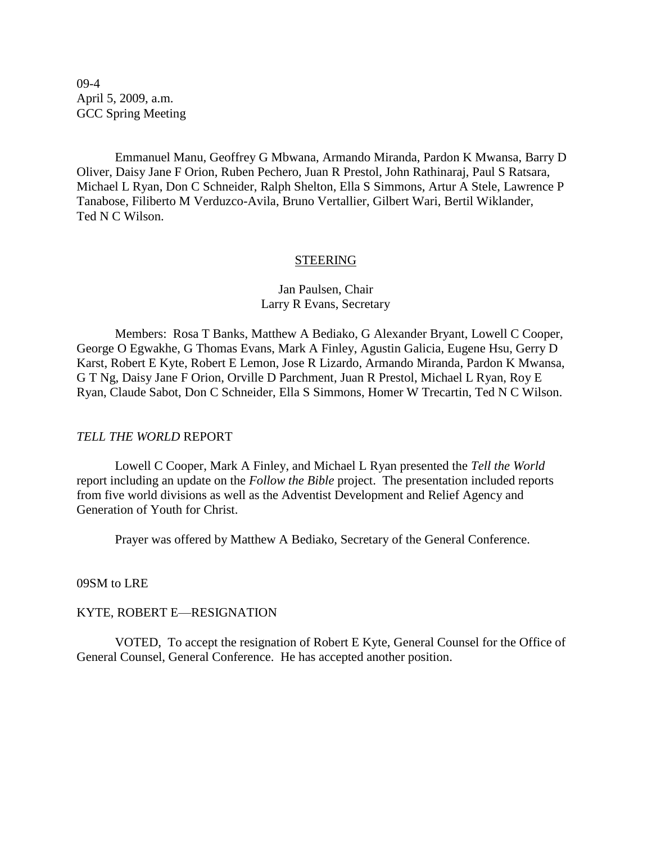09-4 April 5, 2009, a.m. GCC Spring Meeting

Emmanuel Manu, Geoffrey G Mbwana, Armando Miranda, Pardon K Mwansa, Barry D Oliver, Daisy Jane F Orion, Ruben Pechero, Juan R Prestol, John Rathinaraj, Paul S Ratsara, Michael L Ryan, Don C Schneider, Ralph Shelton, Ella S Simmons, Artur A Stele, Lawrence P Tanabose, Filiberto M Verduzco-Avila, Bruno Vertallier, Gilbert Wari, Bertil Wiklander, Ted N C Wilson.

### STEERING

## Jan Paulsen, Chair Larry R Evans, Secretary

Members: Rosa T Banks, Matthew A Bediako, G Alexander Bryant, Lowell C Cooper, George O Egwakhe, G Thomas Evans, Mark A Finley, Agustin Galicia, Eugene Hsu, Gerry D Karst, Robert E Kyte, Robert E Lemon, Jose R Lizardo, Armando Miranda, Pardon K Mwansa, G T Ng, Daisy Jane F Orion, Orville D Parchment, Juan R Prestol, Michael L Ryan, Roy E Ryan, Claude Sabot, Don C Schneider, Ella S Simmons, Homer W Trecartin, Ted N C Wilson.

## *TELL THE WORLD* REPORT

Lowell C Cooper, Mark A Finley, and Michael L Ryan presented the *Tell the World* report including an update on the *Follow the Bible* project. The presentation included reports from five world divisions as well as the Adventist Development and Relief Agency and Generation of Youth for Christ.

Prayer was offered by Matthew A Bediako, Secretary of the General Conference.

### 09SM to LRE

### KYTE, ROBERT E—RESIGNATION

VOTED, To accept the resignation of Robert E Kyte, General Counsel for the Office of General Counsel, General Conference. He has accepted another position.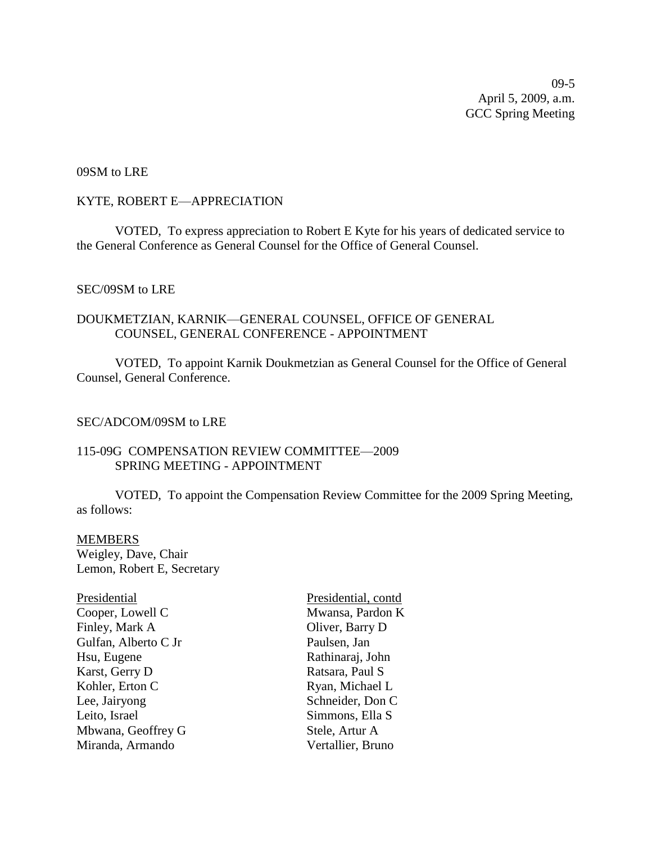09-5 April 5, 2009, a.m. GCC Spring Meeting

### 09SM to LRE

### KYTE, ROBERT E—APPRECIATION

VOTED, To express appreciation to Robert E Kyte for his years of dedicated service to the General Conference as General Counsel for the Office of General Counsel.

#### SEC/09SM to LRE

## DOUKMETZIAN, KARNIK—GENERAL COUNSEL, OFFICE OF GENERAL COUNSEL, GENERAL CONFERENCE - APPOINTMENT

VOTED, To appoint Karnik Doukmetzian as General Counsel for the Office of General Counsel, General Conference.

#### SEC/ADCOM/09SM to LRE

## 115-09G COMPENSATION REVIEW COMMITTEE—2009 SPRING MEETING - APPOINTMENT

VOTED, To appoint the Compensation Review Committee for the 2009 Spring Meeting, as follows:

#### **MEMBERS**

Weigley, Dave, Chair Lemon, Robert E, Secretary

| Presidential         | Presidential, contd |
|----------------------|---------------------|
| Cooper, Lowell C     | Mwansa, Pardon K    |
| Finley, Mark A       | Oliver, Barry D     |
| Gulfan, Alberto C Jr | Paulsen, Jan        |
| Hsu, Eugene          | Rathinaraj, John    |
| Karst, Gerry D       | Ratsara, Paul S     |
| Kohler, Erton C      | Ryan, Michael L     |
| Lee, Jairyong        | Schneider, Don C    |
| Leito, Israel        | Simmons, Ella S     |
| Mbwana, Geoffrey G   | Stele, Artur A      |
| Miranda, Armando     | Vertallier, Bruno   |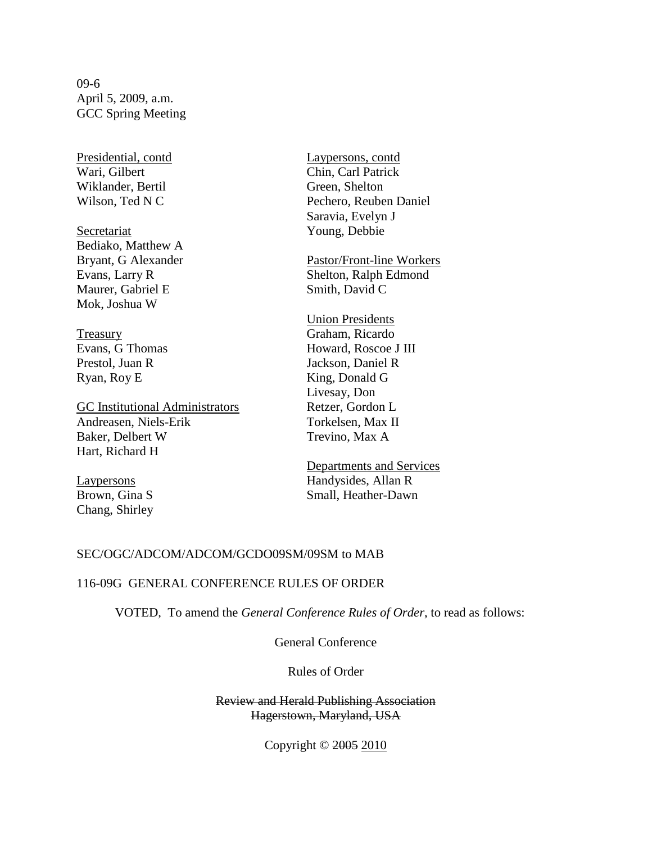09-6 April 5, 2009, a.m. GCC Spring Meeting

Presidential, contd Laypersons, contd Wari, Gilbert Chin, Carl Patrick Wiklander, Bertil Green, Shelton

Secretariat Young, Debbie Bediako, Matthew A Maurer, Gabriel E Smith, David C Mok, Joshua W

Ryan, Roy E King, Donald G

GC Institutional Administrators Retzer, Gordon L Andreasen, Niels-Erik Torkelsen, Max II Baker, Delbert W Trevino, Max A Hart, Richard H

Chang, Shirley

Wilson, Ted N C Pechero, Reuben Daniel Saravia, Evelyn J

Bryant, G Alexander Pastor/Front-line Workers Evans, Larry R Shelton, Ralph Edmond

Union Presidents Treasury Graham, Ricardo<br>Evans, G Thomas Howard, Roscoe . Howard, Roscoe J III Prestol, Juan R Jackson, Daniel R Livesay, Don

Departments and Services Laypersons Handysides, Allan R Brown, Gina S<br>
Small, Heather-Dawn

#### SEC/OGC/ADCOM/ADCOM/GCDO09SM/09SM to MAB

#### 116-09G GENERAL CONFERENCE RULES OF ORDER

VOTED, To amend the *General Conference Rules of Order*, to read as follows:

General Conference

Rules of Order

Review and Herald Publishing Association Hagerstown, Maryland, USA

Copyright © 2005 2010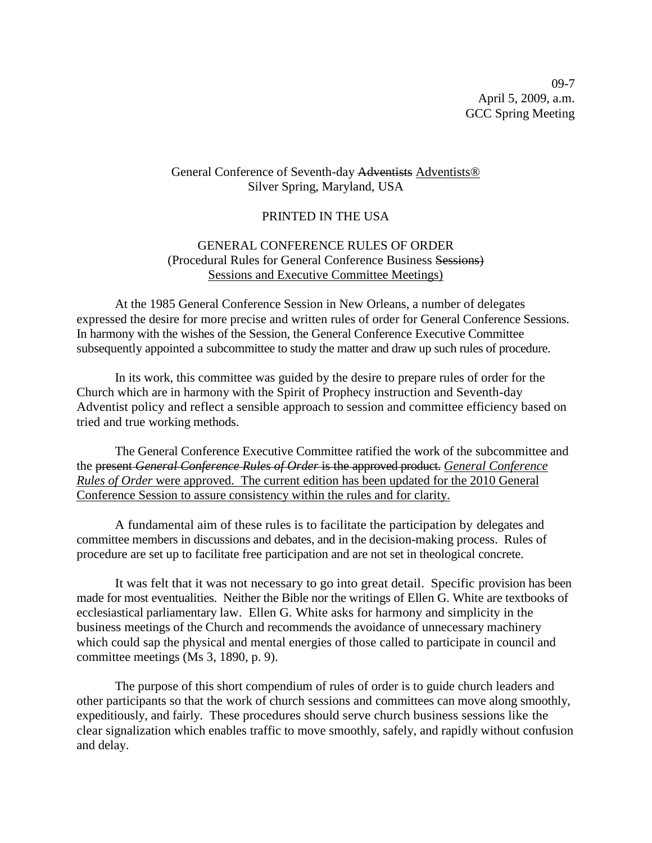09-7 April 5, 2009, a.m. GCC Spring Meeting

## General Conference of Seventh-day Adventists Adventists<sup>®</sup> Silver Spring, Maryland, USA

### PRINTED IN THE USA

## GENERAL CONFERENCE RULES OF ORDER (Procedural Rules for General Conference Business Sessions) Sessions and Executive Committee Meetings)

At the 1985 General Conference Session in New Orleans, a number of delegates expressed the desire for more precise and written rules of order for General Conference Sessions. In harmony with the wishes of the Session, the General Conference Executive Committee subsequently appointed a subcommittee to study the matter and draw up such rules of procedure.

In its work, this committee was guided by the desire to prepare rules of order for the Church which are in harmony with the Spirit of Prophecy instruction and Seventh-day Adventist policy and reflect a sensible approach to session and committee efficiency based on tried and true working methods.

The General Conference Executive Committee ratified the work of the subcommittee and the present *General Conference Rules of Order* is the approved product. *General Conference Rules of Order* were approved. The current edition has been updated for the 2010 General Conference Session to assure consistency within the rules and for clarity.

A fundamental aim of these rules is to facilitate the participation by delegates and committee members in discussions and debates, and in the decision-making process. Rules of procedure are set up to facilitate free participation and are not set in theological concrete.

It was felt that it was not necessary to go into great detail. Specific provision has been made for most eventualities. Neither the Bible nor the writings of Ellen G. White are textbooks of ecclesiastical parliamentary law. Ellen G. White asks for harmony and simplicity in the business meetings of the Church and recommends the avoidance of unnecessary machinery which could sap the physical and mental energies of those called to participate in council and committee meetings (Ms 3, 1890, p. 9).

The purpose of this short compendium of rules of order is to guide church leaders and other participants so that the work of church sessions and committees can move along smoothly, expeditiously, and fairly. These procedures should serve church business sessions like the clear signalization which enables traffic to move smoothly, safely, and rapidly without confusion and delay.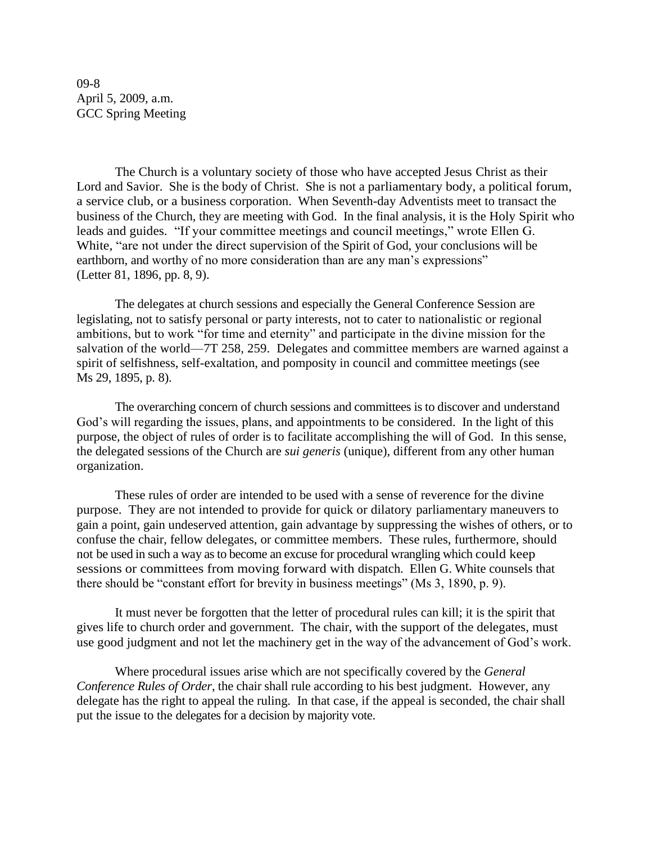09-8 April 5, 2009, a.m. GCC Spring Meeting

The Church is a voluntary society of those who have accepted Jesus Christ as their Lord and Savior. She is the body of Christ. She is not a parliamentary body, a political forum, a service club, or a business corporation. When Seventh-day Adventists meet to transact the business of the Church, they are meeting with God. In the final analysis, it is the Holy Spirit who leads and guides. "If your committee meetings and council meetings," wrote Ellen G. White, "are not under the direct supervision of the Spirit of God, your conclusions will be earthborn, and worthy of no more consideration than are any man's expressions" (Letter 81, 1896, pp. 8, 9).

The delegates at church sessions and especially the General Conference Session are legislating, not to satisfy personal or party interests, not to cater to nationalistic or regional ambitions, but to work "for time and eternity" and participate in the divine mission for the salvation of the world—7T 258, 259. Delegates and committee members are warned against a spirit of selfishness, self-exaltation, and pomposity in council and committee meetings (see Ms 29, 1895, p. 8).

The overarching concern of church sessions and committees is to discover and understand God's will regarding the issues, plans, and appointments to be considered. In the light of this purpose, the object of rules of order is to facilitate accomplishing the will of God. In this sense, the delegated sessions of the Church are *sui generis* (unique), different from any other human organization.

These rules of order are intended to be used with a sense of reverence for the divine purpose. They are not intended to provide for quick or dilatory parliamentary maneuvers to gain a point, gain undeserved attention, gain advantage by suppressing the wishes of others, or to confuse the chair, fellow delegates, or committee members. These rules, furthermore, should not be used in such a way as to become an excuse for procedural wrangling which could keep sessions or committees from moving forward with dispatch. Ellen G. White counsels that there should be "constant effort for brevity in business meetings" (Ms 3, 1890, p. 9).

It must never be forgotten that the letter of procedural rules can kill; it is the spirit that gives life to church order and government. The chair, with the support of the delegates, must use good judgment and not let the machinery get in the way of the advancement of God"s work.

Where procedural issues arise which are not specifically covered by the *General Conference Rules of Order*, the chair shall rule according to his best judgment. However, any delegate has the right to appeal the ruling. In that case, if the appeal is seconded, the chair shall put the issue to the delegates for a decision by majority vote.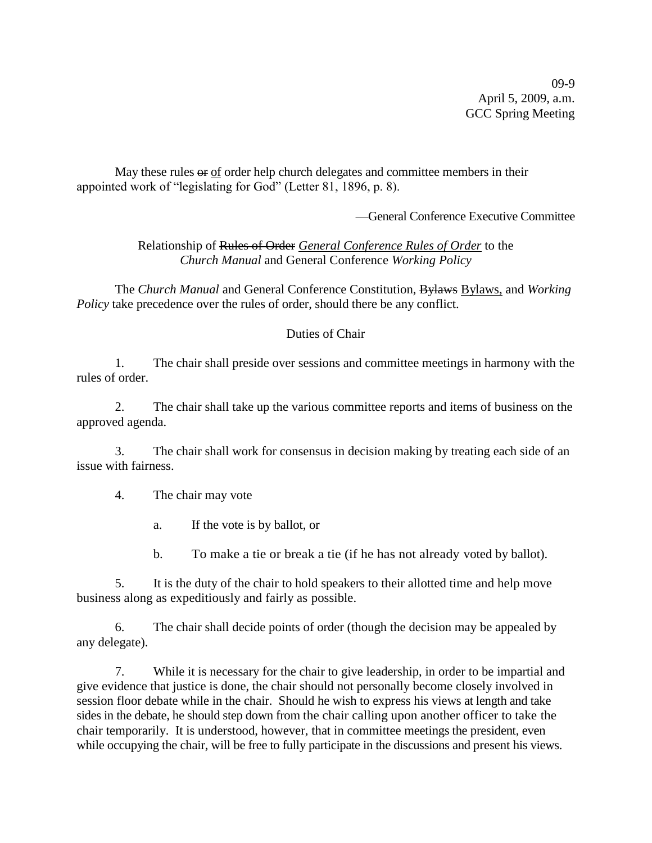09-9 April 5, 2009, a.m. GCC Spring Meeting

May these rules  $\Theta$  of order help church delegates and committee members in their appointed work of "legislating for God" (Letter 81, 1896, p. 8).

—General Conference Executive Committee

Relationship of Rules of Order *General Conference Rules of Order* to the *Church Manual* and General Conference *Working Policy*

The *Church Manual* and General Conference Constitution, Bylaws Bylaws, and *Working Policy* take precedence over the rules of order, should there be any conflict.

## Duties of Chair

1. The chair shall preside over sessions and committee meetings in harmony with the rules of order.

2. The chair shall take up the various committee reports and items of business on the approved agenda.

3. The chair shall work for consensus in decision making by treating each side of an issue with fairness.

4. The chair may vote

- a. If the vote is by ballot, or
- b. To make a tie or break a tie (if he has not already voted by ballot).

5. It is the duty of the chair to hold speakers to their allotted time and help move business along as expeditiously and fairly as possible.

6. The chair shall decide points of order (though the decision may be appealed by any delegate).

7. While it is necessary for the chair to give leadership, in order to be impartial and give evidence that justice is done, the chair should not personally become closely involved in session floor debate while in the chair. Should he wish to express his views at length and take sides in the debate, he should step down from the chair calling upon another officer to take the chair temporarily. It is understood, however, that in committee meetings the president, even while occupying the chair, will be free to fully participate in the discussions and present his views.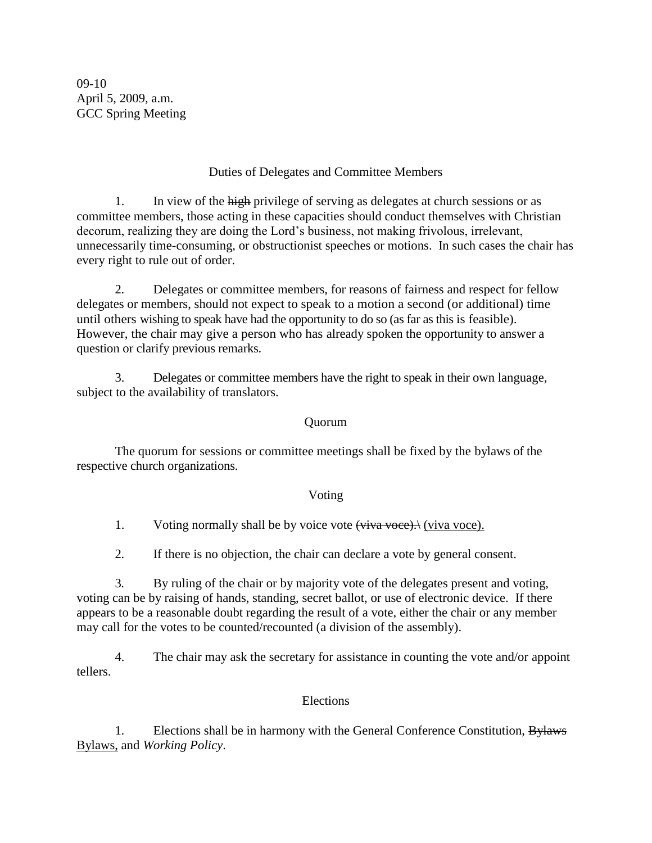09-10 April 5, 2009, a.m. GCC Spring Meeting

## Duties of Delegates and Committee Members

1. In view of the high privilege of serving as delegates at church sessions or as committee members, those acting in these capacities should conduct themselves with Christian decorum, realizing they are doing the Lord"s business, not making frivolous, irrelevant, unnecessarily time-consuming, or obstructionist speeches or motions. In such cases the chair has every right to rule out of order.

2. Delegates or committee members, for reasons of fairness and respect for fellow delegates or members, should not expect to speak to a motion a second (or additional) time until others wishing to speak have had the opportunity to do so (as far as this is feasible). However, the chair may give a person who has already spoken the opportunity to answer a question or clarify previous remarks.

3. Delegates or committee members have the right to speak in their own language, subject to the availability of translators.

## Quorum

The quorum for sessions or committee meetings shall be fixed by the bylaws of the respective church organizations.

## Voting

1. Voting normally shall be by voice vote  $(\forall i \forall a \forall a \forall b \in A)$ . (viva voce).

2. If there is no objection, the chair can declare a vote by general consent.

3. By ruling of the chair or by majority vote of the delegates present and voting, voting can be by raising of hands, standing, secret ballot, or use of electronic device. If there appears to be a reasonable doubt regarding the result of a vote, either the chair or any member may call for the votes to be counted/recounted (a division of the assembly).

4. The chair may ask the secretary for assistance in counting the vote and/or appoint tellers.

## Elections

1. Elections shall be in harmony with the General Conference Constitution, Bylaws Bylaws, and *Working Policy*.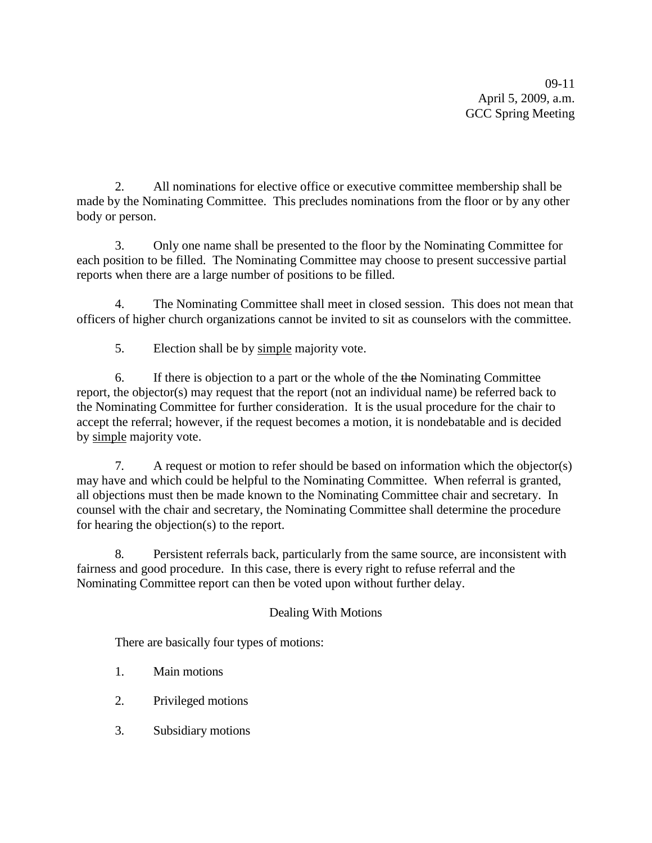09-11 April 5, 2009, a.m. GCC Spring Meeting

2. All nominations for elective office or executive committee membership shall be made by the Nominating Committee. This precludes nominations from the floor or by any other body or person.

3. Only one name shall be presented to the floor by the Nominating Committee for each position to be filled. The Nominating Committee may choose to present successive partial reports when there are a large number of positions to be filled.

4. The Nominating Committee shall meet in closed session. This does not mean that officers of higher church organizations cannot be invited to sit as counselors with the committee.

5. Election shall be by simple majority vote.

6. If there is objection to a part or the whole of the the Nominating Committee report, the objector(s) may request that the report (not an individual name) be referred back to the Nominating Committee for further consideration. It is the usual procedure for the chair to accept the referral; however, if the request becomes a motion, it is nondebatable and is decided by simple majority vote.

7. A request or motion to refer should be based on information which the objector(s) may have and which could be helpful to the Nominating Committee. When referral is granted, all objections must then be made known to the Nominating Committee chair and secretary. In counsel with the chair and secretary, the Nominating Committee shall determine the procedure for hearing the objection(s) to the report.

8. Persistent referrals back, particularly from the same source, are inconsistent with fairness and good procedure. In this case, there is every right to refuse referral and the Nominating Committee report can then be voted upon without further delay.

## Dealing With Motions

There are basically four types of motions:

- 1. Main motions
- 2. Privileged motions
- 3. Subsidiary motions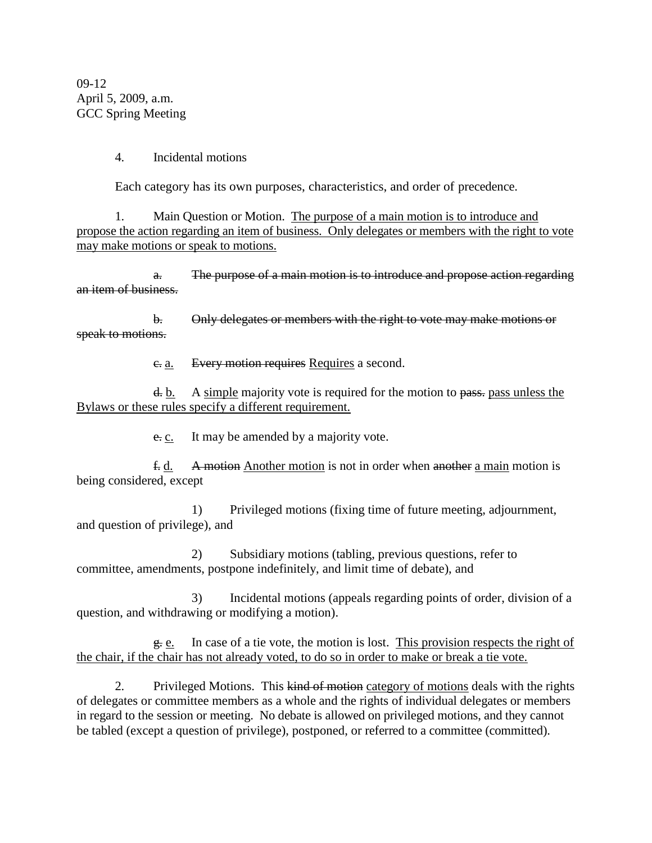09-12 April 5, 2009, a.m. GCC Spring Meeting

4. Incidental motions

Each category has its own purposes, characteristics, and order of precedence.

1. Main Question or Motion. The purpose of a main motion is to introduce and propose the action regarding an item of business. Only delegates or members with the right to vote may make motions or speak to motions.

a. The purpose of a main motion is to introduce and propose action regarding an item of business.

b. Only delegates or members with the right to vote may make motions or speak to motions.

c. a. Every motion requires Requires a second.

 $\frac{d}{dx}$  b. A simple majority vote is required for the motion to pass. pass unless the Bylaws or these rules specify a different requirement.

 $e, c$ . It may be amended by a majority vote.

f. d. A motion Another motion is not in order when another a main motion is being considered, except

1) Privileged motions (fixing time of future meeting, adjournment, and question of privilege), and

2) Subsidiary motions (tabling, previous questions, refer to committee, amendments, postpone indefinitely, and limit time of debate), and

3) Incidental motions (appeals regarding points of order, division of a question, and withdrawing or modifying a motion).

 $g$ . In case of a tie vote, the motion is lost. This provision respects the right of the chair, if the chair has not already voted, to do so in order to make or break a tie vote.

2. Privileged Motions. This kind of motion category of motions deals with the rights of delegates or committee members as a whole and the rights of individual delegates or members in regard to the session or meeting. No debate is allowed on privileged motions, and they cannot be tabled (except a question of privilege), postponed, or referred to a committee (committed).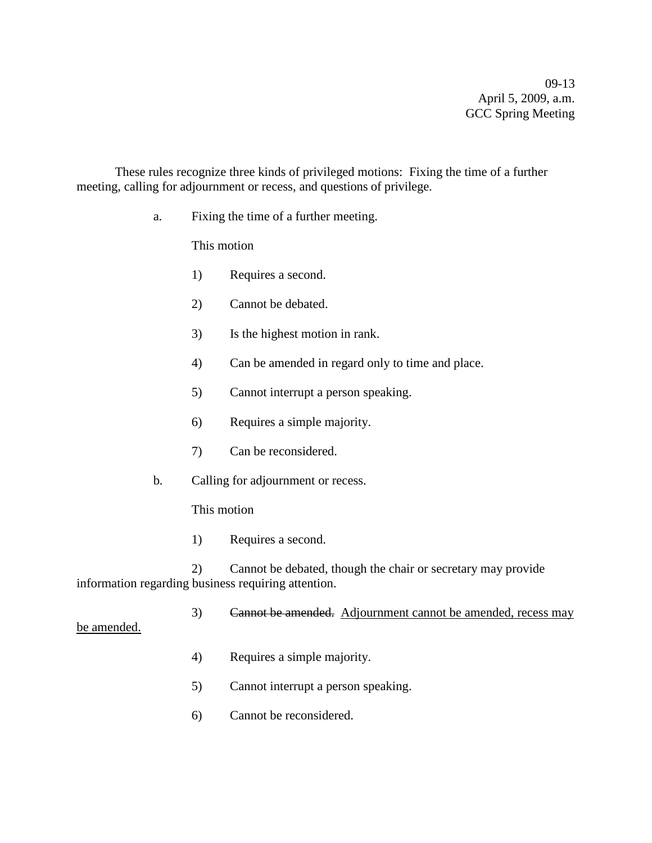09-13 April 5, 2009, a.m. GCC Spring Meeting

These rules recognize three kinds of privileged motions: Fixing the time of a further meeting, calling for adjournment or recess, and questions of privilege.

a. Fixing the time of a further meeting.

This motion

- 1) Requires a second.
- 2) Cannot be debated.
- 3) Is the highest motion in rank.
- 4) Can be amended in regard only to time and place.
- 5) Cannot interrupt a person speaking.
- 6) Requires a simple majority.
- 7) Can be reconsidered.
- b. Calling for adjournment or recess.

## This motion

1) Requires a second.

2) Cannot be debated, though the chair or secretary may provide information regarding business requiring attention.

3) Cannot be amended. Adjournment cannot be amended, recess may

be amended.

- 4) Requires a simple majority.
- 5) Cannot interrupt a person speaking.
- 6) Cannot be reconsidered.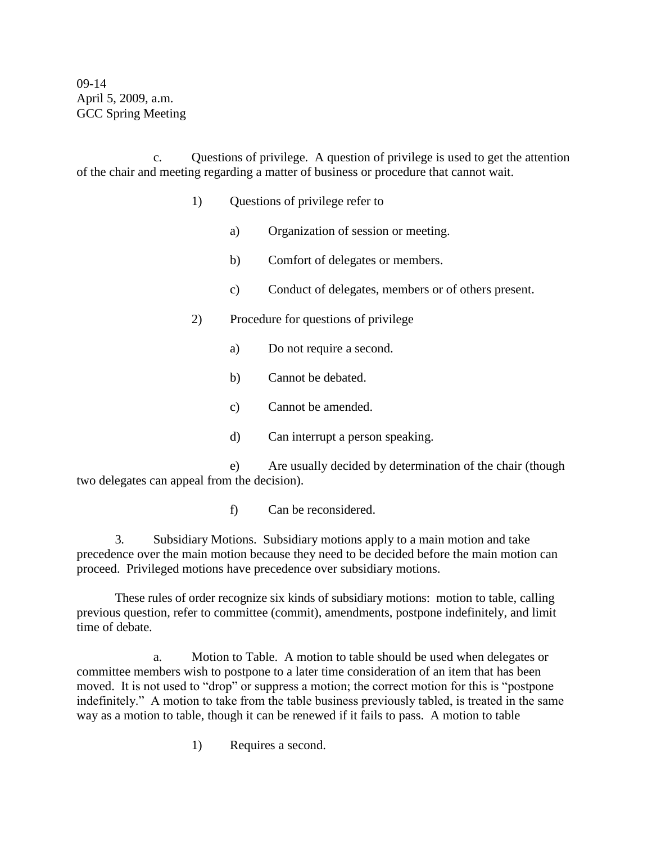09-14 April 5, 2009, a.m. GCC Spring Meeting

c. Questions of privilege. A question of privilege is used to get the attention of the chair and meeting regarding a matter of business or procedure that cannot wait.

- 1) Questions of privilege refer to
	- a) Organization of session or meeting.
	- b) Comfort of delegates or members.
	- c) Conduct of delegates, members or of others present.
- 2) Procedure for questions of privilege
	- a) Do not require a second.
	- b) Cannot be debated.
	- c) Cannot be amended.
	- d) Can interrupt a person speaking.

e) Are usually decided by determination of the chair (though two delegates can appeal from the decision).

f) Can be reconsidered.

3. Subsidiary Motions. Subsidiary motions apply to a main motion and take precedence over the main motion because they need to be decided before the main motion can proceed. Privileged motions have precedence over subsidiary motions.

These rules of order recognize six kinds of subsidiary motions: motion to table, calling previous question, refer to committee (commit), amendments, postpone indefinitely, and limit time of debate.

a. Motion to Table. A motion to table should be used when delegates or committee members wish to postpone to a later time consideration of an item that has been moved. It is not used to "drop" or suppress a motion; the correct motion for this is "postpone indefinitely." A motion to take from the table business previously tabled, is treated in the same way as a motion to table, though it can be renewed if it fails to pass. A motion to table

1) Requires a second.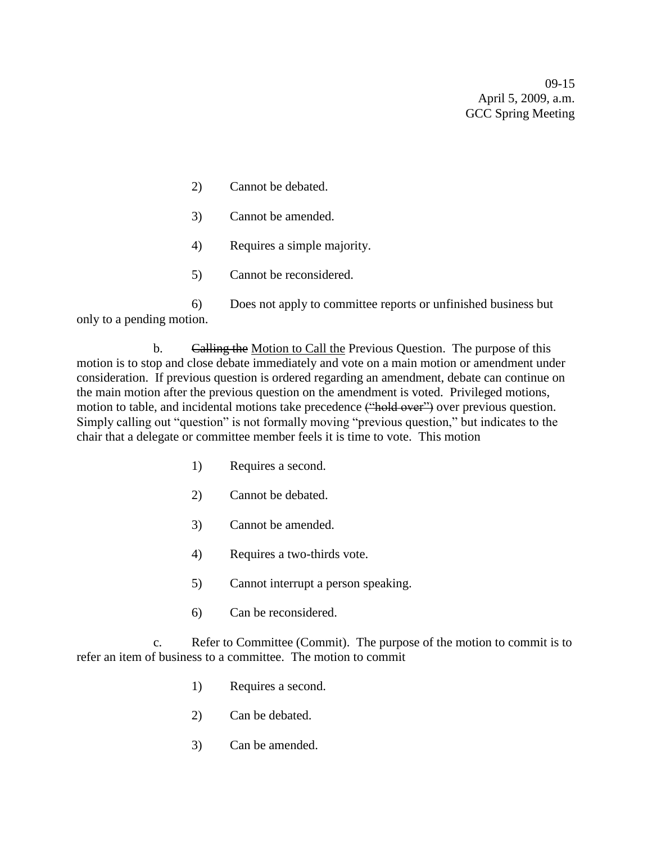09-15 April 5, 2009, a.m. GCC Spring Meeting

- 2) Cannot be debated.
- 3) Cannot be amended.
- 4) Requires a simple majority.
- 5) Cannot be reconsidered.

6) Does not apply to committee reports or unfinished business but only to a pending motion.

b. Calling the Motion to Call the Previous Question. The purpose of this motion is to stop and close debate immediately and vote on a main motion or amendment under consideration. If previous question is ordered regarding an amendment, debate can continue on the main motion after the previous question on the amendment is voted. Privileged motions, motion to table, and incidental motions take precedence ("hold over") over previous question. Simply calling out "question" is not formally moving "previous question," but indicates to the chair that a delegate or committee member feels it is time to vote. This motion

- 1) Requires a second.
- 2) Cannot be debated.
- 3) Cannot be amended.
- 4) Requires a two-thirds vote.
- 5) Cannot interrupt a person speaking.
- 6) Can be reconsidered.

c. Refer to Committee (Commit). The purpose of the motion to commit is to refer an item of business to a committee. The motion to commit

- 1) Requires a second.
- 2) Can be debated.
- 3) Can be amended.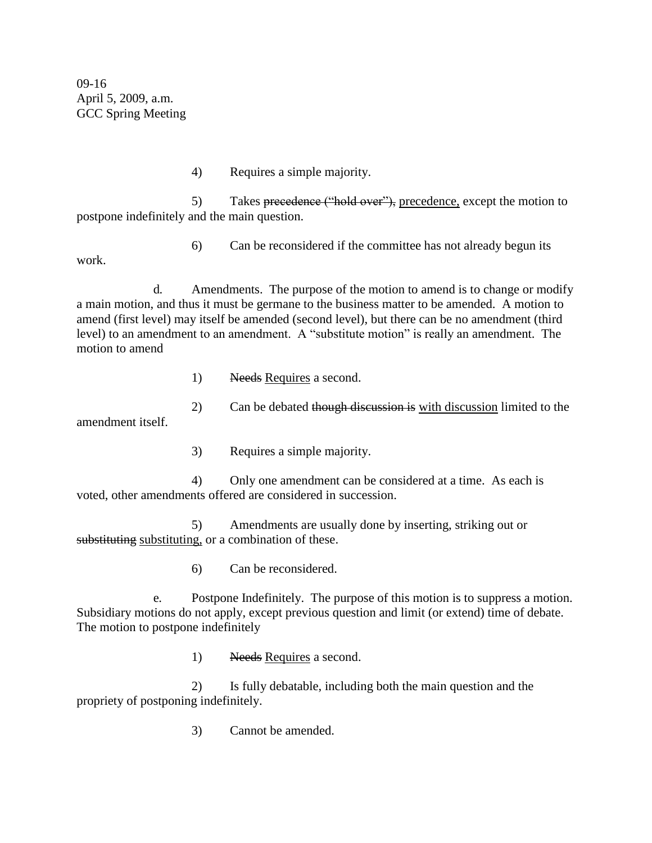09-16 April 5, 2009, a.m. GCC Spring Meeting

4) Requires a simple majority.

5) Takes precedence ("hold over"), precedence, except the motion to postpone indefinitely and the main question.

work.

6) Can be reconsidered if the committee has not already begun its

d. Amendments. The purpose of the motion to amend is to change or modify a main motion, and thus it must be germane to the business matter to be amended. A motion to amend (first level) may itself be amended (second level), but there can be no amendment (third level) to an amendment to an amendment. A "substitute motion" is really an amendment. The motion to amend

1) Needs Requires a second.

2) Can be debated though discussion is with discussion limited to the

amendment itself.

3) Requires a simple majority.

4) Only one amendment can be considered at a time. As each is voted, other amendments offered are considered in succession.

5) Amendments are usually done by inserting, striking out or substituting substituting, or a combination of these.

6) Can be reconsidered.

e. Postpone Indefinitely. The purpose of this motion is to suppress a motion. Subsidiary motions do not apply, except previous question and limit (or extend) time of debate. The motion to postpone indefinitely

1) Needs Requires a second.

2) Is fully debatable, including both the main question and the propriety of postponing indefinitely.

3) Cannot be amended.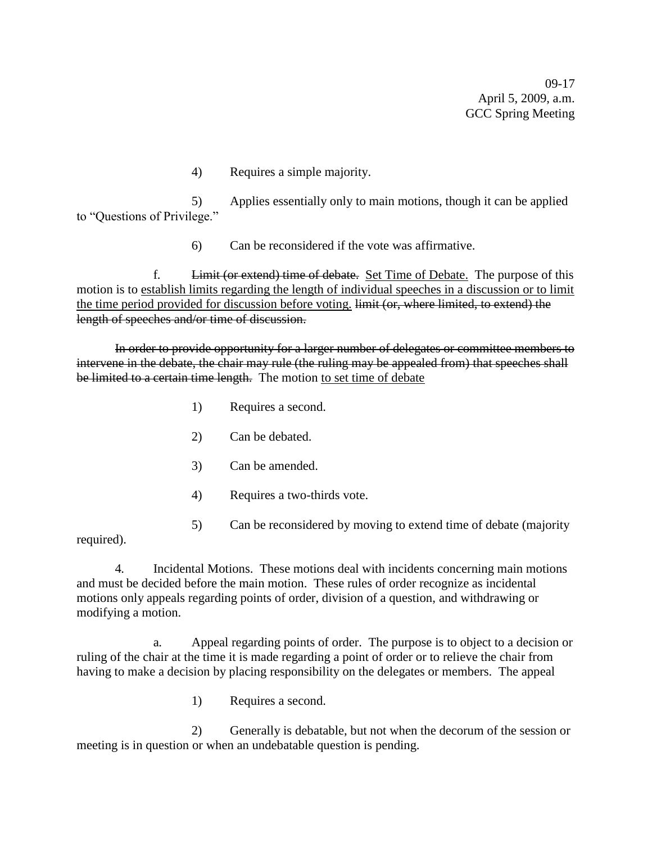09-17 April 5, 2009, a.m. GCC Spring Meeting

4) Requires a simple majority.

5) Applies essentially only to main motions, though it can be applied to "Questions of Privilege."

6) Can be reconsidered if the vote was affirmative.

f. Limit (or extend) time of debate. Set Time of Debate. The purpose of this motion is to establish limits regarding the length of individual speeches in a discussion or to limit the time period provided for discussion before voting. limit (or, where limited, to extend) the length of speeches and/or time of discussion.

In order to provide opportunity for a larger number of delegates or committee members to intervene in the debate, the chair may rule (the ruling may be appealed from) that speeches shall be limited to a certain time length. The motion to set time of debate

- 1) Requires a second.
- 2) Can be debated.
- 3) Can be amended.
- 4) Requires a two-thirds vote.
- 5) Can be reconsidered by moving to extend time of debate (majority

required).

4. Incidental Motions. These motions deal with incidents concerning main motions and must be decided before the main motion. These rules of order recognize as incidental motions only appeals regarding points of order, division of a question, and withdrawing or modifying a motion.

a. Appeal regarding points of order. The purpose is to object to a decision or ruling of the chair at the time it is made regarding a point of order or to relieve the chair from having to make a decision by placing responsibility on the delegates or members. The appeal

1) Requires a second.

2) Generally is debatable, but not when the decorum of the session or meeting is in question or when an undebatable question is pending.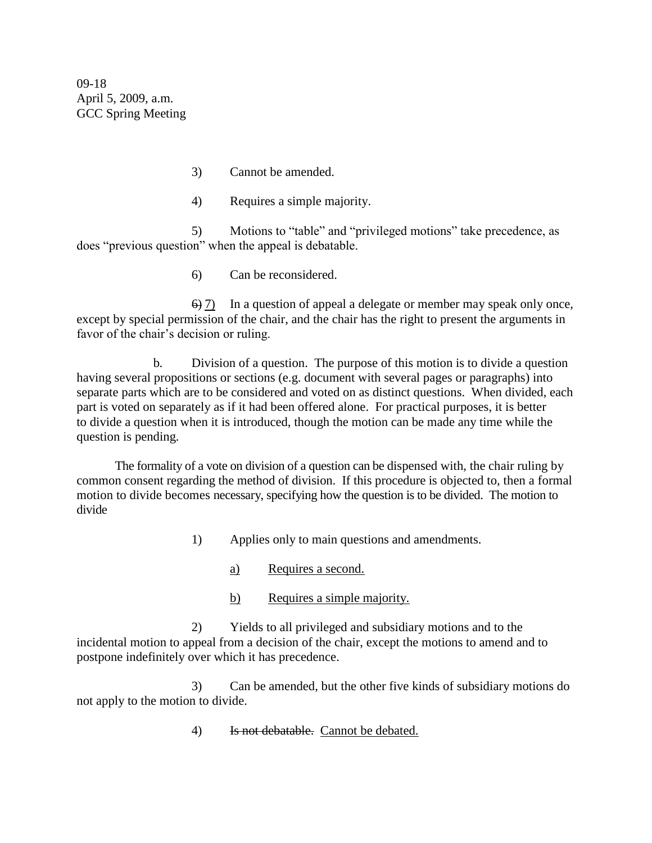09-18 April 5, 2009, a.m. GCC Spring Meeting

- 3) Cannot be amended.
- 4) Requires a simple majority.

5) Motions to "table" and "privileged motions" take precedence, as does "previous question" when the appeal is debatable.

6) Can be reconsidered.

 $\leftrightarrow$  7) In a question of appeal a delegate or member may speak only once, except by special permission of the chair, and the chair has the right to present the arguments in favor of the chair's decision or ruling.

b. Division of a question. The purpose of this motion is to divide a question having several propositions or sections (e.g. document with several pages or paragraphs) into separate parts which are to be considered and voted on as distinct questions. When divided, each part is voted on separately as if it had been offered alone. For practical purposes, it is better to divide a question when it is introduced, though the motion can be made any time while the question is pending.

The formality of a vote on division of a question can be dispensed with, the chair ruling by common consent regarding the method of division. If this procedure is objected to, then a formal motion to divide becomes necessary, specifying how the question is to be divided. The motion to divide

- 1) Applies only to main questions and amendments.
	- a) Requires a second.
	- b) Requires a simple majority.

2) Yields to all privileged and subsidiary motions and to the incidental motion to appeal from a decision of the chair, except the motions to amend and to postpone indefinitely over which it has precedence.

3) Can be amended, but the other five kinds of subsidiary motions do not apply to the motion to divide.

4) **Is not debatable.** Cannot be debated.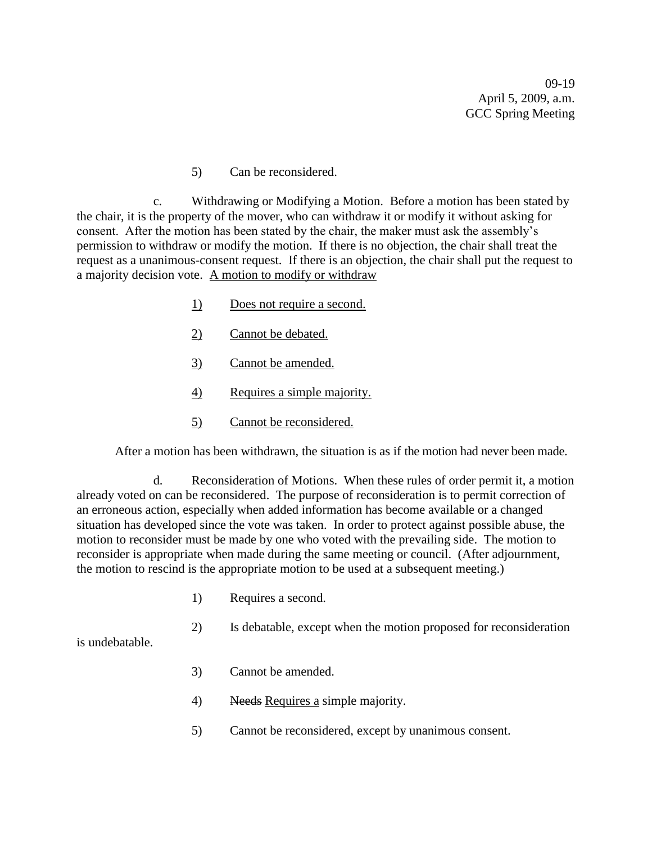09-19 April 5, 2009, a.m. GCC Spring Meeting

### 5) Can be reconsidered.

c. Withdrawing or Modifying a Motion. Before a motion has been stated by the chair, it is the property of the mover, who can withdraw it or modify it without asking for consent. After the motion has been stated by the chair, the maker must ask the assembly"s permission to withdraw or modify the motion. If there is no objection, the chair shall treat the request as a unanimous-consent request. If there is an objection, the chair shall put the request to a majority decision vote. A motion to modify or withdraw

- 1) Does not require a second.
- 2) Cannot be debated.
- 3) Cannot be amended.
- 4) Requires a simple majority.
- 5) Cannot be reconsidered.

After a motion has been withdrawn, the situation is as if the motion had never been made.

d. Reconsideration of Motions. When these rules of order permit it, a motion already voted on can be reconsidered. The purpose of reconsideration is to permit correction of an erroneous action, especially when added information has become available or a changed situation has developed since the vote was taken. In order to protect against possible abuse, the motion to reconsider must be made by one who voted with the prevailing side. The motion to reconsider is appropriate when made during the same meeting or council. (After adjournment, the motion to rescind is the appropriate motion to be used at a subsequent meeting.)

- 1) Requires a second.
- 2) Is debatable, except when the motion proposed for reconsideration

is undebatable.

- 3) Cannot be amended.
- 4) Needs Requires a simple majority.
- 5) Cannot be reconsidered, except by unanimous consent.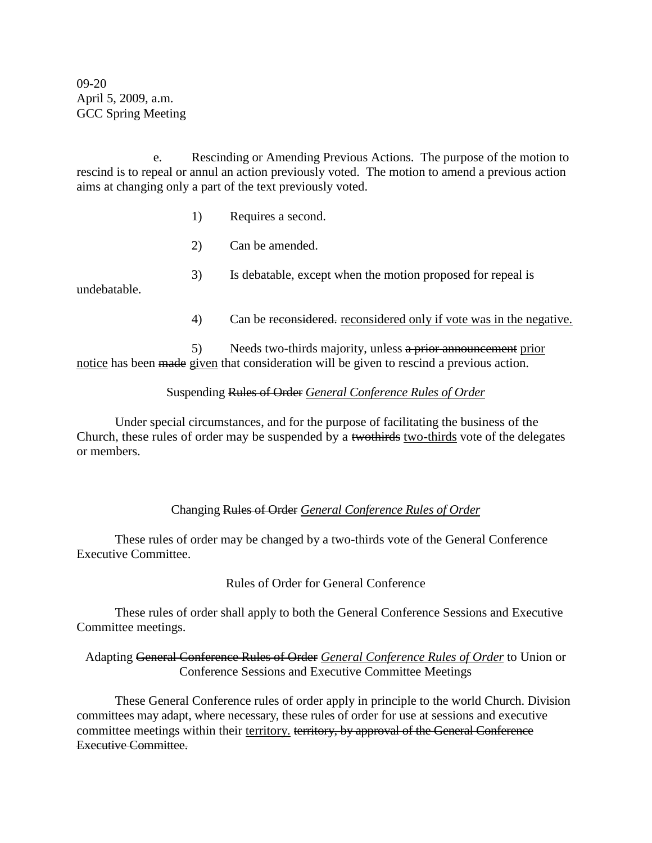09-20 April 5, 2009, a.m. GCC Spring Meeting

e. Rescinding or Amending Previous Actions. The purpose of the motion to rescind is to repeal or annul an action previously voted. The motion to amend a previous action aims at changing only a part of the text previously voted.

- 1) Requires a second.
- 2) Can be amended.
- 3) Is debatable, except when the motion proposed for repeal is

undebatable.

4) Can be reconsidered. reconsidered only if vote was in the negative.

5) Needs two-thirds majority, unless a prior announcement prior notice has been made given that consideration will be given to rescind a previous action.

## Suspending Rules of Order *General Conference Rules of Order*

Under special circumstances, and for the purpose of facilitating the business of the Church, these rules of order may be suspended by a twothirds two-thirds vote of the delegates or members.

## Changing Rules of Order *General Conference Rules of Order*

These rules of order may be changed by a two-thirds vote of the General Conference Executive Committee.

Rules of Order for General Conference

These rules of order shall apply to both the General Conference Sessions and Executive Committee meetings.

Adapting General Conference Rules of Order *General Conference Rules of Order* to Union or Conference Sessions and Executive Committee Meetings

These General Conference rules of order apply in principle to the world Church. Division committees may adapt, where necessary, these rules of order for use at sessions and executive committee meetings within their territory. territory, by approval of the General Conference Executive Committee.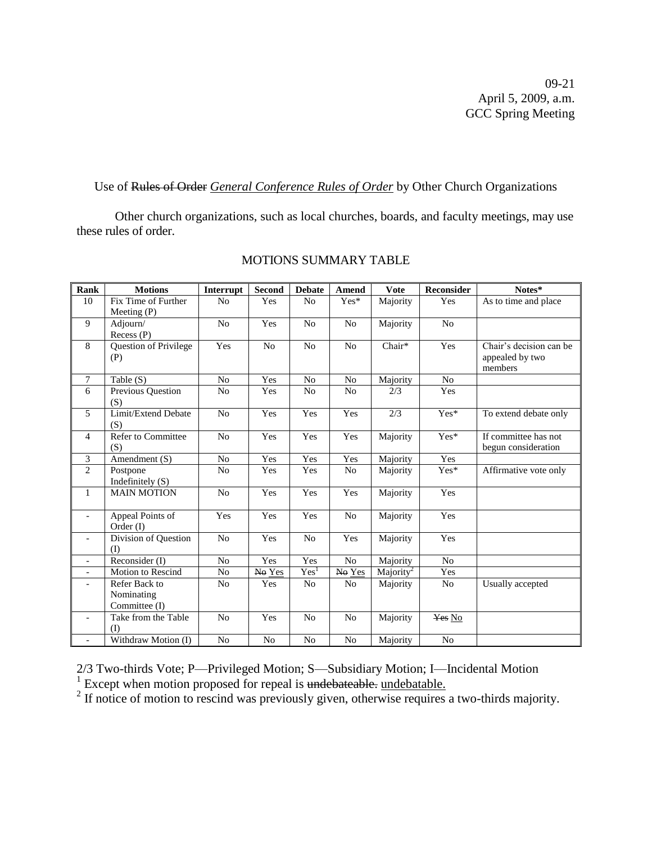09-21 April 5, 2009, a.m. GCC Spring Meeting

### Use of Rules of Order *General Conference Rules of Order* by Other Church Organizations

Other church organizations, such as local churches, boards, and faculty meetings, may use these rules of order.

| Rank                     | <b>Motions</b>                               | Interrupt      | <b>Second</b>     | <b>Debate</b>    | Amend          | <b>Vote</b>           | Reconsider     | Notes*                                                |
|--------------------------|----------------------------------------------|----------------|-------------------|------------------|----------------|-----------------------|----------------|-------------------------------------------------------|
| 10                       | Fix Time of Further<br>Meeting $(P)$         | No             | Yes               | N <sub>0</sub>   | $Yes*$         | Majority              | Yes            | As to time and place                                  |
| 9                        | Adjourn/<br>Recess $(P)$                     | N <sub>o</sub> | Yes               | N <sub>o</sub>   | N <sub>o</sub> | Majority              | N <sub>o</sub> |                                                       |
| 8                        | Question of Privilege<br>(P)                 | Yes            | N <sub>o</sub>    | N <sub>o</sub>   | N <sub>o</sub> | Chair*                | Yes            | Chair's decision can be<br>appealed by two<br>members |
| $\tau$                   | Table $(S)$                                  | N <sub>o</sub> | Yes               | No               | N <sub>o</sub> | Majority              | N <sub>o</sub> |                                                       |
| 6                        | Previous Question<br>(S)                     | N <sub>0</sub> | Yes               | N <sub>o</sub>   | N <sub>o</sub> | 2/3                   | Yes            |                                                       |
| 5                        | Limit/Extend Debate<br>(S)                   | N <sub>o</sub> | Yes               | Yes              | Yes            | 2/3                   | Yes*           | To extend debate only                                 |
| $\overline{4}$           | Refer to Committee<br>(S)                    | N <sub>o</sub> | Yes               | Yes              | Yes            | Majority              | Yes*           | If committee has not<br>begun consideration           |
| $\mathfrak{Z}$           | Amendment (S)                                | N <sub>o</sub> | $\overline{Y}$ es | Yes              | Yes            | Majority              | Yes            |                                                       |
| $\overline{2}$           | Postpone<br>Indefinitely $(S)$               | N <sub>o</sub> | Yes               | Yes              | N <sub>o</sub> | Majority              | Yes*           | Affirmative vote only                                 |
| $\mathbf{1}$             | <b>MAIN MOTION</b>                           | N <sub>o</sub> | Yes               | Yes              | Yes            | Majority              | Yes            |                                                       |
| $\blacksquare$           | Appeal Points of<br>Order $(I)$              | Yes            | Yes               | Yes              | $\rm No$       | Majority              | Yes            |                                                       |
| $\overline{\phantom{a}}$ | Division of Question<br>(I)                  | N <sub>o</sub> | Yes               | N <sub>o</sub>   | Yes            | Majority              | Yes            |                                                       |
| $\overline{\phantom{a}}$ | Reconsider (I)                               | N <sub>0</sub> | Yes               | Yes              | N <sub>o</sub> | Majority              | N <sub>o</sub> |                                                       |
| $\overline{\phantom{a}}$ | Motion to Rescind                            | N <sub>o</sub> | No Yes            | Yes <sup>1</sup> | No Yes         | Majority <sup>2</sup> | Yes            |                                                       |
| $\overline{\phantom{a}}$ | Refer Back to<br>Nominating<br>Committee (I) | N <sub>o</sub> | Yes               | N <sub>o</sub>   | No             | Majority              | No             | Usually accepted                                      |
| $\overline{a}$           | Take from the Table<br>(I)                   | N <sub>o</sub> | Yes               | N <sub>o</sub>   | N <sub>o</sub> | Majority              | Yes No         |                                                       |
| $\overline{a}$           | Withdraw Motion (I)                          | N <sub>o</sub> | N <sub>o</sub>    | No               | N <sub>o</sub> | Majority              | N <sub>o</sub> |                                                       |

## MOTIONS SUMMARY TABLE

2/3 Two-thirds Vote; P—Privileged Motion; S—Subsidiary Motion; I—Incidental Motion<br><sup>1</sup> Except when motion proposed for repeal is <del>undebateable.</del> <u>undebatable.</u><br><sup>2</sup> If notice of motion to rescind was previously given, other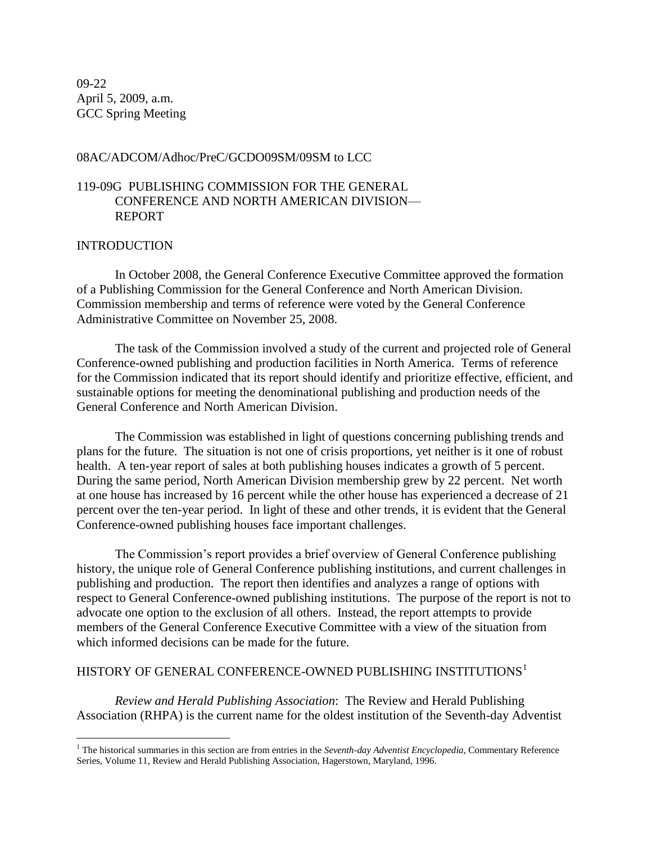09-22 April 5, 2009, a.m. GCC Spring Meeting

### 08AC/ADCOM/Adhoc/PreC/GCDO09SM/09SM to LCC

## 119-09G PUBLISHING COMMISSION FOR THE GENERAL CONFERENCE AND NORTH AMERICAN DIVISION— REPORT

### INTRODUCTION

 $\overline{a}$ 

In October 2008, the General Conference Executive Committee approved the formation of a Publishing Commission for the General Conference and North American Division. Commission membership and terms of reference were voted by the General Conference Administrative Committee on November 25, 2008.

The task of the Commission involved a study of the current and projected role of General Conference-owned publishing and production facilities in North America. Terms of reference for the Commission indicated that its report should identify and prioritize effective, efficient, and sustainable options for meeting the denominational publishing and production needs of the General Conference and North American Division.

The Commission was established in light of questions concerning publishing trends and plans for the future. The situation is not one of crisis proportions, yet neither is it one of robust health. A ten-year report of sales at both publishing houses indicates a growth of 5 percent. During the same period, North American Division membership grew by 22 percent. Net worth at one house has increased by 16 percent while the other house has experienced a decrease of 21 percent over the ten-year period. In light of these and other trends, it is evident that the General Conference-owned publishing houses face important challenges.

The Commission"s report provides a brief overview of General Conference publishing history, the unique role of General Conference publishing institutions, and current challenges in publishing and production. The report then identifies and analyzes a range of options with respect to General Conference-owned publishing institutions. The purpose of the report is not to advocate one option to the exclusion of all others. Instead, the report attempts to provide members of the General Conference Executive Committee with a view of the situation from which informed decisions can be made for the future.

## HISTORY OF GENERAL CONFERENCE-OWNED PUBLISHING INSTITUTIONS<sup>1</sup>

*Review and Herald Publishing Association*: The Review and Herald Publishing Association (RHPA) is the current name for the oldest institution of the Seventh-day Adventist

<sup>1</sup> The historical summaries in this section are from entries in the *Seventh-day Adventist Encyclopedia*, Commentary Reference Series, Volume 11, Review and Herald Publishing Association, Hagerstown, Maryland, 1996.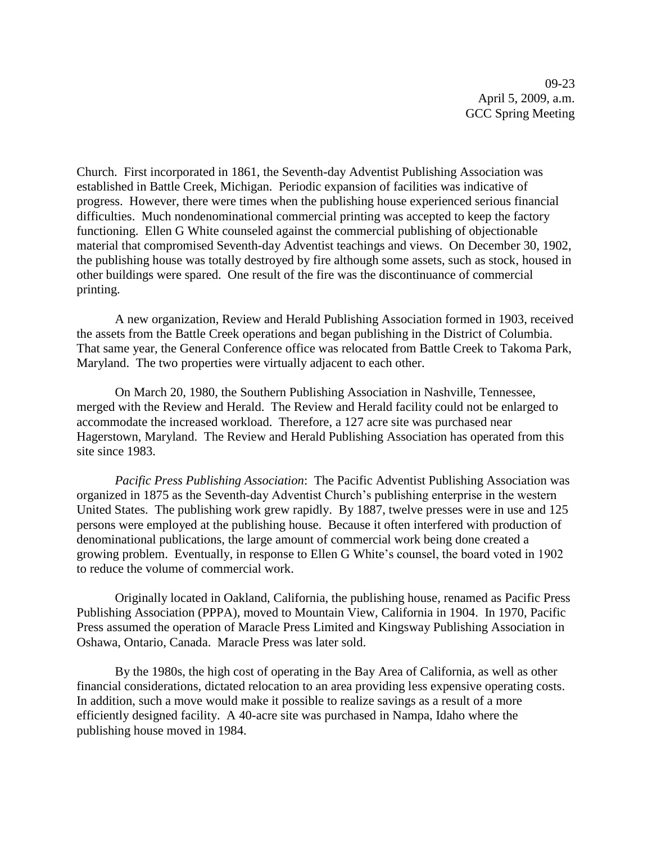Church. First incorporated in 1861, the Seventh-day Adventist Publishing Association was established in Battle Creek, Michigan. Periodic expansion of facilities was indicative of progress. However, there were times when the publishing house experienced serious financial difficulties. Much nondenominational commercial printing was accepted to keep the factory functioning. Ellen G White counseled against the commercial publishing of objectionable material that compromised Seventh-day Adventist teachings and views. On December 30, 1902, the publishing house was totally destroyed by fire although some assets, such as stock, housed in other buildings were spared. One result of the fire was the discontinuance of commercial printing.

A new organization, Review and Herald Publishing Association formed in 1903, received the assets from the Battle Creek operations and began publishing in the District of Columbia. That same year, the General Conference office was relocated from Battle Creek to Takoma Park, Maryland. The two properties were virtually adjacent to each other.

On March 20, 1980, the Southern Publishing Association in Nashville, Tennessee, merged with the Review and Herald. The Review and Herald facility could not be enlarged to accommodate the increased workload. Therefore, a 127 acre site was purchased near Hagerstown, Maryland. The Review and Herald Publishing Association has operated from this site since 1983.

*Pacific Press Publishing Association*: The Pacific Adventist Publishing Association was organized in 1875 as the Seventh-day Adventist Church"s publishing enterprise in the western United States. The publishing work grew rapidly. By 1887, twelve presses were in use and 125 persons were employed at the publishing house. Because it often interfered with production of denominational publications, the large amount of commercial work being done created a growing problem. Eventually, in response to Ellen G White"s counsel, the board voted in 1902 to reduce the volume of commercial work.

Originally located in Oakland, California, the publishing house, renamed as Pacific Press Publishing Association (PPPA), moved to Mountain View, California in 1904. In 1970, Pacific Press assumed the operation of Maracle Press Limited and Kingsway Publishing Association in Oshawa, Ontario, Canada. Maracle Press was later sold.

By the 1980s, the high cost of operating in the Bay Area of California, as well as other financial considerations, dictated relocation to an area providing less expensive operating costs. In addition, such a move would make it possible to realize savings as a result of a more efficiently designed facility. A 40-acre site was purchased in Nampa, Idaho where the publishing house moved in 1984.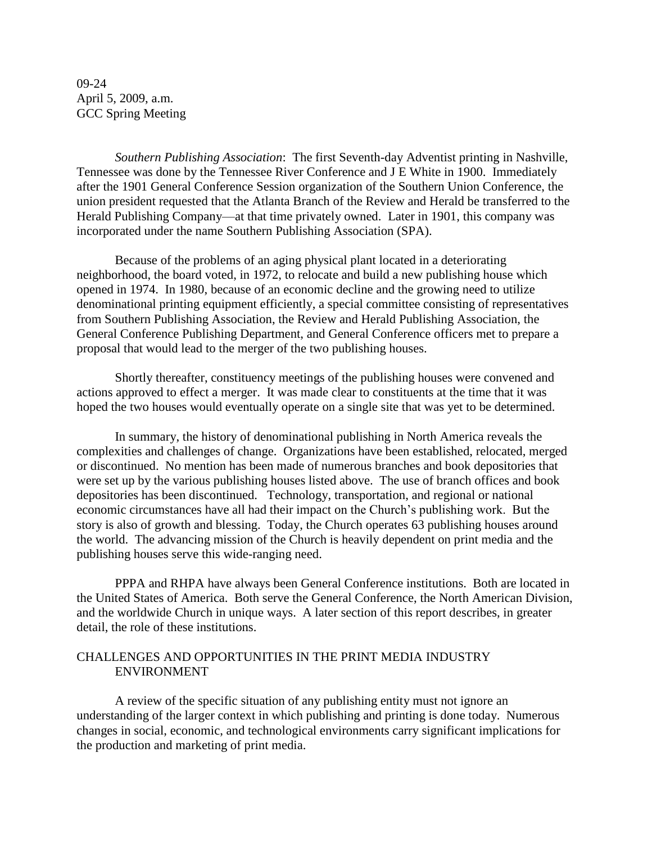09-24 April 5, 2009, a.m. GCC Spring Meeting

*Southern Publishing Association*: The first Seventh-day Adventist printing in Nashville, Tennessee was done by the Tennessee River Conference and J E White in 1900. Immediately after the 1901 General Conference Session organization of the Southern Union Conference, the union president requested that the Atlanta Branch of the Review and Herald be transferred to the Herald Publishing Company—at that time privately owned. Later in 1901, this company was incorporated under the name Southern Publishing Association (SPA).

Because of the problems of an aging physical plant located in a deteriorating neighborhood, the board voted, in 1972, to relocate and build a new publishing house which opened in 1974. In 1980, because of an economic decline and the growing need to utilize denominational printing equipment efficiently, a special committee consisting of representatives from Southern Publishing Association, the Review and Herald Publishing Association, the General Conference Publishing Department, and General Conference officers met to prepare a proposal that would lead to the merger of the two publishing houses.

Shortly thereafter, constituency meetings of the publishing houses were convened and actions approved to effect a merger. It was made clear to constituents at the time that it was hoped the two houses would eventually operate on a single site that was yet to be determined.

In summary, the history of denominational publishing in North America reveals the complexities and challenges of change. Organizations have been established, relocated, merged or discontinued. No mention has been made of numerous branches and book depositories that were set up by the various publishing houses listed above. The use of branch offices and book depositories has been discontinued. Technology, transportation, and regional or national economic circumstances have all had their impact on the Church"s publishing work. But the story is also of growth and blessing. Today, the Church operates 63 publishing houses around the world. The advancing mission of the Church is heavily dependent on print media and the publishing houses serve this wide-ranging need.

PPPA and RHPA have always been General Conference institutions. Both are located in the United States of America. Both serve the General Conference, the North American Division, and the worldwide Church in unique ways. A later section of this report describes, in greater detail, the role of these institutions.

## CHALLENGES AND OPPORTUNITIES IN THE PRINT MEDIA INDUSTRY ENVIRONMENT

A review of the specific situation of any publishing entity must not ignore an understanding of the larger context in which publishing and printing is done today. Numerous changes in social, economic, and technological environments carry significant implications for the production and marketing of print media.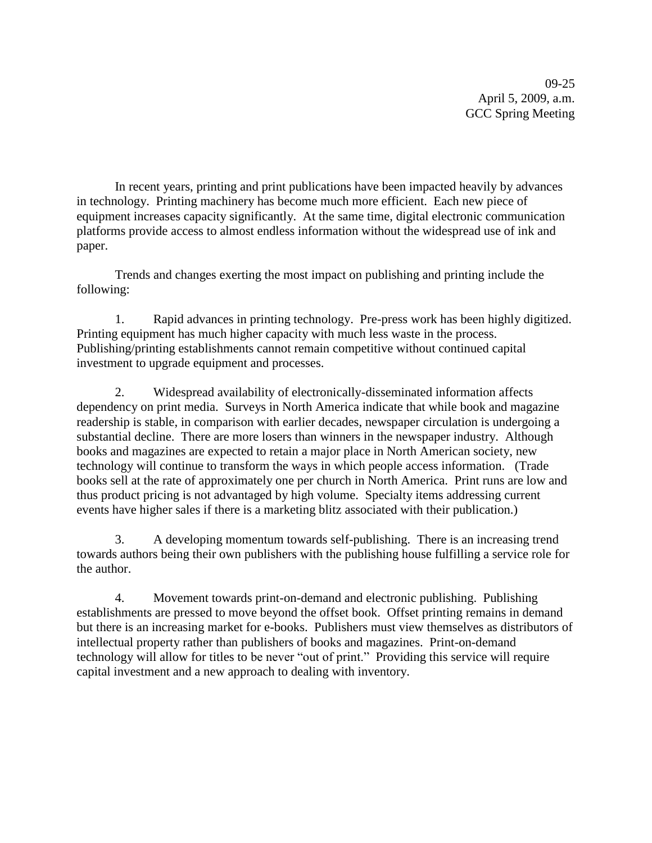09-25 April 5, 2009, a.m. GCC Spring Meeting

In recent years, printing and print publications have been impacted heavily by advances in technology. Printing machinery has become much more efficient. Each new piece of equipment increases capacity significantly. At the same time, digital electronic communication platforms provide access to almost endless information without the widespread use of ink and paper.

Trends and changes exerting the most impact on publishing and printing include the following:

1. Rapid advances in printing technology. Pre-press work has been highly digitized. Printing equipment has much higher capacity with much less waste in the process. Publishing/printing establishments cannot remain competitive without continued capital investment to upgrade equipment and processes.

2. Widespread availability of electronically-disseminated information affects dependency on print media. Surveys in North America indicate that while book and magazine readership is stable, in comparison with earlier decades, newspaper circulation is undergoing a substantial decline. There are more losers than winners in the newspaper industry. Although books and magazines are expected to retain a major place in North American society, new technology will continue to transform the ways in which people access information. (Trade books sell at the rate of approximately one per church in North America. Print runs are low and thus product pricing is not advantaged by high volume. Specialty items addressing current events have higher sales if there is a marketing blitz associated with their publication.)

3. A developing momentum towards self-publishing. There is an increasing trend towards authors being their own publishers with the publishing house fulfilling a service role for the author.

4. Movement towards print-on-demand and electronic publishing. Publishing establishments are pressed to move beyond the offset book. Offset printing remains in demand but there is an increasing market for e-books. Publishers must view themselves as distributors of intellectual property rather than publishers of books and magazines. Print-on-demand technology will allow for titles to be never "out of print." Providing this service will require capital investment and a new approach to dealing with inventory.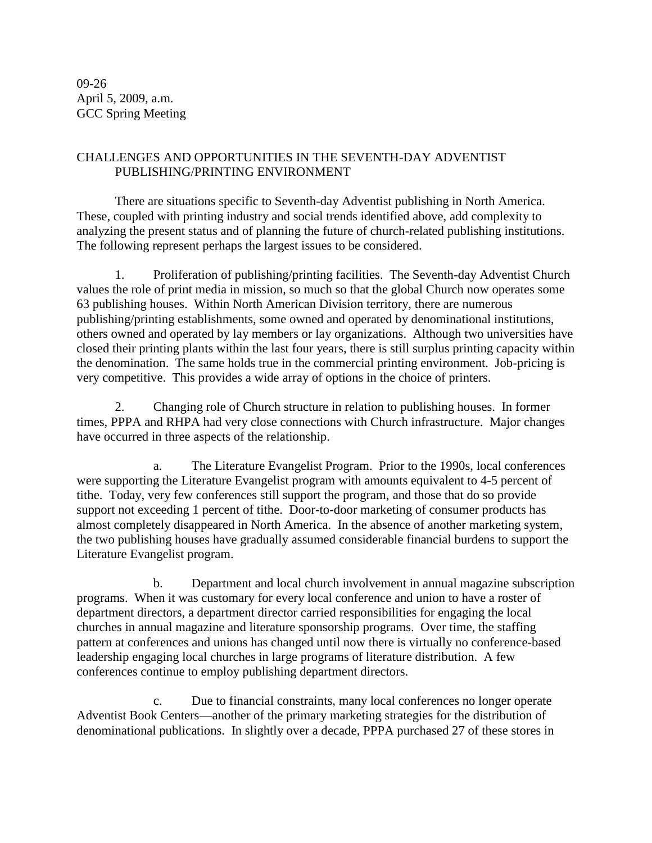09-26 April 5, 2009, a.m. GCC Spring Meeting

## CHALLENGES AND OPPORTUNITIES IN THE SEVENTH-DAY ADVENTIST PUBLISHING/PRINTING ENVIRONMENT

There are situations specific to Seventh-day Adventist publishing in North America. These, coupled with printing industry and social trends identified above, add complexity to analyzing the present status and of planning the future of church-related publishing institutions. The following represent perhaps the largest issues to be considered.

1. Proliferation of publishing/printing facilities. The Seventh-day Adventist Church values the role of print media in mission, so much so that the global Church now operates some 63 publishing houses. Within North American Division territory, there are numerous publishing/printing establishments, some owned and operated by denominational institutions, others owned and operated by lay members or lay organizations. Although two universities have closed their printing plants within the last four years, there is still surplus printing capacity within the denomination. The same holds true in the commercial printing environment. Job-pricing is very competitive. This provides a wide array of options in the choice of printers.

2. Changing role of Church structure in relation to publishing houses. In former times, PPPA and RHPA had very close connections with Church infrastructure. Major changes have occurred in three aspects of the relationship.

The Literature Evangelist Program. Prior to the 1990s, local conferences were supporting the Literature Evangelist program with amounts equivalent to 4-5 percent of tithe. Today, very few conferences still support the program, and those that do so provide support not exceeding 1 percent of tithe. Door-to-door marketing of consumer products has almost completely disappeared in North America. In the absence of another marketing system, the two publishing houses have gradually assumed considerable financial burdens to support the Literature Evangelist program.

b. Department and local church involvement in annual magazine subscription programs. When it was customary for every local conference and union to have a roster of department directors, a department director carried responsibilities for engaging the local churches in annual magazine and literature sponsorship programs. Over time, the staffing pattern at conferences and unions has changed until now there is virtually no conference-based leadership engaging local churches in large programs of literature distribution. A few conferences continue to employ publishing department directors.

c. Due to financial constraints, many local conferences no longer operate Adventist Book Centers—another of the primary marketing strategies for the distribution of denominational publications. In slightly over a decade, PPPA purchased 27 of these stores in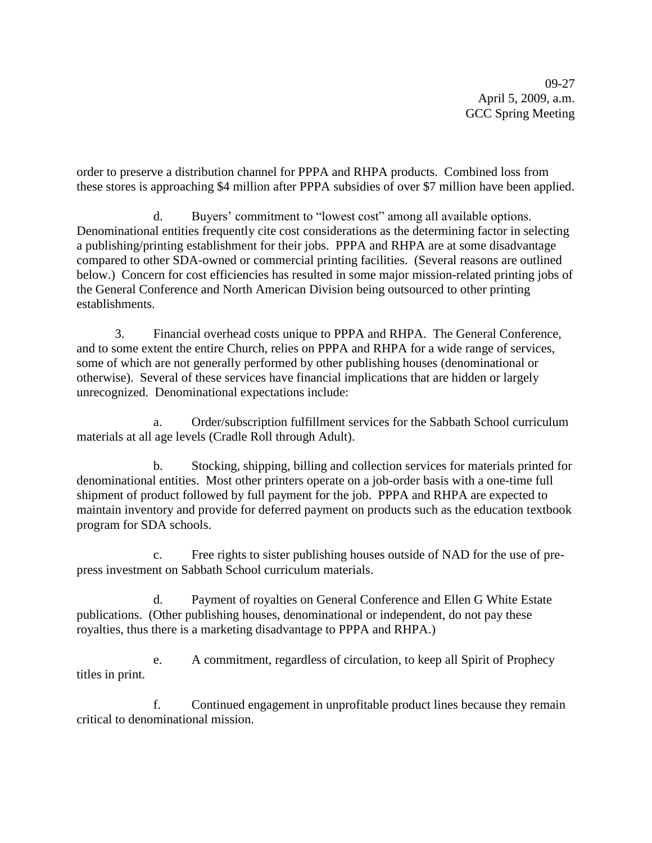09-27 April 5, 2009, a.m. GCC Spring Meeting

order to preserve a distribution channel for PPPA and RHPA products. Combined loss from these stores is approaching \$4 million after PPPA subsidies of over \$7 million have been applied.

d. Buyers" commitment to "lowest cost" among all available options. Denominational entities frequently cite cost considerations as the determining factor in selecting a publishing/printing establishment for their jobs. PPPA and RHPA are at some disadvantage compared to other SDA-owned or commercial printing facilities. (Several reasons are outlined below.) Concern for cost efficiencies has resulted in some major mission-related printing jobs of the General Conference and North American Division being outsourced to other printing establishments.

3. Financial overhead costs unique to PPPA and RHPA. The General Conference, and to some extent the entire Church, relies on PPPA and RHPA for a wide range of services, some of which are not generally performed by other publishing houses (denominational or otherwise). Several of these services have financial implications that are hidden or largely unrecognized. Denominational expectations include:

a. Order/subscription fulfillment services for the Sabbath School curriculum materials at all age levels (Cradle Roll through Adult).

b. Stocking, shipping, billing and collection services for materials printed for denominational entities. Most other printers operate on a job-order basis with a one-time full shipment of product followed by full payment for the job. PPPA and RHPA are expected to maintain inventory and provide for deferred payment on products such as the education textbook program for SDA schools.

c. Free rights to sister publishing houses outside of NAD for the use of prepress investment on Sabbath School curriculum materials.

d. Payment of royalties on General Conference and Ellen G White Estate publications. (Other publishing houses, denominational or independent, do not pay these royalties, thus there is a marketing disadvantage to PPPA and RHPA.)

e. A commitment, regardless of circulation, to keep all Spirit of Prophecy titles in print.

f. Continued engagement in unprofitable product lines because they remain critical to denominational mission.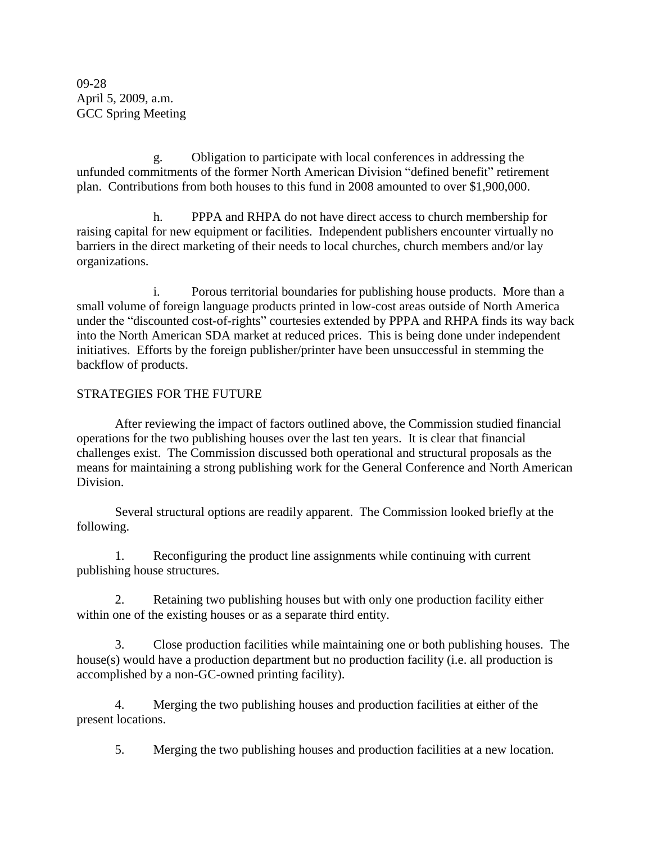09-28 April 5, 2009, a.m. GCC Spring Meeting

g. Obligation to participate with local conferences in addressing the unfunded commitments of the former North American Division "defined benefit" retirement plan. Contributions from both houses to this fund in 2008 amounted to over \$1,900,000.

h. PPPA and RHPA do not have direct access to church membership for raising capital for new equipment or facilities. Independent publishers encounter virtually no barriers in the direct marketing of their needs to local churches, church members and/or lay organizations.

i. Porous territorial boundaries for publishing house products. More than a small volume of foreign language products printed in low-cost areas outside of North America under the "discounted cost-of-rights" courtesies extended by PPPA and RHPA finds its way back into the North American SDA market at reduced prices. This is being done under independent initiatives. Efforts by the foreign publisher/printer have been unsuccessful in stemming the backflow of products.

## STRATEGIES FOR THE FUTURE

After reviewing the impact of factors outlined above, the Commission studied financial operations for the two publishing houses over the last ten years. It is clear that financial challenges exist. The Commission discussed both operational and structural proposals as the means for maintaining a strong publishing work for the General Conference and North American Division.

Several structural options are readily apparent. The Commission looked briefly at the following.

1. Reconfiguring the product line assignments while continuing with current publishing house structures.

2. Retaining two publishing houses but with only one production facility either within one of the existing houses or as a separate third entity.

3. Close production facilities while maintaining one or both publishing houses. The house(s) would have a production department but no production facility (i.e. all production is accomplished by a non-GC-owned printing facility).

4. Merging the two publishing houses and production facilities at either of the present locations.

5. Merging the two publishing houses and production facilities at a new location.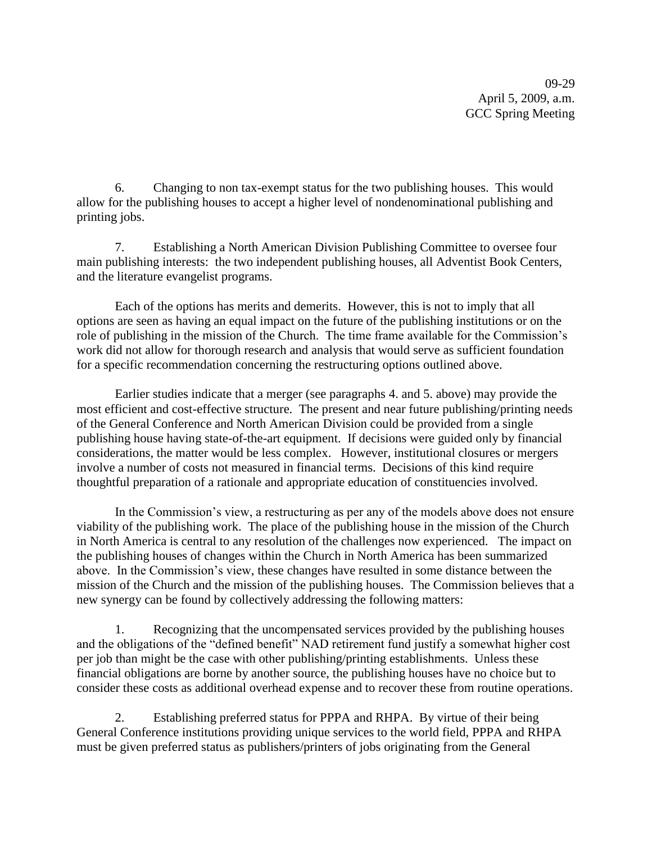09-29 April 5, 2009, a.m. GCC Spring Meeting

6. Changing to non tax-exempt status for the two publishing houses. This would allow for the publishing houses to accept a higher level of nondenominational publishing and printing jobs.

7. Establishing a North American Division Publishing Committee to oversee four main publishing interests: the two independent publishing houses, all Adventist Book Centers, and the literature evangelist programs.

Each of the options has merits and demerits. However, this is not to imply that all options are seen as having an equal impact on the future of the publishing institutions or on the role of publishing in the mission of the Church. The time frame available for the Commission"s work did not allow for thorough research and analysis that would serve as sufficient foundation for a specific recommendation concerning the restructuring options outlined above.

Earlier studies indicate that a merger (see paragraphs 4. and 5. above) may provide the most efficient and cost-effective structure. The present and near future publishing/printing needs of the General Conference and North American Division could be provided from a single publishing house having state-of-the-art equipment. If decisions were guided only by financial considerations, the matter would be less complex. However, institutional closures or mergers involve a number of costs not measured in financial terms. Decisions of this kind require thoughtful preparation of a rationale and appropriate education of constituencies involved.

In the Commission's view, a restructuring as per any of the models above does not ensure viability of the publishing work. The place of the publishing house in the mission of the Church in North America is central to any resolution of the challenges now experienced. The impact on the publishing houses of changes within the Church in North America has been summarized above. In the Commission"s view, these changes have resulted in some distance between the mission of the Church and the mission of the publishing houses. The Commission believes that a new synergy can be found by collectively addressing the following matters:

1. Recognizing that the uncompensated services provided by the publishing houses and the obligations of the "defined benefit" NAD retirement fund justify a somewhat higher cost per job than might be the case with other publishing/printing establishments. Unless these financial obligations are borne by another source, the publishing houses have no choice but to consider these costs as additional overhead expense and to recover these from routine operations.

2. Establishing preferred status for PPPA and RHPA. By virtue of their being General Conference institutions providing unique services to the world field, PPPA and RHPA must be given preferred status as publishers/printers of jobs originating from the General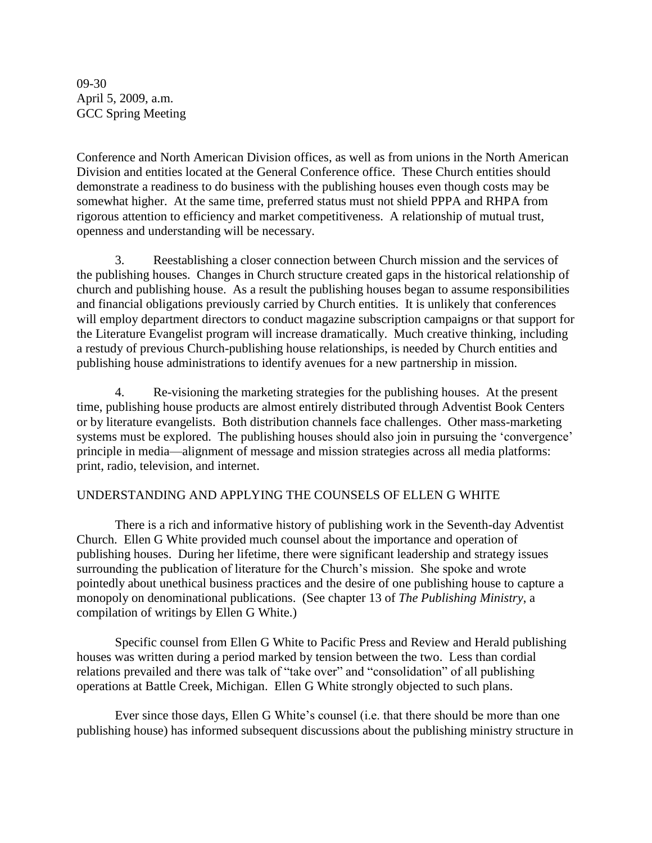09-30 April 5, 2009, a.m. GCC Spring Meeting

Conference and North American Division offices, as well as from unions in the North American Division and entities located at the General Conference office. These Church entities should demonstrate a readiness to do business with the publishing houses even though costs may be somewhat higher. At the same time, preferred status must not shield PPPA and RHPA from rigorous attention to efficiency and market competitiveness. A relationship of mutual trust, openness and understanding will be necessary.

3. Reestablishing a closer connection between Church mission and the services of the publishing houses. Changes in Church structure created gaps in the historical relationship of church and publishing house. As a result the publishing houses began to assume responsibilities and financial obligations previously carried by Church entities. It is unlikely that conferences will employ department directors to conduct magazine subscription campaigns or that support for the Literature Evangelist program will increase dramatically. Much creative thinking, including a restudy of previous Church-publishing house relationships, is needed by Church entities and publishing house administrations to identify avenues for a new partnership in mission.

4. Re-visioning the marketing strategies for the publishing houses. At the present time, publishing house products are almost entirely distributed through Adventist Book Centers or by literature evangelists. Both distribution channels face challenges. Other mass-marketing systems must be explored. The publishing houses should also join in pursuing the 'convergence' principle in media—alignment of message and mission strategies across all media platforms: print, radio, television, and internet.

## UNDERSTANDING AND APPLYING THE COUNSELS OF ELLEN G WHITE

There is a rich and informative history of publishing work in the Seventh-day Adventist Church. Ellen G White provided much counsel about the importance and operation of publishing houses. During her lifetime, there were significant leadership and strategy issues surrounding the publication of literature for the Church's mission. She spoke and wrote pointedly about unethical business practices and the desire of one publishing house to capture a monopoly on denominational publications. (See chapter 13 of *The Publishing Ministry*, a compilation of writings by Ellen G White.)

Specific counsel from Ellen G White to Pacific Press and Review and Herald publishing houses was written during a period marked by tension between the two. Less than cordial relations prevailed and there was talk of "take over" and "consolidation" of all publishing operations at Battle Creek, Michigan. Ellen G White strongly objected to such plans.

Ever since those days, Ellen G White's counsel (i.e. that there should be more than one publishing house) has informed subsequent discussions about the publishing ministry structure in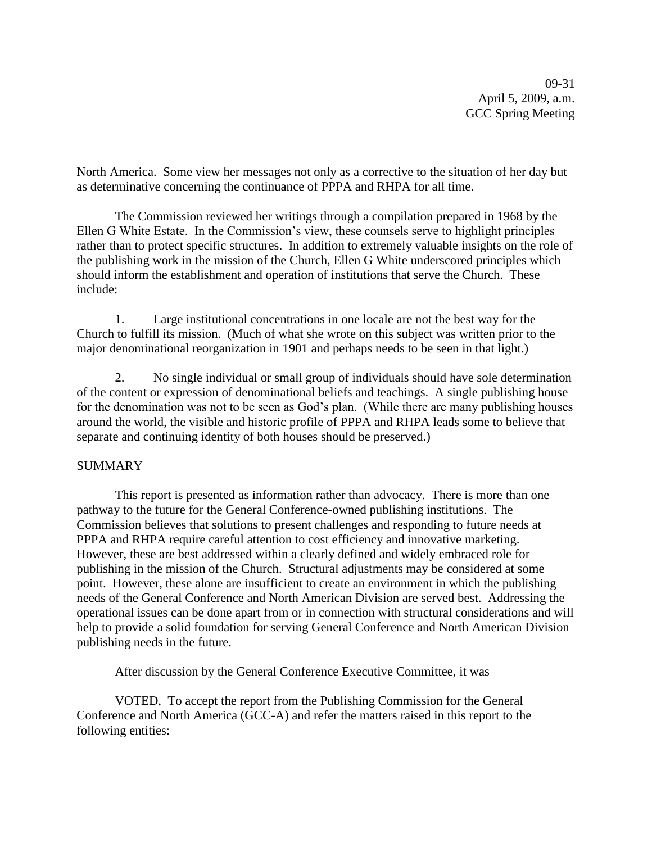09-31 April 5, 2009, a.m. GCC Spring Meeting

North America. Some view her messages not only as a corrective to the situation of her day but as determinative concerning the continuance of PPPA and RHPA for all time.

The Commission reviewed her writings through a compilation prepared in 1968 by the Ellen G White Estate. In the Commission's view, these counsels serve to highlight principles rather than to protect specific structures. In addition to extremely valuable insights on the role of the publishing work in the mission of the Church, Ellen G White underscored principles which should inform the establishment and operation of institutions that serve the Church. These include:

1. Large institutional concentrations in one locale are not the best way for the Church to fulfill its mission. (Much of what she wrote on this subject was written prior to the major denominational reorganization in 1901 and perhaps needs to be seen in that light.)

2. No single individual or small group of individuals should have sole determination of the content or expression of denominational beliefs and teachings. A single publishing house for the denomination was not to be seen as God"s plan. (While there are many publishing houses around the world, the visible and historic profile of PPPA and RHPA leads some to believe that separate and continuing identity of both houses should be preserved.)

## **SUMMARY**

This report is presented as information rather than advocacy. There is more than one pathway to the future for the General Conference-owned publishing institutions. The Commission believes that solutions to present challenges and responding to future needs at PPPA and RHPA require careful attention to cost efficiency and innovative marketing. However, these are best addressed within a clearly defined and widely embraced role for publishing in the mission of the Church. Structural adjustments may be considered at some point. However, these alone are insufficient to create an environment in which the publishing needs of the General Conference and North American Division are served best. Addressing the operational issues can be done apart from or in connection with structural considerations and will help to provide a solid foundation for serving General Conference and North American Division publishing needs in the future.

After discussion by the General Conference Executive Committee, it was

VOTED, To accept the report from the Publishing Commission for the General Conference and North America (GCC-A) and refer the matters raised in this report to the following entities: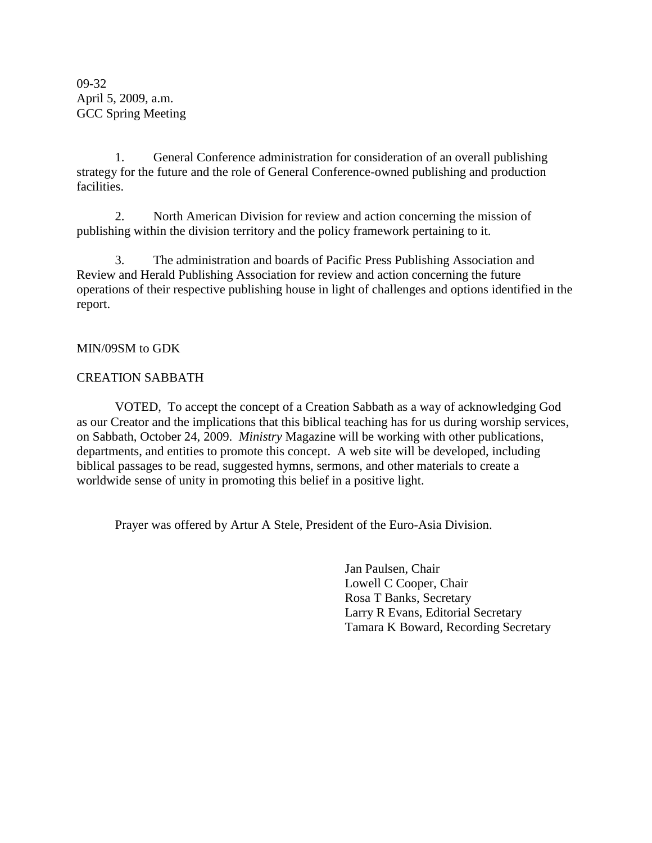09-32 April 5, 2009, a.m. GCC Spring Meeting

1. General Conference administration for consideration of an overall publishing strategy for the future and the role of General Conference-owned publishing and production facilities.

2. North American Division for review and action concerning the mission of publishing within the division territory and the policy framework pertaining to it.

3. The administration and boards of Pacific Press Publishing Association and Review and Herald Publishing Association for review and action concerning the future operations of their respective publishing house in light of challenges and options identified in the report.

## MIN/09SM to GDK

## CREATION SABBATH

VOTED, To accept the concept of a Creation Sabbath as a way of acknowledging God as our Creator and the implications that this biblical teaching has for us during worship services, on Sabbath, October 24, 2009. *Ministry* Magazine will be working with other publications, departments, and entities to promote this concept. A web site will be developed, including biblical passages to be read, suggested hymns, sermons, and other materials to create a worldwide sense of unity in promoting this belief in a positive light.

Prayer was offered by Artur A Stele, President of the Euro-Asia Division.

Jan Paulsen, Chair Lowell C Cooper, Chair Rosa T Banks, Secretary Larry R Evans, Editorial Secretary Tamara K Boward, Recording Secretary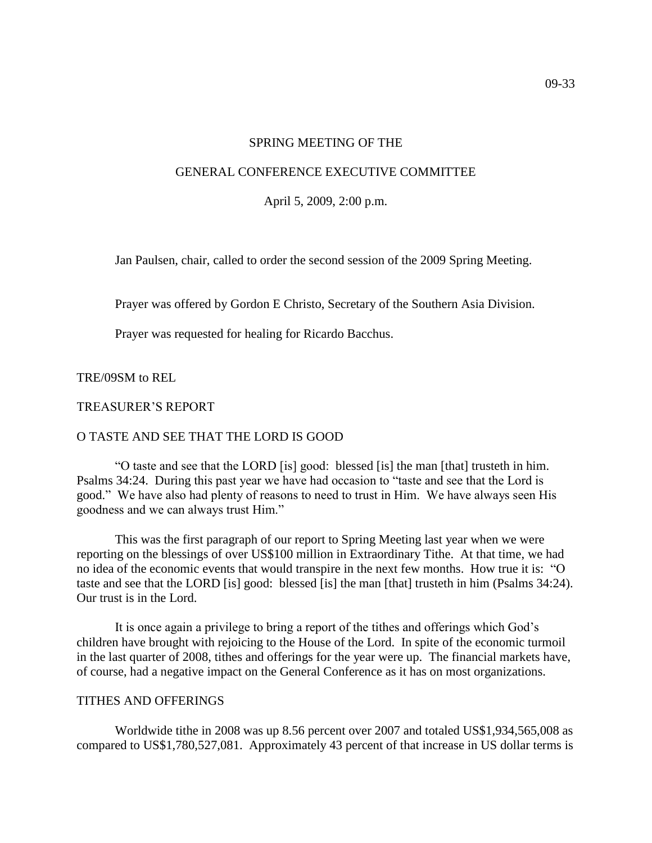### SPRING MEETING OF THE

### GENERAL CONFERENCE EXECUTIVE COMMITTEE

April 5, 2009, 2:00 p.m.

Jan Paulsen, chair, called to order the second session of the 2009 Spring Meeting.

Prayer was offered by Gordon E Christo, Secretary of the Southern Asia Division.

Prayer was requested for healing for Ricardo Bacchus.

TRE/09SM to REL

#### TREASURER"S REPORT

#### O TASTE AND SEE THAT THE LORD IS GOOD

"O taste and see that the LORD [is] good: blessed [is] the man [that] trusteth in him. Psalms 34:24. During this past year we have had occasion to "taste and see that the Lord is good." We have also had plenty of reasons to need to trust in Him. We have always seen His goodness and we can always trust Him."

This was the first paragraph of our report to Spring Meeting last year when we were reporting on the blessings of over US\$100 million in Extraordinary Tithe. At that time, we had no idea of the economic events that would transpire in the next few months. How true it is: "O taste and see that the LORD [is] good: blessed [is] the man [that] trusteth in him (Psalms 34:24). Our trust is in the Lord.

It is once again a privilege to bring a report of the tithes and offerings which God's children have brought with rejoicing to the House of the Lord. In spite of the economic turmoil in the last quarter of 2008, tithes and offerings for the year were up. The financial markets have, of course, had a negative impact on the General Conference as it has on most organizations.

#### TITHES AND OFFERINGS

Worldwide tithe in 2008 was up 8.56 percent over 2007 and totaled US\$1,934,565,008 as compared to US\$1,780,527,081. Approximately 43 percent of that increase in US dollar terms is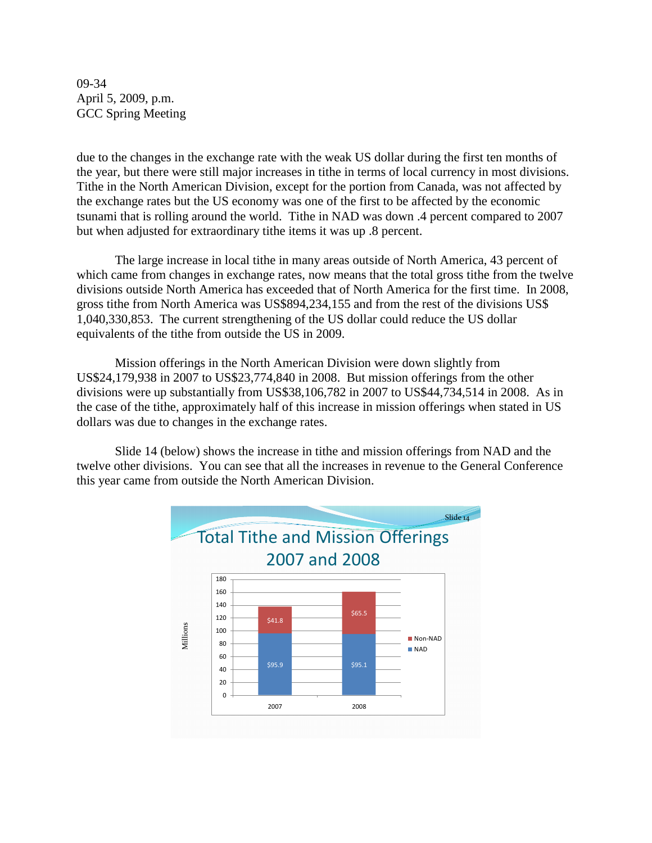09-34 April 5, 2009, p.m. GCC Spring Meeting

due to the changes in the exchange rate with the weak US dollar during the first ten months of the year, but there were still major increases in tithe in terms of local currency in most divisions. Tithe in the North American Division, except for the portion from Canada, was not affected by the exchange rates but the US economy was one of the first to be affected by the economic tsunami that is rolling around the world. Tithe in NAD was down .4 percent compared to 2007 but when adjusted for extraordinary tithe items it was up .8 percent.

The large increase in local tithe in many areas outside of North America, 43 percent of which came from changes in exchange rates, now means that the total gross tithe from the twelve divisions outside North America has exceeded that of North America for the first time. In 2008, gross tithe from North America was US\$894,234,155 and from the rest of the divisions US\$ 1,040,330,853. The current strengthening of the US dollar could reduce the US dollar equivalents of the tithe from outside the US in 2009.

Mission offerings in the North American Division were down slightly from US\$24,179,938 in 2007 to US\$23,774,840 in 2008. But mission offerings from the other divisions were up substantially from US\$38,106,782 in 2007 to US\$44,734,514 in 2008. As in the case of the tithe, approximately half of this increase in mission offerings when stated in US dollars was due to changes in the exchange rates.

Slide 14 (below) shows the increase in tithe and mission offerings from NAD and the twelve other divisions. You can see that all the increases in revenue to the General Conference this year came from outside the North American Division.

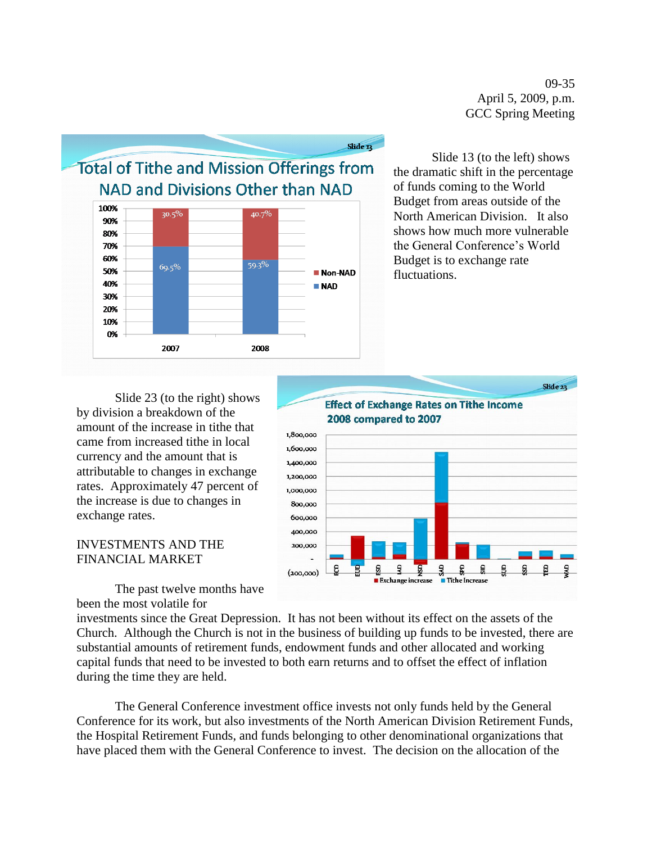09-35 April 5, 2009, p.m. GCC Spring Meeting

Slide  $22$ 

Ş

# **Total of Tithe and Mission Offerings from** NAD and Divisions Other than NAD 100%



Slide 13 (to the left) shows the dramatic shift in the percentage of funds coming to the World Budget from areas outside of the North American Division. It also shows how much more vulnerable the General Conference"s World Budget is to exchange rate fluctuations.

Slide 23 (to the right) shows by division a breakdown of the amount of the increase in tithe that came from increased tithe in local currency and the amount that is attributable to changes in exchange rates. Approximately 47 percent of the increase is due to changes in exchange rates.

## INVESTMENTS AND THE FINANCIAL MARKET

1.800.000 1,600,000 1,400,000 1.200.000 1.000.000 800,000 600,000 400.000 200,000 SAD ۵q g, G  $\overline{a}$ 읈 GS<sub>3</sub> Ê ž  $(200,000)$ **Exchange increase** Tithe Increase

**Effect of Exchange Rates on Tithe Income** 

2008 compared to 2007

The past twelve months have been the most volatile for

investments since the Great Depression. It has not been without its effect on the assets of the Church. Although the Church is not in the business of building up funds to be invested, there are substantial amounts of retirement funds, endowment funds and other allocated and working capital funds that need to be invested to both earn returns and to offset the effect of inflation during the time they are held.

Slide  $\overline{\mathbf{R}}$ 

The General Conference investment office invests not only funds held by the General Conference for its work, but also investments of the North American Division Retirement Funds, the Hospital Retirement Funds, and funds belonging to other denominational organizations that have placed them with the General Conference to invest. The decision on the allocation of the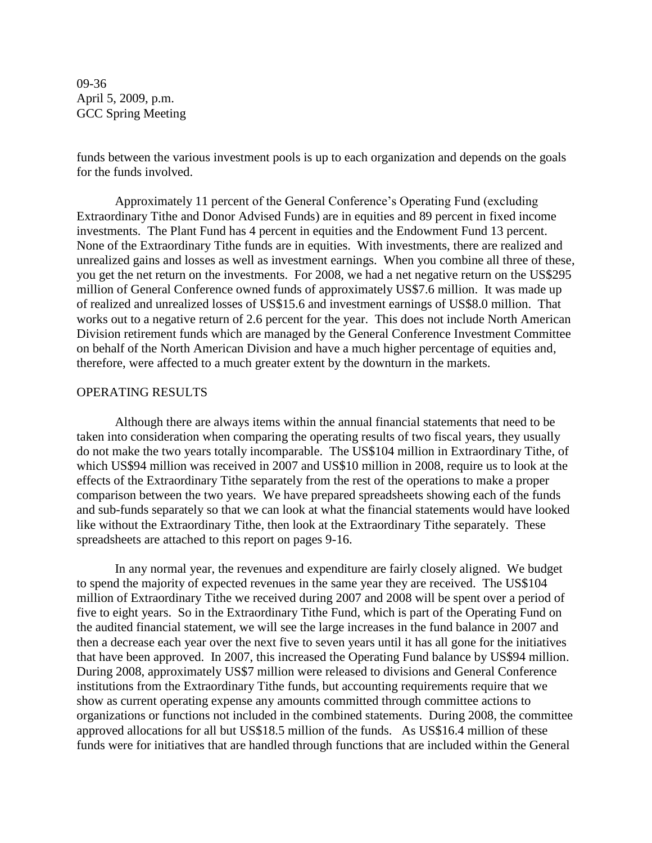09-36 April 5, 2009, p.m. GCC Spring Meeting

funds between the various investment pools is up to each organization and depends on the goals for the funds involved.

Approximately 11 percent of the General Conference"s Operating Fund (excluding Extraordinary Tithe and Donor Advised Funds) are in equities and 89 percent in fixed income investments. The Plant Fund has 4 percent in equities and the Endowment Fund 13 percent. None of the Extraordinary Tithe funds are in equities. With investments, there are realized and unrealized gains and losses as well as investment earnings. When you combine all three of these, you get the net return on the investments. For 2008, we had a net negative return on the US\$295 million of General Conference owned funds of approximately US\$7.6 million. It was made up of realized and unrealized losses of US\$15.6 and investment earnings of US\$8.0 million. That works out to a negative return of 2.6 percent for the year. This does not include North American Division retirement funds which are managed by the General Conference Investment Committee on behalf of the North American Division and have a much higher percentage of equities and, therefore, were affected to a much greater extent by the downturn in the markets.

### OPERATING RESULTS

Although there are always items within the annual financial statements that need to be taken into consideration when comparing the operating results of two fiscal years, they usually do not make the two years totally incomparable. The US\$104 million in Extraordinary Tithe, of which US\$94 million was received in 2007 and US\$10 million in 2008, require us to look at the effects of the Extraordinary Tithe separately from the rest of the operations to make a proper comparison between the two years. We have prepared spreadsheets showing each of the funds and sub-funds separately so that we can look at what the financial statements would have looked like without the Extraordinary Tithe, then look at the Extraordinary Tithe separately. These spreadsheets are attached to this report on pages 9-16.

In any normal year, the revenues and expenditure are fairly closely aligned. We budget to spend the majority of expected revenues in the same year they are received. The US\$104 million of Extraordinary Tithe we received during 2007 and 2008 will be spent over a period of five to eight years. So in the Extraordinary Tithe Fund, which is part of the Operating Fund on the audited financial statement, we will see the large increases in the fund balance in 2007 and then a decrease each year over the next five to seven years until it has all gone for the initiatives that have been approved. In 2007, this increased the Operating Fund balance by US\$94 million. During 2008, approximately US\$7 million were released to divisions and General Conference institutions from the Extraordinary Tithe funds, but accounting requirements require that we show as current operating expense any amounts committed through committee actions to organizations or functions not included in the combined statements. During 2008, the committee approved allocations for all but US\$18.5 million of the funds. As US\$16.4 million of these funds were for initiatives that are handled through functions that are included within the General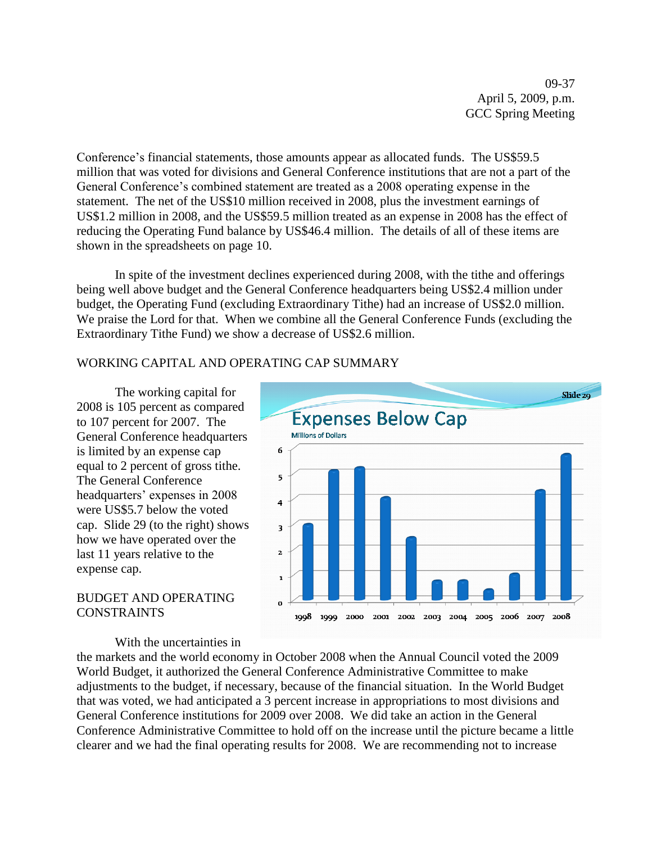09-37 April 5, 2009, p.m. GCC Spring Meeting

Conference's financial statements, those amounts appear as allocated funds. The US\$59.5 million that was voted for divisions and General Conference institutions that are not a part of the General Conference's combined statement are treated as a 2008 operating expense in the statement. The net of the US\$10 million received in 2008, plus the investment earnings of US\$1.2 million in 2008, and the US\$59.5 million treated as an expense in 2008 has the effect of reducing the Operating Fund balance by US\$46.4 million. The details of all of these items are shown in the spreadsheets on page 10.

In spite of the investment declines experienced during 2008, with the tithe and offerings being well above budget and the General Conference headquarters being US\$2.4 million under budget, the Operating Fund (excluding Extraordinary Tithe) had an increase of US\$2.0 million. We praise the Lord for that. When we combine all the General Conference Funds (excluding the Extraordinary Tithe Fund) we show a decrease of US\$2.6 million.

## WORKING CAPITAL AND OPERATING CAP SUMMARY

The working capital for 2008 is 105 percent as compared to 107 percent for 2007. The General Conference headquarters is limited by an expense cap equal to 2 percent of gross tithe. The General Conference headquarters' expenses in 2008 were US\$5.7 below the voted cap. Slide 29 (to the right) shows how we have operated over the last 11 years relative to the expense cap.

## BUDGET AND OPERATING CONSTRAINTS



With the uncertainties in

the markets and the world economy in October 2008 when the Annual Council voted the 2009 World Budget, it authorized the General Conference Administrative Committee to make adjustments to the budget, if necessary, because of the financial situation. In the World Budget that was voted, we had anticipated a 3 percent increase in appropriations to most divisions and General Conference institutions for 2009 over 2008. We did take an action in the General Conference Administrative Committee to hold off on the increase until the picture became a little clearer and we had the final operating results for 2008. We are recommending not to increase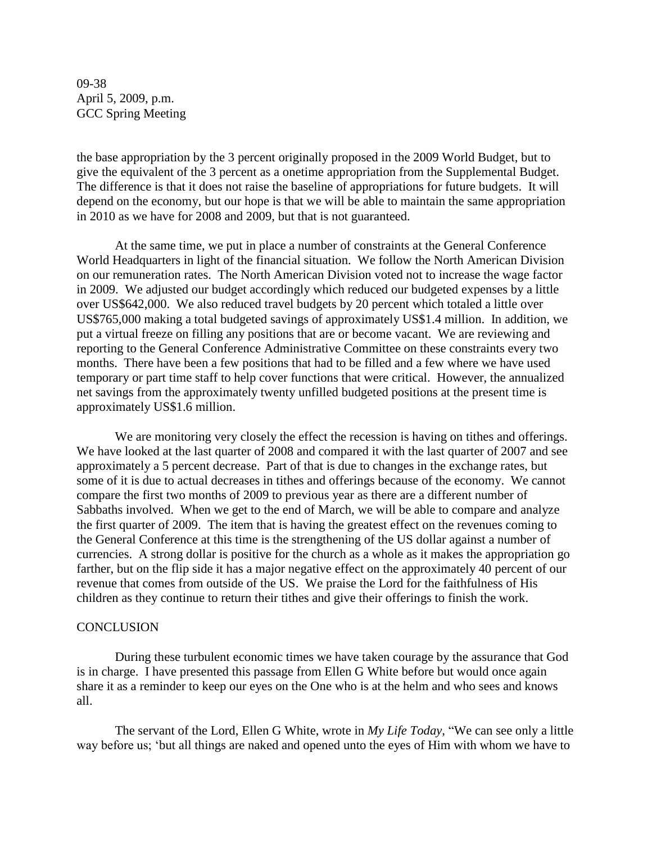09-38 April 5, 2009, p.m. GCC Spring Meeting

the base appropriation by the 3 percent originally proposed in the 2009 World Budget, but to give the equivalent of the 3 percent as a onetime appropriation from the Supplemental Budget. The difference is that it does not raise the baseline of appropriations for future budgets. It will depend on the economy, but our hope is that we will be able to maintain the same appropriation in 2010 as we have for 2008 and 2009, but that is not guaranteed.

At the same time, we put in place a number of constraints at the General Conference World Headquarters in light of the financial situation. We follow the North American Division on our remuneration rates. The North American Division voted not to increase the wage factor in 2009. We adjusted our budget accordingly which reduced our budgeted expenses by a little over US\$642,000. We also reduced travel budgets by 20 percent which totaled a little over US\$765,000 making a total budgeted savings of approximately US\$1.4 million. In addition, we put a virtual freeze on filling any positions that are or become vacant. We are reviewing and reporting to the General Conference Administrative Committee on these constraints every two months. There have been a few positions that had to be filled and a few where we have used temporary or part time staff to help cover functions that were critical. However, the annualized net savings from the approximately twenty unfilled budgeted positions at the present time is approximately US\$1.6 million.

We are monitoring very closely the effect the recession is having on tithes and offerings. We have looked at the last quarter of 2008 and compared it with the last quarter of 2007 and see approximately a 5 percent decrease. Part of that is due to changes in the exchange rates, but some of it is due to actual decreases in tithes and offerings because of the economy. We cannot compare the first two months of 2009 to previous year as there are a different number of Sabbaths involved. When we get to the end of March, we will be able to compare and analyze the first quarter of 2009. The item that is having the greatest effect on the revenues coming to the General Conference at this time is the strengthening of the US dollar against a number of currencies. A strong dollar is positive for the church as a whole as it makes the appropriation go farther, but on the flip side it has a major negative effect on the approximately 40 percent of our revenue that comes from outside of the US. We praise the Lord for the faithfulness of His children as they continue to return their tithes and give their offerings to finish the work.

#### **CONCLUSION**

During these turbulent economic times we have taken courage by the assurance that God is in charge. I have presented this passage from Ellen G White before but would once again share it as a reminder to keep our eyes on the One who is at the helm and who sees and knows all.

The servant of the Lord, Ellen G White, wrote in *My Life Today*, "We can see only a little way before us; "but all things are naked and opened unto the eyes of Him with whom we have to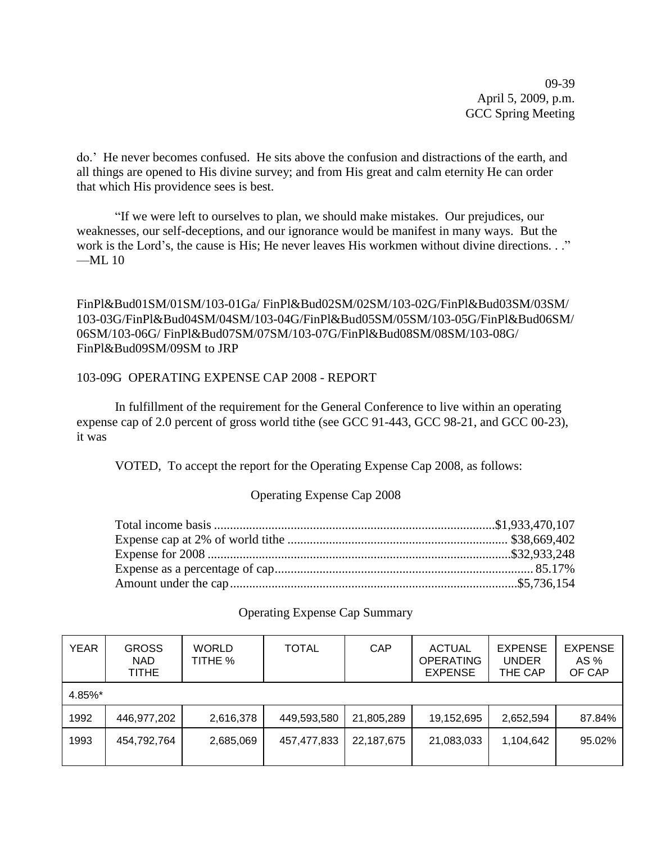09-39 April 5, 2009, p.m. GCC Spring Meeting

do." He never becomes confused. He sits above the confusion and distractions of the earth, and all things are opened to His divine survey; and from His great and calm eternity He can order that which His providence sees is best.

"If we were left to ourselves to plan, we should make mistakes. Our prejudices, our weaknesses, our self-deceptions, and our ignorance would be manifest in many ways. But the work is the Lord's, the cause is His; He never leaves His workmen without divine directions. . ."  $-ML$  10

FinPl&Bud01SM/01SM/103-01Ga/ FinPl&Bud02SM/02SM/103-02G/FinPl&Bud03SM/03SM/ 103-03G/FinPl&Bud04SM/04SM/103-04G/FinPl&Bud05SM/05SM/103-05G/FinPl&Bud06SM/ 06SM/103-06G/ FinPl&Bud07SM/07SM/103-07G/FinPl&Bud08SM/08SM/103-08G/ FinPl&Bud09SM/09SM to JRP

## 103-09G OPERATING EXPENSE CAP 2008 - REPORT

In fulfillment of the requirement for the General Conference to live within an operating expense cap of 2.0 percent of gross world tithe (see GCC 91-443, GCC 98-21, and GCC 00-23), it was

VOTED, To accept the report for the Operating Expense Cap 2008, as follows:

## Operating Expense Cap 2008

#### Operating Expense Cap Summary

| YEAR   | <b>GROSS</b><br>NAD.<br><b>TITHE</b> | <b>WORLD</b><br>TITHE % | <b>TOTAL</b> | <b>CAP</b> | <b>ACTUAL</b><br><b>OPERATING</b><br><b>EXPENSE</b> | <b>EXPENSE</b><br><b>UNDER</b><br>THE CAP | <b>EXPENSE</b><br>AS %<br>OF CAP |
|--------|--------------------------------------|-------------------------|--------------|------------|-----------------------------------------------------|-------------------------------------------|----------------------------------|
| 4.85%* |                                      |                         |              |            |                                                     |                                           |                                  |
| 1992   | 446,977,202                          | 2,616,378               | 449,593,580  | 21,805,289 | 19,152,695                                          | 2,652,594                                 | 87.84%                           |
| 1993   | 454,792,764                          | 2,685,069               | 457,477,833  | 22,187,675 | 21,083,033                                          | 1,104,642                                 | 95.02%                           |
|        |                                      |                         |              |            |                                                     |                                           |                                  |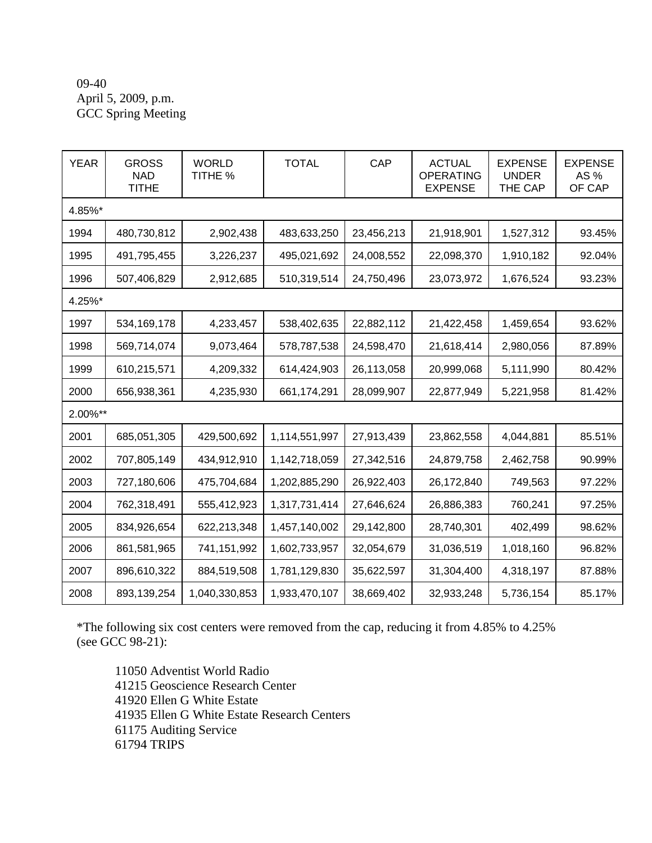## 09-40 April 5, 2009, p.m. GCC Spring Meeting

| <b>YEAR</b> | <b>GROSS</b><br><b>NAD</b><br><b>TITHE</b> | <b>WORLD</b><br>TITHE % | <b>TOTAL</b>  | CAP        | <b>ACTUAL</b><br><b>OPERATING</b><br><b>EXPENSE</b> | <b>EXPENSE</b><br><b>UNDER</b><br>THE CAP | <b>EXPENSE</b><br>AS %<br>OF CAP |
|-------------|--------------------------------------------|-------------------------|---------------|------------|-----------------------------------------------------|-------------------------------------------|----------------------------------|
| 4.85%*      |                                            |                         |               |            |                                                     |                                           |                                  |
| 1994        | 480,730,812                                | 2,902,438               | 483,633,250   | 23,456,213 | 21,918,901                                          | 1,527,312                                 | 93.45%                           |
| 1995        | 491,795,455                                | 3,226,237               | 495,021,692   | 24,008,552 | 22,098,370                                          | 1,910,182                                 | 92.04%                           |
| 1996        | 507,406,829                                | 2,912,685               | 510,319,514   | 24,750,496 | 23,073,972                                          | 1,676,524                                 | 93.23%                           |
| 4.25%*      |                                            |                         |               |            |                                                     |                                           |                                  |
| 1997        | 534,169,178                                | 4,233,457               | 538,402,635   | 22,882,112 | 21,422,458                                          | 1,459,654                                 | 93.62%                           |
| 1998        | 569,714,074                                | 9,073,464               | 578,787,538   | 24,598,470 | 21,618,414                                          | 2,980,056                                 | 87.89%                           |
| 1999        | 610,215,571                                | 4,209,332               | 614,424,903   | 26,113,058 | 20,999,068                                          | 5,111,990                                 | 80.42%                           |
| 2000        | 656,938,361                                | 4,235,930               | 661,174,291   | 28,099,907 | 22,877,949                                          | 5,221,958                                 | 81.42%                           |
| 2.00%**     |                                            |                         |               |            |                                                     |                                           |                                  |
| 2001        | 685,051,305                                | 429,500,692             | 1,114,551,997 | 27,913,439 | 23,862,558                                          | 4,044,881                                 | 85.51%                           |
| 2002        | 707,805,149                                | 434,912,910             | 1,142,718,059 | 27,342,516 | 24,879,758                                          | 2,462,758                                 | 90.99%                           |
| 2003        | 727,180,606                                | 475,704,684             | 1,202,885,290 | 26,922,403 | 26,172,840                                          | 749,563                                   | 97.22%                           |
| 2004        | 762,318,491                                | 555,412,923             | 1,317,731,414 | 27,646,624 | 26,886,383                                          | 760,241                                   | 97.25%                           |
| 2005        | 834,926,654                                | 622,213,348             | 1,457,140,002 | 29,142,800 | 28,740,301                                          | 402,499                                   | 98.62%                           |
| 2006        | 861,581,965                                | 741,151,992             | 1,602,733,957 | 32,054,679 | 31,036,519                                          | 1,018,160                                 | 96.82%                           |
| 2007        | 896,610,322                                | 884,519,508             | 1,781,129,830 | 35,622,597 | 31,304,400                                          | 4,318,197                                 | 87.88%                           |
| 2008        | 893,139,254                                | 1,040,330,853           | 1,933,470,107 | 38,669,402 | 32,933,248                                          | 5,736,154                                 | 85.17%                           |

\*The following six cost centers were removed from the cap, reducing it from 4.85% to 4.25% (see GCC 98-21):

11050 Adventist World Radio 41215 Geoscience Research Center 41920 Ellen G White Estate 41935 Ellen G White Estate Research Centers 61175 Auditing Service 61794 TRIPS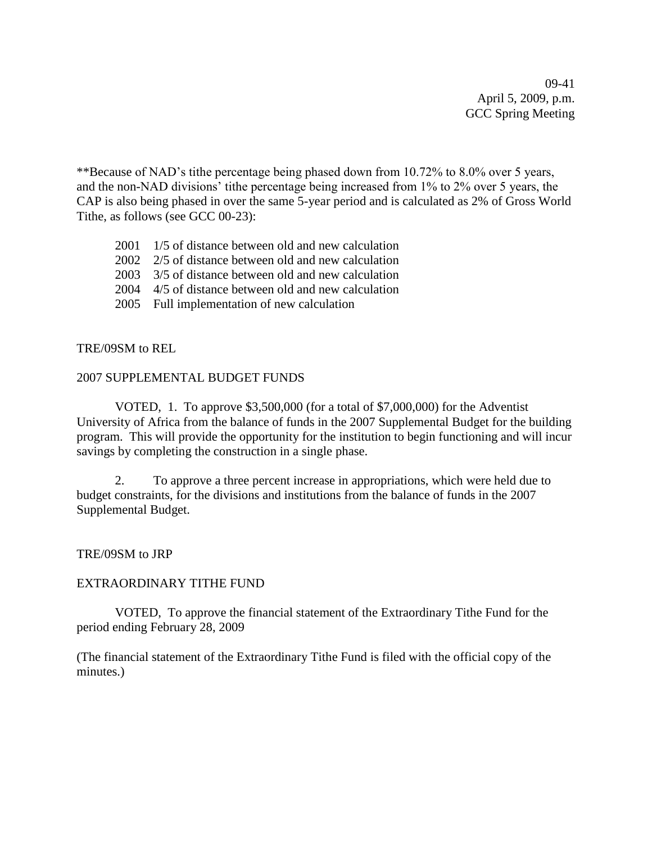09-41 April 5, 2009, p.m. GCC Spring Meeting

\*\*Because of NAD"s tithe percentage being phased down from 10.72% to 8.0% over 5 years, and the non-NAD divisions" tithe percentage being increased from 1% to 2% over 5 years, the CAP is also being phased in over the same 5-year period and is calculated as 2% of Gross World Tithe, as follows (see GCC 00-23):

- 2001 1/5 of distance between old and new calculation
- 2002 2/5 of distance between old and new calculation
- 2003 3/5 of distance between old and new calculation
- 2004 4/5 of distance between old and new calculation
- 2005 Full implementation of new calculation

### TRE/09SM to REL

### 2007 SUPPLEMENTAL BUDGET FUNDS

VOTED, 1. To approve \$3,500,000 (for a total of \$7,000,000) for the Adventist University of Africa from the balance of funds in the 2007 Supplemental Budget for the building program. This will provide the opportunity for the institution to begin functioning and will incur savings by completing the construction in a single phase.

2. To approve a three percent increase in appropriations, which were held due to budget constraints, for the divisions and institutions from the balance of funds in the 2007 Supplemental Budget.

#### TRE/09SM to JRP

#### EXTRAORDINARY TITHE FUND

VOTED, To approve the financial statement of the Extraordinary Tithe Fund for the period ending February 28, 2009

(The financial statement of the Extraordinary Tithe Fund is filed with the official copy of the minutes.)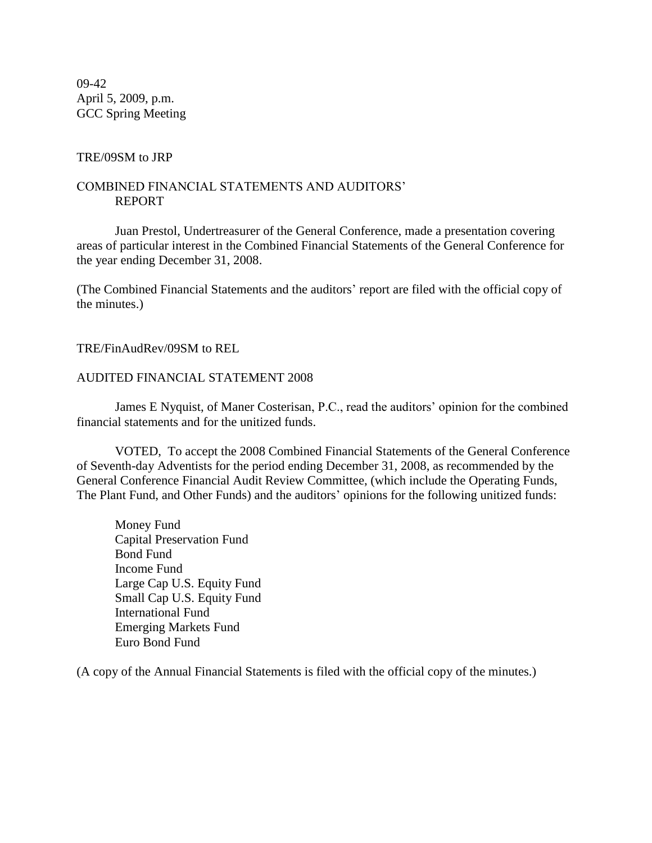09-42 April 5, 2009, p.m. GCC Spring Meeting

#### TRE/09SM to JRP

## COMBINED FINANCIAL STATEMENTS AND AUDITORS" REPORT

Juan Prestol, Undertreasurer of the General Conference, made a presentation covering areas of particular interest in the Combined Financial Statements of the General Conference for the year ending December 31, 2008.

(The Combined Financial Statements and the auditors" report are filed with the official copy of the minutes.)

### TRE/FinAudRev/09SM to REL

### AUDITED FINANCIAL STATEMENT 2008

James E Nyquist, of Maner Costerisan, P.C., read the auditors' opinion for the combined financial statements and for the unitized funds.

VOTED, To accept the 2008 Combined Financial Statements of the General Conference of Seventh-day Adventists for the period ending December 31, 2008, as recommended by the General Conference Financial Audit Review Committee, (which include the Operating Funds, The Plant Fund, and Other Funds) and the auditors' opinions for the following unitized funds:

Money Fund Capital Preservation Fund Bond Fund Income Fund Large Cap U.S. Equity Fund Small Cap U.S. Equity Fund International Fund Emerging Markets Fund Euro Bond Fund

(A copy of the Annual Financial Statements is filed with the official copy of the minutes.)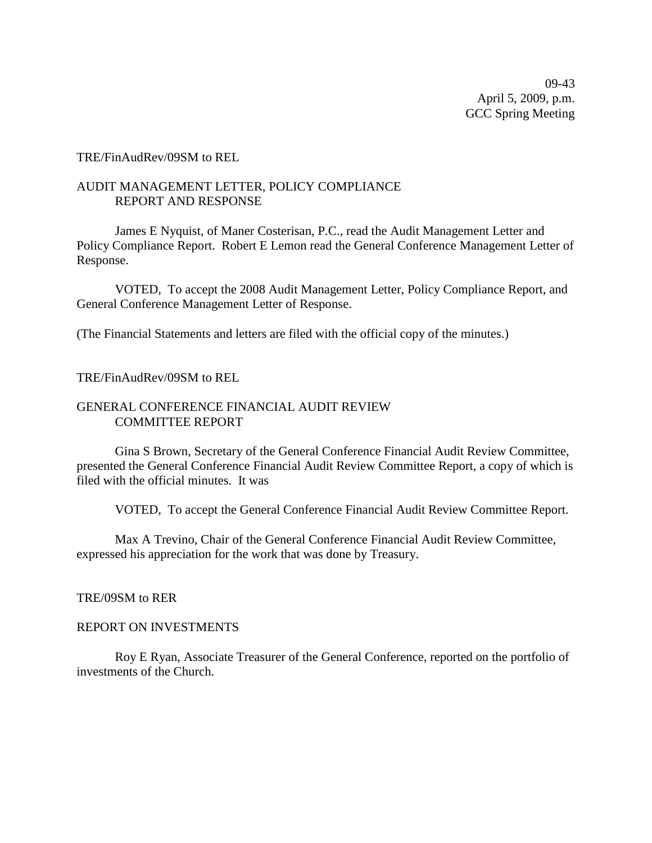09-43 April 5, 2009, p.m. GCC Spring Meeting

#### TRE/FinAudRev/09SM to REL

## AUDIT MANAGEMENT LETTER, POLICY COMPLIANCE REPORT AND RESPONSE

James E Nyquist, of Maner Costerisan, P.C., read the Audit Management Letter and Policy Compliance Report. Robert E Lemon read the General Conference Management Letter of Response.

VOTED, To accept the 2008 Audit Management Letter, Policy Compliance Report, and General Conference Management Letter of Response.

(The Financial Statements and letters are filed with the official copy of the minutes.)

#### TRE/FinAudRev/09SM to REL

## GENERAL CONFERENCE FINANCIAL AUDIT REVIEW COMMITTEE REPORT

Gina S Brown, Secretary of the General Conference Financial Audit Review Committee, presented the General Conference Financial Audit Review Committee Report, a copy of which is filed with the official minutes. It was

VOTED, To accept the General Conference Financial Audit Review Committee Report.

Max A Trevino, Chair of the General Conference Financial Audit Review Committee, expressed his appreciation for the work that was done by Treasury.

### TRE/09SM to RER

### REPORT ON INVESTMENTS

Roy E Ryan, Associate Treasurer of the General Conference, reported on the portfolio of investments of the Church.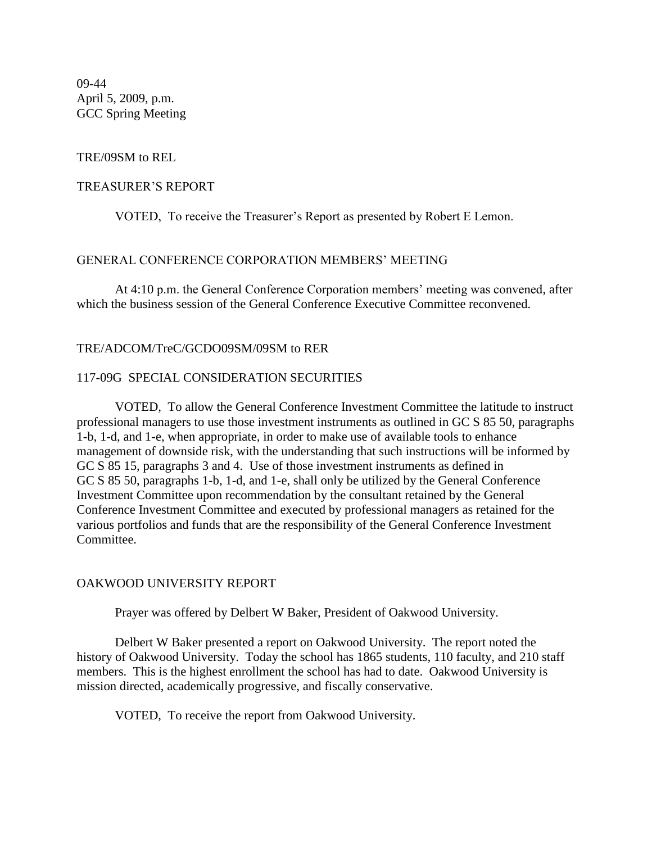09-44 April 5, 2009, p.m. GCC Spring Meeting

#### TRE/09SM to REL

#### TREASURER"S REPORT

VOTED, To receive the Treasurer"s Report as presented by Robert E Lemon.

### GENERAL CONFERENCE CORPORATION MEMBERS" MEETING

At 4:10 p.m. the General Conference Corporation members' meeting was convened, after which the business session of the General Conference Executive Committee reconvened.

## TRE/ADCOM/TreC/GCDO09SM/09SM to RER

### 117-09G SPECIAL CONSIDERATION SECURITIES

VOTED, To allow the General Conference Investment Committee the latitude to instruct professional managers to use those investment instruments as outlined in GC S 85 50, paragraphs 1-b, 1-d, and 1-e, when appropriate, in order to make use of available tools to enhance management of downside risk, with the understanding that such instructions will be informed by GC S 85 15, paragraphs 3 and 4. Use of those investment instruments as defined in GC S 85 50, paragraphs 1-b, 1-d, and 1-e, shall only be utilized by the General Conference Investment Committee upon recommendation by the consultant retained by the General Conference Investment Committee and executed by professional managers as retained for the various portfolios and funds that are the responsibility of the General Conference Investment Committee.

#### OAKWOOD UNIVERSITY REPORT

Prayer was offered by Delbert W Baker, President of Oakwood University.

Delbert W Baker presented a report on Oakwood University. The report noted the history of Oakwood University. Today the school has 1865 students, 110 faculty, and 210 staff members. This is the highest enrollment the school has had to date. Oakwood University is mission directed, academically progressive, and fiscally conservative.

VOTED, To receive the report from Oakwood University.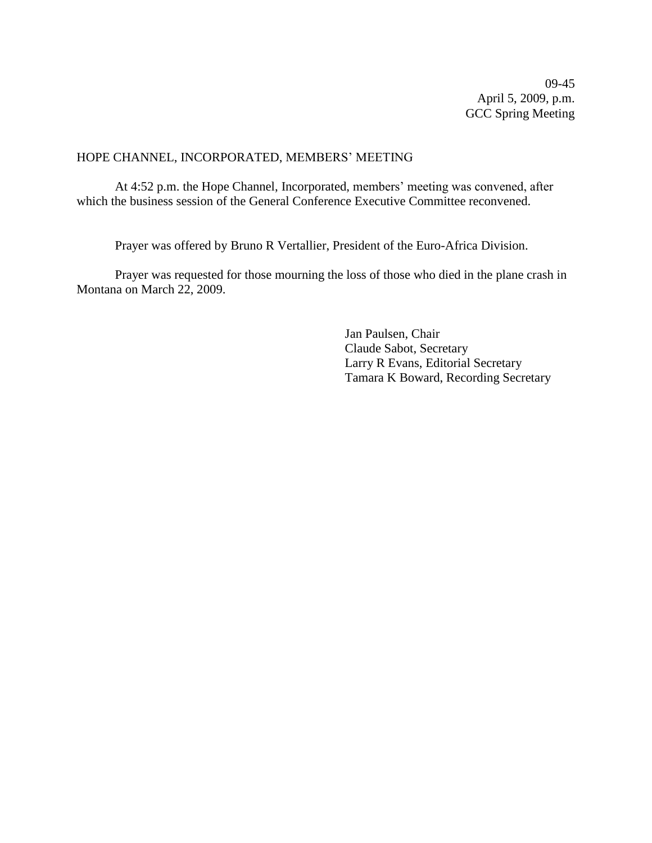09-45 April 5, 2009, p.m. GCC Spring Meeting

# HOPE CHANNEL, INCORPORATED, MEMBERS" MEETING

At 4:52 p.m. the Hope Channel, Incorporated, members' meeting was convened, after which the business session of the General Conference Executive Committee reconvened.

Prayer was offered by Bruno R Vertallier, President of the Euro-Africa Division.

Prayer was requested for those mourning the loss of those who died in the plane crash in Montana on March 22, 2009.

> Jan Paulsen, Chair Claude Sabot, Secretary Larry R Evans, Editorial Secretary Tamara K Boward, Recording Secretary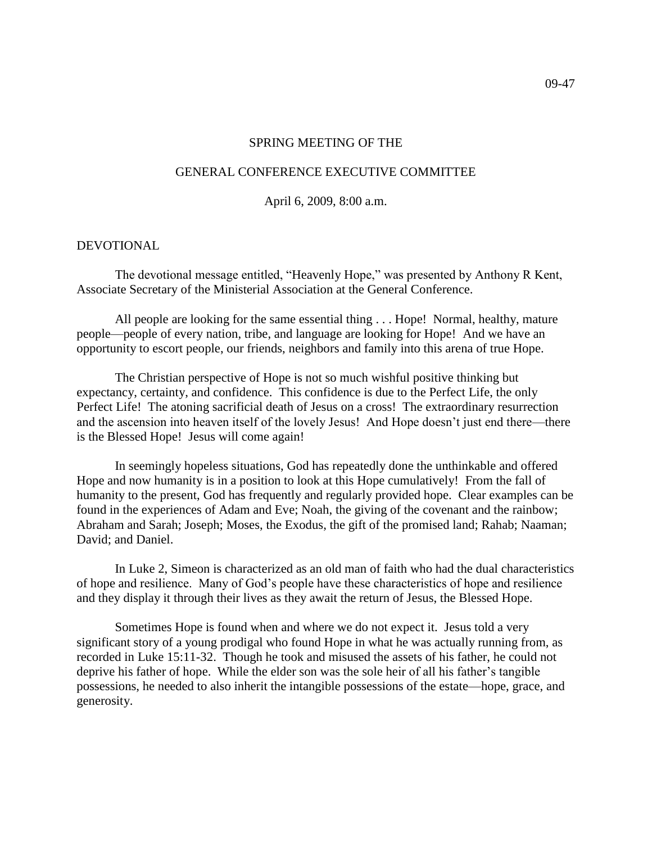09-47

## SPRING MEETING OF THE

#### GENERAL CONFERENCE EXECUTIVE COMMITTEE

April 6, 2009, 8:00 a.m.

### DEVOTIONAL

The devotional message entitled, "Heavenly Hope," was presented by Anthony R Kent, Associate Secretary of the Ministerial Association at the General Conference.

All people are looking for the same essential thing . . . Hope! Normal, healthy, mature people—people of every nation, tribe, and language are looking for Hope! And we have an opportunity to escort people, our friends, neighbors and family into this arena of true Hope.

The Christian perspective of Hope is not so much wishful positive thinking but expectancy, certainty, and confidence. This confidence is due to the Perfect Life, the only Perfect Life! The atoning sacrificial death of Jesus on a cross! The extraordinary resurrection and the ascension into heaven itself of the lovely Jesus! And Hope doesn"t just end there—there is the Blessed Hope! Jesus will come again!

In seemingly hopeless situations, God has repeatedly done the unthinkable and offered Hope and now humanity is in a position to look at this Hope cumulatively! From the fall of humanity to the present, God has frequently and regularly provided hope. Clear examples can be found in the experiences of Adam and Eve; Noah, the giving of the covenant and the rainbow; Abraham and Sarah; Joseph; Moses, the Exodus, the gift of the promised land; Rahab; Naaman; David; and Daniel.

In Luke 2, Simeon is characterized as an old man of faith who had the dual characteristics of hope and resilience. Many of God"s people have these characteristics of hope and resilience and they display it through their lives as they await the return of Jesus, the Blessed Hope.

Sometimes Hope is found when and where we do not expect it. Jesus told a very significant story of a young prodigal who found Hope in what he was actually running from, as recorded in Luke 15:11-32. Though he took and misused the assets of his father, he could not deprive his father of hope. While the elder son was the sole heir of all his father"s tangible possessions, he needed to also inherit the intangible possessions of the estate—hope, grace, and generosity.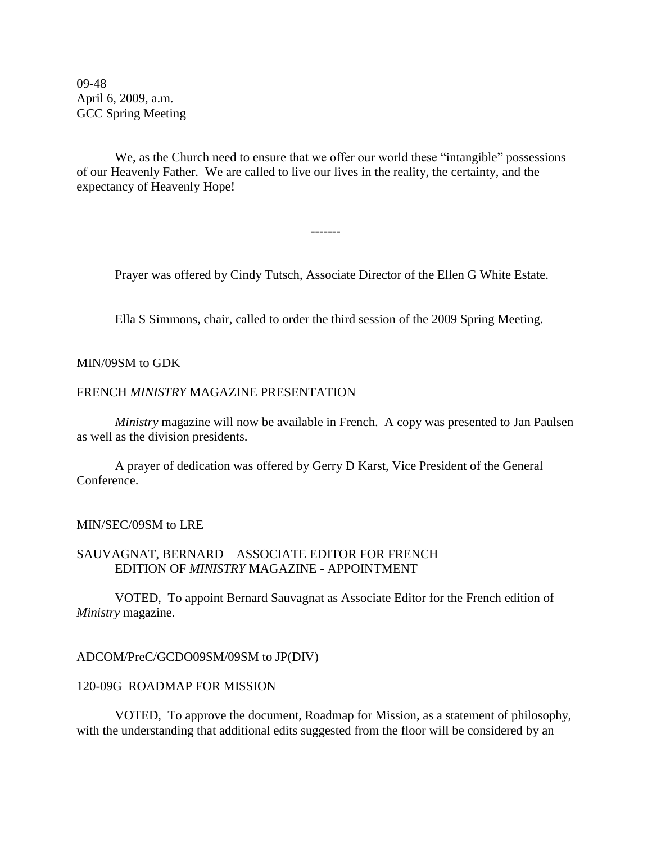09-48 April 6, 2009, a.m. GCC Spring Meeting

We, as the Church need to ensure that we offer our world these "intangible" possessions of our Heavenly Father. We are called to live our lives in the reality, the certainty, and the expectancy of Heavenly Hope!

-------

Prayer was offered by Cindy Tutsch, Associate Director of the Ellen G White Estate.

Ella S Simmons, chair, called to order the third session of the 2009 Spring Meeting.

#### MIN/09SM to GDK

## FRENCH *MINISTRY* MAGAZINE PRESENTATION

*Ministry* magazine will now be available in French. A copy was presented to Jan Paulsen as well as the division presidents.

A prayer of dedication was offered by Gerry D Karst, Vice President of the General Conference.

#### MIN/SEC/09SM to LRE

## SAUVAGNAT, BERNARD—ASSOCIATE EDITOR FOR FRENCH EDITION OF *MINISTRY* MAGAZINE - APPOINTMENT

VOTED, To appoint Bernard Sauvagnat as Associate Editor for the French edition of *Ministry* magazine.

#### ADCOM/PreC/GCDO09SM/09SM to JP(DIV)

#### 120-09G ROADMAP FOR MISSION

VOTED, To approve the document, Roadmap for Mission, as a statement of philosophy, with the understanding that additional edits suggested from the floor will be considered by an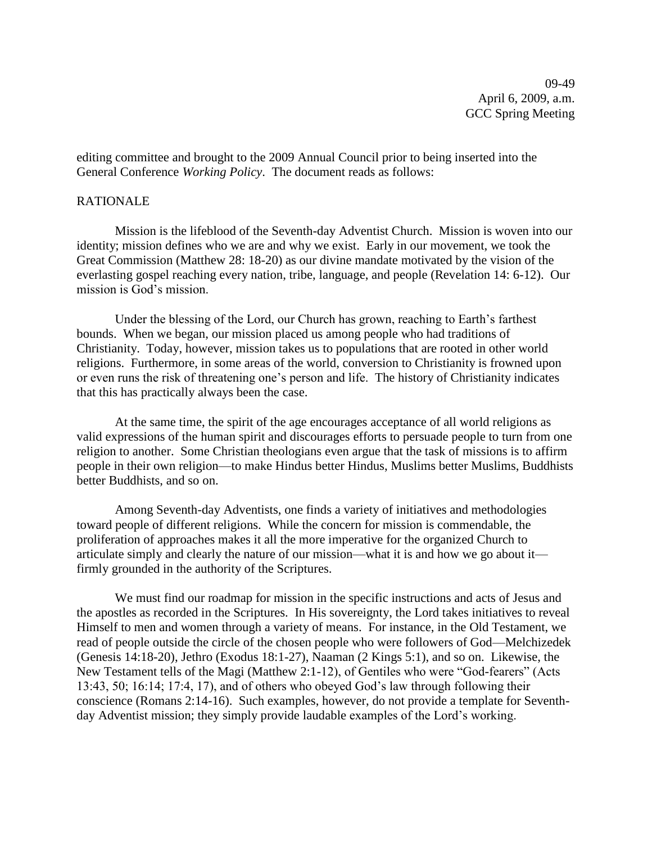09-49 April 6, 2009, a.m. GCC Spring Meeting

editing committee and brought to the 2009 Annual Council prior to being inserted into the General Conference *Working Policy*. The document reads as follows:

## RATIONALE

Mission is the lifeblood of the Seventh-day Adventist Church. Mission is woven into our identity; mission defines who we are and why we exist. Early in our movement, we took the Great Commission (Matthew 28: 18-20) as our divine mandate motivated by the vision of the everlasting gospel reaching every nation, tribe, language, and people (Revelation 14: 6-12). Our mission is God's mission

Under the blessing of the Lord, our Church has grown, reaching to Earth's farthest bounds. When we began, our mission placed us among people who had traditions of Christianity. Today, however, mission takes us to populations that are rooted in other world religions. Furthermore, in some areas of the world, conversion to Christianity is frowned upon or even runs the risk of threatening one"s person and life. The history of Christianity indicates that this has practically always been the case.

At the same time, the spirit of the age encourages acceptance of all world religions as valid expressions of the human spirit and discourages efforts to persuade people to turn from one religion to another. Some Christian theologians even argue that the task of missions is to affirm people in their own religion—to make Hindus better Hindus, Muslims better Muslims, Buddhists better Buddhists, and so on.

Among Seventh-day Adventists, one finds a variety of initiatives and methodologies toward people of different religions. While the concern for mission is commendable, the proliferation of approaches makes it all the more imperative for the organized Church to articulate simply and clearly the nature of our mission—what it is and how we go about it firmly grounded in the authority of the Scriptures.

We must find our roadmap for mission in the specific instructions and acts of Jesus and the apostles as recorded in the Scriptures. In His sovereignty, the Lord takes initiatives to reveal Himself to men and women through a variety of means. For instance, in the Old Testament, we read of people outside the circle of the chosen people who were followers of God—Melchizedek (Genesis 14:18-20), Jethro (Exodus 18:1-27), Naaman (2 Kings 5:1), and so on. Likewise, the New Testament tells of the Magi (Matthew 2:1-12), of Gentiles who were "God-fearers" (Acts 13:43, 50; 16:14; 17:4, 17), and of others who obeyed God"s law through following their conscience (Romans 2:14-16). Such examples, however, do not provide a template for Seventhday Adventist mission; they simply provide laudable examples of the Lord"s working.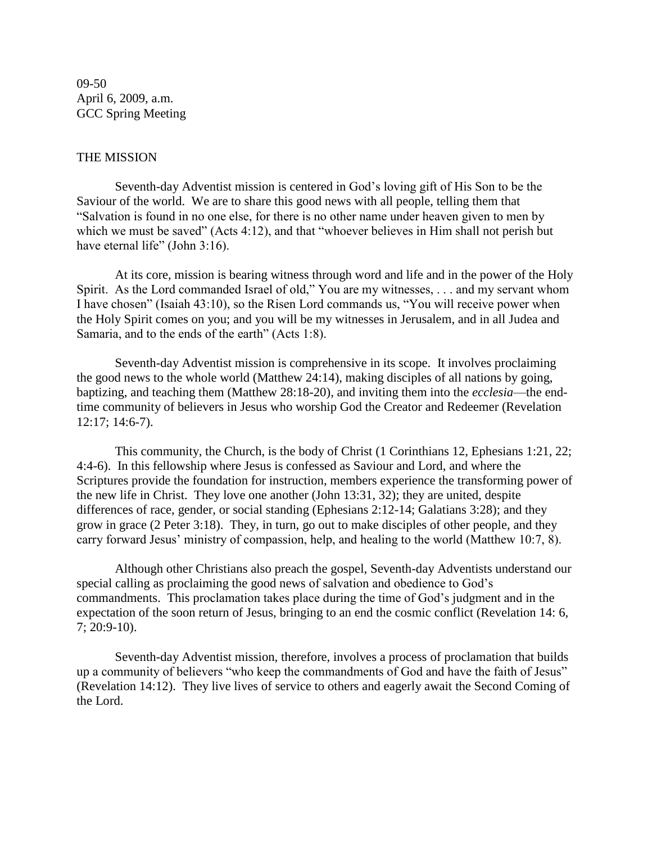09-50 April 6, 2009, a.m. GCC Spring Meeting

#### THE MISSION

Seventh-day Adventist mission is centered in God"s loving gift of His Son to be the Saviour of the world. We are to share this good news with all people, telling them that "Salvation is found in no one else, for there is no other name under heaven given to men by which we must be saved" (Acts 4:12), and that "whoever believes in Him shall not perish but have eternal life" (John 3:16).

At its core, mission is bearing witness through word and life and in the power of the Holy Spirit. As the Lord commanded Israel of old," You are my witnesses, . . . and my servant whom I have chosen" (Isaiah 43:10), so the Risen Lord commands us, "You will receive power when the Holy Spirit comes on you; and you will be my witnesses in Jerusalem, and in all Judea and Samaria, and to the ends of the earth" (Acts 1:8).

Seventh-day Adventist mission is comprehensive in its scope. It involves proclaiming the good news to the whole world (Matthew 24:14), making disciples of all nations by going, baptizing, and teaching them (Matthew 28:18-20), and inviting them into the *ecclesia*—the endtime community of believers in Jesus who worship God the Creator and Redeemer (Revelation 12:17; 14:6-7).

This community, the Church, is the body of Christ (1 Corinthians 12, Ephesians 1:21, 22; 4:4-6). In this fellowship where Jesus is confessed as Saviour and Lord, and where the Scriptures provide the foundation for instruction, members experience the transforming power of the new life in Christ. They love one another (John 13:31, 32); they are united, despite differences of race, gender, or social standing (Ephesians 2:12-14; Galatians 3:28); and they grow in grace (2 Peter 3:18). They, in turn, go out to make disciples of other people, and they carry forward Jesus' ministry of compassion, help, and healing to the world (Matthew 10:7, 8).

Although other Christians also preach the gospel, Seventh-day Adventists understand our special calling as proclaiming the good news of salvation and obedience to God's commandments. This proclamation takes place during the time of God"s judgment and in the expectation of the soon return of Jesus, bringing to an end the cosmic conflict (Revelation 14: 6, 7; 20:9-10).

Seventh-day Adventist mission, therefore, involves a process of proclamation that builds up a community of believers "who keep the commandments of God and have the faith of Jesus" (Revelation 14:12). They live lives of service to others and eagerly await the Second Coming of the Lord.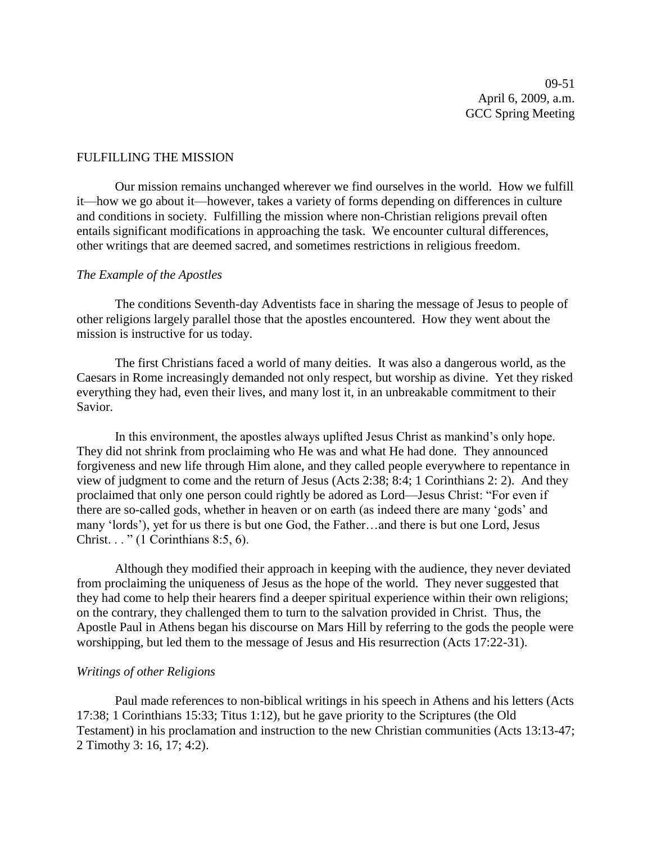09-51 April 6, 2009, a.m. GCC Spring Meeting

#### FULFILLING THE MISSION

Our mission remains unchanged wherever we find ourselves in the world. How we fulfill it—how we go about it—however, takes a variety of forms depending on differences in culture and conditions in society. Fulfilling the mission where non-Christian religions prevail often entails significant modifications in approaching the task. We encounter cultural differences, other writings that are deemed sacred, and sometimes restrictions in religious freedom.

#### *The Example of the Apostles*

The conditions Seventh-day Adventists face in sharing the message of Jesus to people of other religions largely parallel those that the apostles encountered. How they went about the mission is instructive for us today.

The first Christians faced a world of many deities. It was also a dangerous world, as the Caesars in Rome increasingly demanded not only respect, but worship as divine. Yet they risked everything they had, even their lives, and many lost it, in an unbreakable commitment to their Savior.

In this environment, the apostles always uplifted Jesus Christ as mankind"s only hope. They did not shrink from proclaiming who He was and what He had done. They announced forgiveness and new life through Him alone, and they called people everywhere to repentance in view of judgment to come and the return of Jesus (Acts 2:38; 8:4; 1 Corinthians 2: 2). And they proclaimed that only one person could rightly be adored as Lord—Jesus Christ: "For even if there are so-called gods, whether in heaven or on earth (as indeed there are many "gods" and many "lords"), yet for us there is but one God, the Father…and there is but one Lord, Jesus Christ. . . " (1 Corinthians 8:5, 6).

Although they modified their approach in keeping with the audience, they never deviated from proclaiming the uniqueness of Jesus as the hope of the world. They never suggested that they had come to help their hearers find a deeper spiritual experience within their own religions; on the contrary, they challenged them to turn to the salvation provided in Christ. Thus, the Apostle Paul in Athens began his discourse on Mars Hill by referring to the gods the people were worshipping, but led them to the message of Jesus and His resurrection (Acts 17:22-31).

#### *Writings of other Religions*

Paul made references to non-biblical writings in his speech in Athens and his letters (Acts 17:38; 1 Corinthians 15:33; Titus 1:12), but he gave priority to the Scriptures (the Old Testament) in his proclamation and instruction to the new Christian communities (Acts 13:13-47; 2 Timothy 3: 16, 17; 4:2).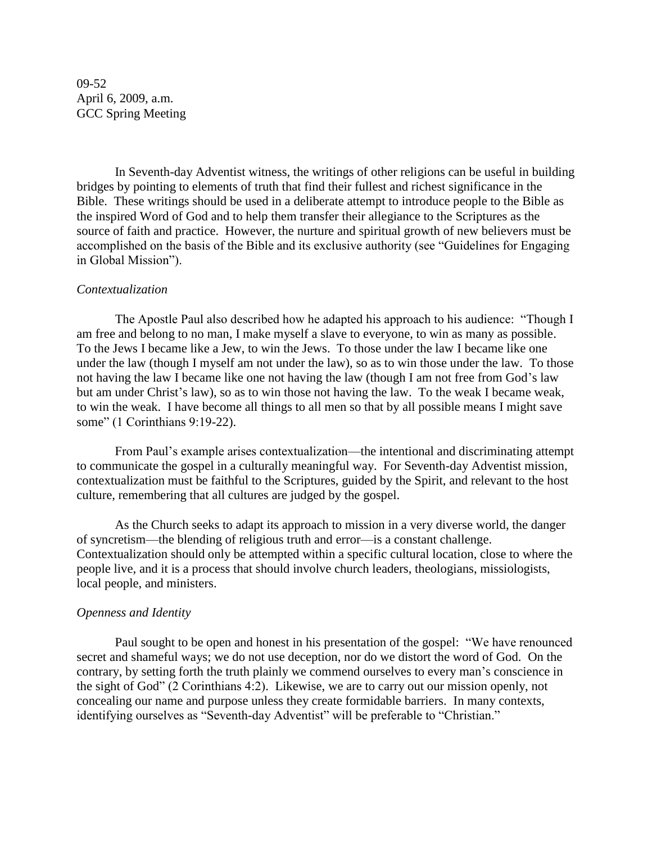09-52 April 6, 2009, a.m. GCC Spring Meeting

In Seventh-day Adventist witness, the writings of other religions can be useful in building bridges by pointing to elements of truth that find their fullest and richest significance in the Bible. These writings should be used in a deliberate attempt to introduce people to the Bible as the inspired Word of God and to help them transfer their allegiance to the Scriptures as the source of faith and practice. However, the nurture and spiritual growth of new believers must be accomplished on the basis of the Bible and its exclusive authority (see "Guidelines for Engaging in Global Mission").

#### *Contextualization*

The Apostle Paul also described how he adapted his approach to his audience: "Though I am free and belong to no man, I make myself a slave to everyone, to win as many as possible. To the Jews I became like a Jew, to win the Jews. To those under the law I became like one under the law (though I myself am not under the law), so as to win those under the law. To those not having the law I became like one not having the law (though I am not free from God"s law but am under Christ's law), so as to win those not having the law. To the weak I became weak, to win the weak. I have become all things to all men so that by all possible means I might save some" (1 Corinthians 9:19-22).

From Paul"s example arises contextualization—the intentional and discriminating attempt to communicate the gospel in a culturally meaningful way. For Seventh-day Adventist mission, contextualization must be faithful to the Scriptures, guided by the Spirit, and relevant to the host culture, remembering that all cultures are judged by the gospel.

As the Church seeks to adapt its approach to mission in a very diverse world, the danger of syncretism—the blending of religious truth and error—is a constant challenge. Contextualization should only be attempted within a specific cultural location, close to where the people live, and it is a process that should involve church leaders, theologians, missiologists, local people, and ministers.

## *Openness and Identity*

Paul sought to be open and honest in his presentation of the gospel: "We have renounced secret and shameful ways; we do not use deception, nor do we distort the word of God. On the contrary, by setting forth the truth plainly we commend ourselves to every man"s conscience in the sight of God" (2 Corinthians 4:2). Likewise, we are to carry out our mission openly, not concealing our name and purpose unless they create formidable barriers. In many contexts, identifying ourselves as "Seventh-day Adventist" will be preferable to "Christian."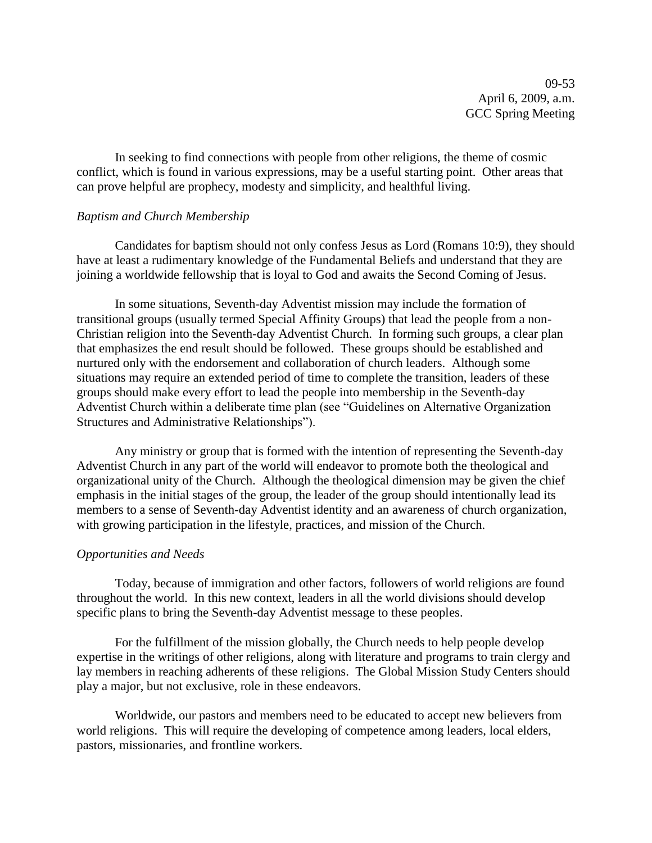09-53 April 6, 2009, a.m. GCC Spring Meeting

In seeking to find connections with people from other religions, the theme of cosmic conflict, which is found in various expressions, may be a useful starting point. Other areas that can prove helpful are prophecy, modesty and simplicity, and healthful living.

#### *Baptism and Church Membership*

Candidates for baptism should not only confess Jesus as Lord (Romans 10:9), they should have at least a rudimentary knowledge of the Fundamental Beliefs and understand that they are joining a worldwide fellowship that is loyal to God and awaits the Second Coming of Jesus.

In some situations, Seventh-day Adventist mission may include the formation of transitional groups (usually termed Special Affinity Groups) that lead the people from a non-Christian religion into the Seventh-day Adventist Church. In forming such groups, a clear plan that emphasizes the end result should be followed. These groups should be established and nurtured only with the endorsement and collaboration of church leaders. Although some situations may require an extended period of time to complete the transition, leaders of these groups should make every effort to lead the people into membership in the Seventh-day Adventist Church within a deliberate time plan (see "Guidelines on Alternative Organization Structures and Administrative Relationships").

Any ministry or group that is formed with the intention of representing the Seventh-day Adventist Church in any part of the world will endeavor to promote both the theological and organizational unity of the Church. Although the theological dimension may be given the chief emphasis in the initial stages of the group, the leader of the group should intentionally lead its members to a sense of Seventh-day Adventist identity and an awareness of church organization, with growing participation in the lifestyle, practices, and mission of the Church.

#### *Opportunities and Needs*

Today, because of immigration and other factors, followers of world religions are found throughout the world. In this new context, leaders in all the world divisions should develop specific plans to bring the Seventh-day Adventist message to these peoples.

For the fulfillment of the mission globally, the Church needs to help people develop expertise in the writings of other religions, along with literature and programs to train clergy and lay members in reaching adherents of these religions. The Global Mission Study Centers should play a major, but not exclusive, role in these endeavors.

Worldwide, our pastors and members need to be educated to accept new believers from world religions. This will require the developing of competence among leaders, local elders, pastors, missionaries, and frontline workers.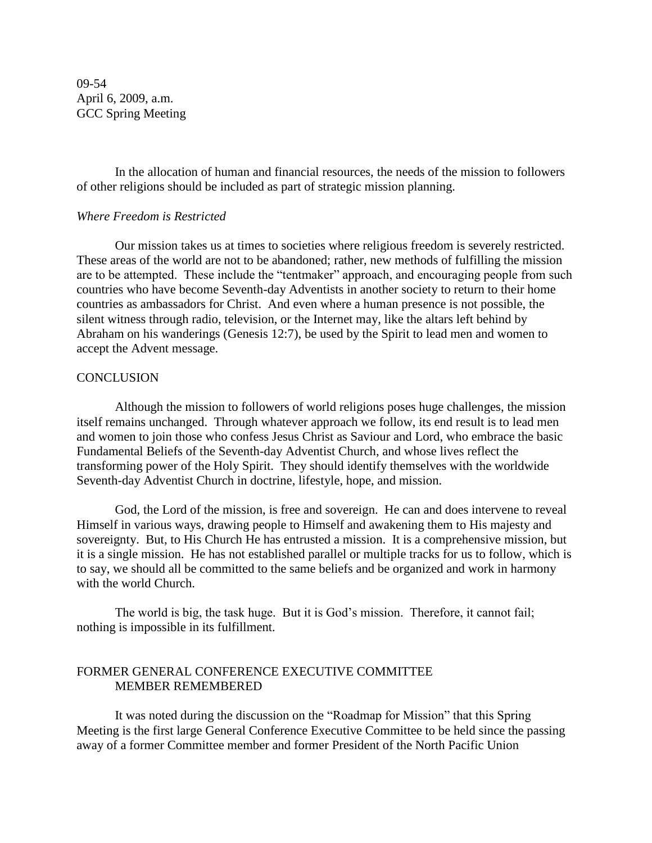09-54 April 6, 2009, a.m. GCC Spring Meeting

In the allocation of human and financial resources, the needs of the mission to followers of other religions should be included as part of strategic mission planning.

## *Where Freedom is Restricted*

Our mission takes us at times to societies where religious freedom is severely restricted. These areas of the world are not to be abandoned; rather, new methods of fulfilling the mission are to be attempted. These include the "tentmaker" approach, and encouraging people from such countries who have become Seventh-day Adventists in another society to return to their home countries as ambassadors for Christ. And even where a human presence is not possible, the silent witness through radio, television, or the Internet may, like the altars left behind by Abraham on his wanderings (Genesis 12:7), be used by the Spirit to lead men and women to accept the Advent message.

#### **CONCLUSION**

Although the mission to followers of world religions poses huge challenges, the mission itself remains unchanged. Through whatever approach we follow, its end result is to lead men and women to join those who confess Jesus Christ as Saviour and Lord, who embrace the basic Fundamental Beliefs of the Seventh-day Adventist Church, and whose lives reflect the transforming power of the Holy Spirit. They should identify themselves with the worldwide Seventh-day Adventist Church in doctrine, lifestyle, hope, and mission.

God, the Lord of the mission, is free and sovereign. He can and does intervene to reveal Himself in various ways, drawing people to Himself and awakening them to His majesty and sovereignty. But, to His Church He has entrusted a mission. It is a comprehensive mission, but it is a single mission. He has not established parallel or multiple tracks for us to follow, which is to say, we should all be committed to the same beliefs and be organized and work in harmony with the world Church.

The world is big, the task huge. But it is God"s mission. Therefore, it cannot fail; nothing is impossible in its fulfillment.

#### FORMER GENERAL CONFERENCE EXECUTIVE COMMITTEE MEMBER REMEMBERED

It was noted during the discussion on the "Roadmap for Mission" that this Spring Meeting is the first large General Conference Executive Committee to be held since the passing away of a former Committee member and former President of the North Pacific Union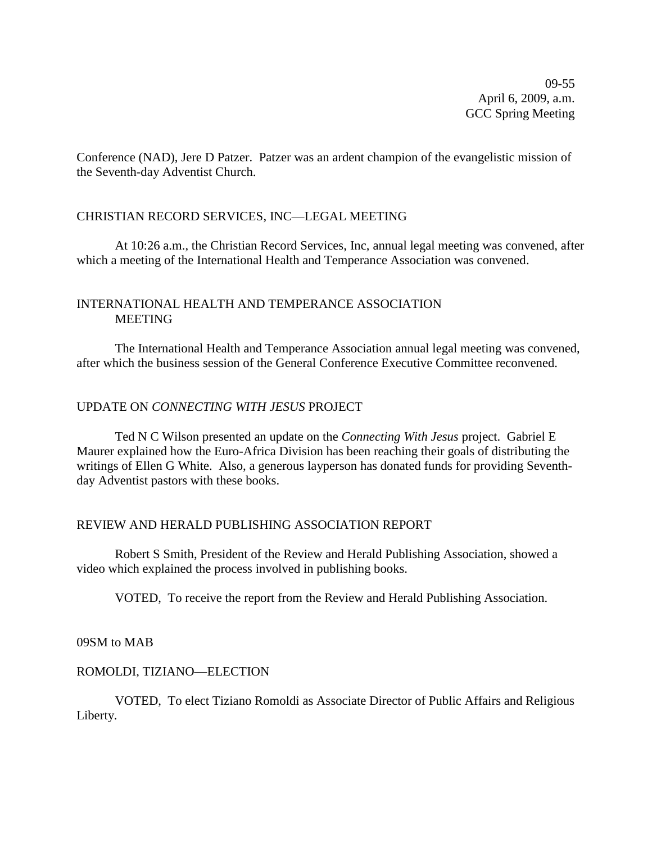09-55 April 6, 2009, a.m. GCC Spring Meeting

Conference (NAD), Jere D Patzer. Patzer was an ardent champion of the evangelistic mission of the Seventh-day Adventist Church.

### CHRISTIAN RECORD SERVICES, INC—LEGAL MEETING

At 10:26 a.m., the Christian Record Services, Inc, annual legal meeting was convened, after which a meeting of the International Health and Temperance Association was convened.

## INTERNATIONAL HEALTH AND TEMPERANCE ASSOCIATION MEETING

The International Health and Temperance Association annual legal meeting was convened, after which the business session of the General Conference Executive Committee reconvened.

### UPDATE ON *CONNECTING WITH JESUS* PROJECT

Ted N C Wilson presented an update on the *Connecting With Jesus* project. Gabriel E Maurer explained how the Euro-Africa Division has been reaching their goals of distributing the writings of Ellen G White. Also, a generous layperson has donated funds for providing Seventhday Adventist pastors with these books.

### REVIEW AND HERALD PUBLISHING ASSOCIATION REPORT

Robert S Smith, President of the Review and Herald Publishing Association, showed a video which explained the process involved in publishing books.

VOTED, To receive the report from the Review and Herald Publishing Association.

#### 09SM to MAB

#### ROMOLDI, TIZIANO—ELECTION

VOTED, To elect Tiziano Romoldi as Associate Director of Public Affairs and Religious Liberty.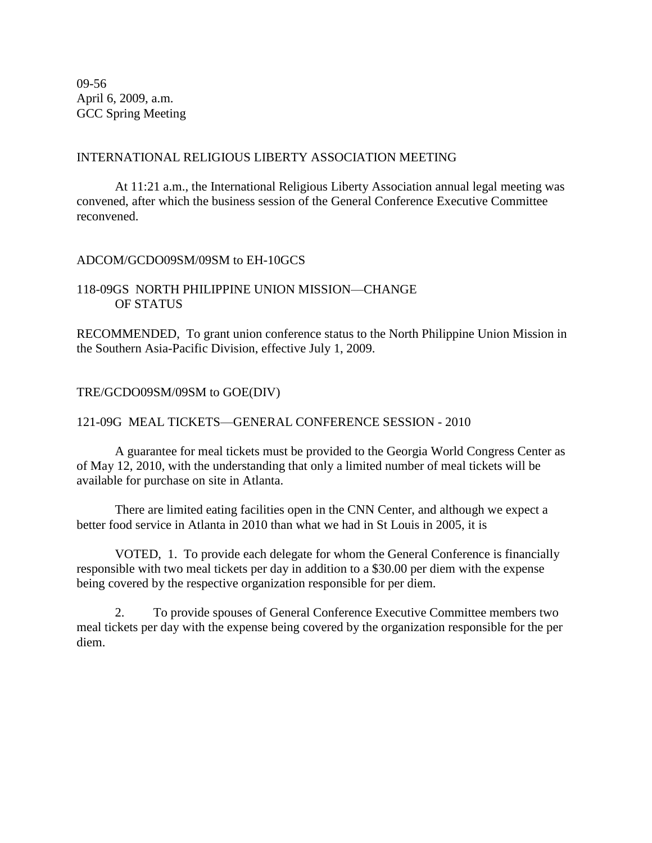09-56 April 6, 2009, a.m. GCC Spring Meeting

## INTERNATIONAL RELIGIOUS LIBERTY ASSOCIATION MEETING

At 11:21 a.m., the International Religious Liberty Association annual legal meeting was convened, after which the business session of the General Conference Executive Committee reconvened.

### ADCOM/GCDO09SM/09SM to EH-10GCS

## 118-09GS NORTH PHILIPPINE UNION MISSION—CHANGE OF STATUS

RECOMMENDED, To grant union conference status to the North Philippine Union Mission in the Southern Asia-Pacific Division, effective July 1, 2009.

### TRE/GCDO09SM/09SM to GOE(DIV)

#### 121-09G MEAL TICKETS—GENERAL CONFERENCE SESSION - 2010

A guarantee for meal tickets must be provided to the Georgia World Congress Center as of May 12, 2010, with the understanding that only a limited number of meal tickets will be available for purchase on site in Atlanta.

There are limited eating facilities open in the CNN Center, and although we expect a better food service in Atlanta in 2010 than what we had in St Louis in 2005, it is

VOTED, 1. To provide each delegate for whom the General Conference is financially responsible with two meal tickets per day in addition to a \$30.00 per diem with the expense being covered by the respective organization responsible for per diem.

2. To provide spouses of General Conference Executive Committee members two meal tickets per day with the expense being covered by the organization responsible for the per diem.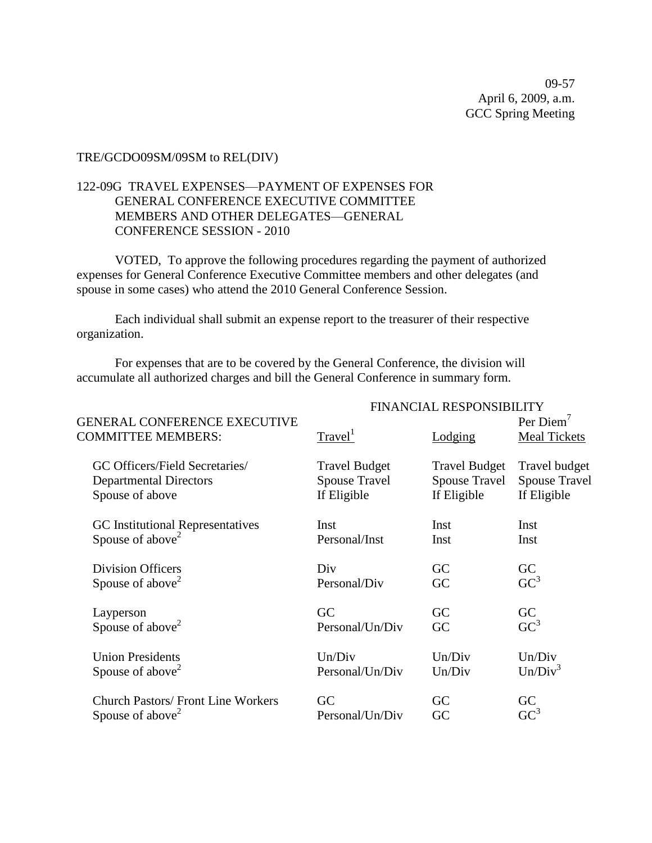#### TRE/GCDO09SM/09SM to REL(DIV)

## 122-09G TRAVEL EXPENSES—PAYMENT OF EXPENSES FOR GENERAL CONFERENCE EXECUTIVE COMMITTEE MEMBERS AND OTHER DELEGATES—GENERAL CONFERENCE SESSION - 2010

VOTED, To approve the following procedures regarding the payment of authorized expenses for General Conference Executive Committee members and other delegates (and spouse in some cases) who attend the 2010 General Conference Session.

Each individual shall submit an expense report to the treasurer of their respective organization.

For expenses that are to be covered by the General Conference, the division will accumulate all authorized charges and bill the General Conference in summary form.

| <b>GENERAL CONFERENCE EXECUTIVE</b>       | Travel <sup>1</sup>  | I INANCIAL RESI ONSIBILI I | Per Diem <sup>7</sup> |
|-------------------------------------------|----------------------|----------------------------|-----------------------|
| <b>COMMITTEE MEMBERS:</b>                 |                      | Lodging                    | <b>Meal Tickets</b>   |
| GC Officers/Field Secretaries/            | <b>Travel Budget</b> | <b>Travel Budget</b>       | Travel budget         |
| <b>Departmental Directors</b>             | <b>Spouse Travel</b> | <b>Spouse Travel</b>       | <b>Spouse Travel</b>  |
| Spouse of above                           | If Eligible          | If Eligible                | If Eligible           |
| GC Institutional Representatives          | Inst                 | Inst                       | Inst                  |
| Spouse of above <sup>2</sup>              | Personal/Inst        | Inst                       | Inst                  |
| Division Officers                         | Div                  | GC                         | GC                    |
| Spouse of above <sup>2</sup>              | Personal/Div         | GC                         | $GC^3$                |
| Layperson                                 | GC                   | GC                         | GC                    |
| Spouse of above <sup>2</sup>              | Personal/Un/Div      | GC                         | $GC^3$                |
| <b>Union Presidents</b>                   | Un/Div               | Un/Div                     | Un/Div                |
| Spouse of above <sup>2</sup>              | Personal/Un/Div      | Un/Div                     | Un/Div <sup>3</sup>   |
| <b>Church Pastors/ Front Line Workers</b> | GC                   | GC                         | GC                    |
| Spouse of above <sup>2</sup>              | Personal/Un/Div      | GC                         | $GC^3$                |

## FINANCIAL RESPONSIBILITY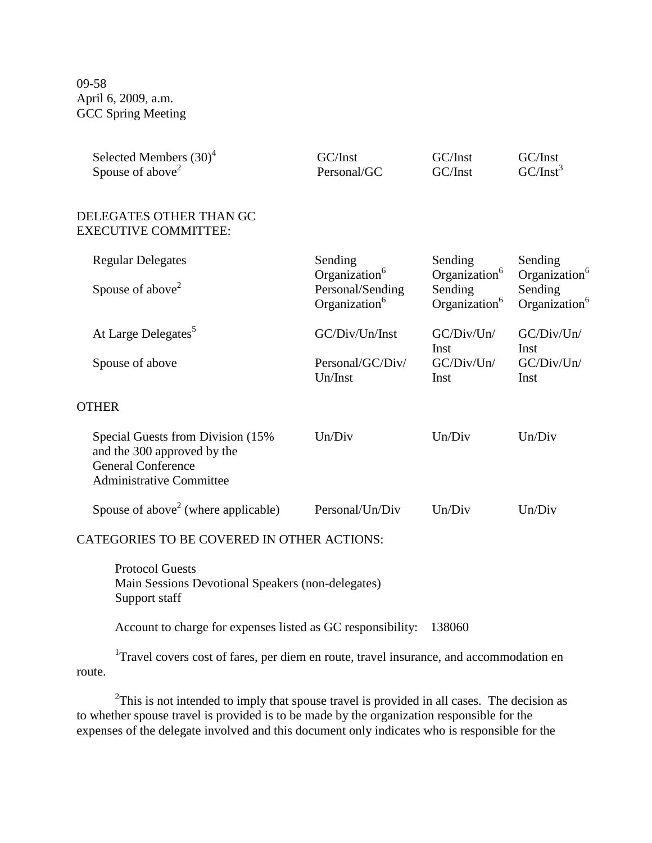09-58 April 6, 2009, a.m. GCC Spring Meeting

| Selected Members $(30)^4$<br>Spouse of above <sup>2</sup>                                                                         | GC/Inst<br>Personal/GC                                                     | GC/Inst<br>GC/Inst                                                | GC/Inst<br>$GC/Inst^3$                                            |
|-----------------------------------------------------------------------------------------------------------------------------------|----------------------------------------------------------------------------|-------------------------------------------------------------------|-------------------------------------------------------------------|
| DELEGATES OTHER THAN GC<br><b>EXECUTIVE COMMITTEE:</b>                                                                            |                                                                            |                                                                   |                                                                   |
| <b>Regular Delegates</b>                                                                                                          | Sending                                                                    | Sending                                                           | Sending                                                           |
| Spouse of above <sup>2</sup>                                                                                                      | Organization <sup>6</sup><br>Personal/Sending<br>Organization <sup>6</sup> | Organization <sup>6</sup><br>Sending<br>Organization <sup>6</sup> | Organization <sup>6</sup><br>Sending<br>Organization <sup>6</sup> |
| At Large Delegates <sup>5</sup>                                                                                                   | GC/Div/Un/Inst                                                             | GC/Div/Un/<br>Inst                                                | GC/Div/Un/<br>Inst                                                |
| Spouse of above                                                                                                                   | Personal/GC/Div/<br>Un/Inst                                                | GC/Div/Un/<br>Inst                                                | GC/Div/Un/<br>Inst                                                |
| <b>OTHER</b>                                                                                                                      |                                                                            |                                                                   |                                                                   |
| Special Guests from Division (15%)<br>and the 300 approved by the<br><b>General Conference</b><br><b>Administrative Committee</b> | Un/Div                                                                     | Un/Div                                                            | Un/Div                                                            |
| Spouse of above <sup>2</sup> (where applicable)                                                                                   | Personal/Un/Div                                                            | Un/Div                                                            | Un/Div                                                            |
| <b>CATEGORIES TO BE COVERED IN OTHER ACTIONS:</b>                                                                                 |                                                                            |                                                                   |                                                                   |
| <b>Protocol Guests</b><br>Main Sessions Devotional Speakers (non-delegates)<br>Support staff                                      |                                                                            |                                                                   |                                                                   |
| Account to charge for expenses listed as GC responsibility:                                                                       |                                                                            | 138060                                                            |                                                                   |
| <sup>1</sup> Travel covers cost of fares, per diem en route, travel insurance, and accommodation en                               |                                                                            |                                                                   |                                                                   |

route.

 $2$ This is not intended to imply that spouse travel is provided in all cases. The decision as to whether spouse travel is provided is to be made by the organization responsible for the expenses of the delegate involved and this document only indicates who is responsible for the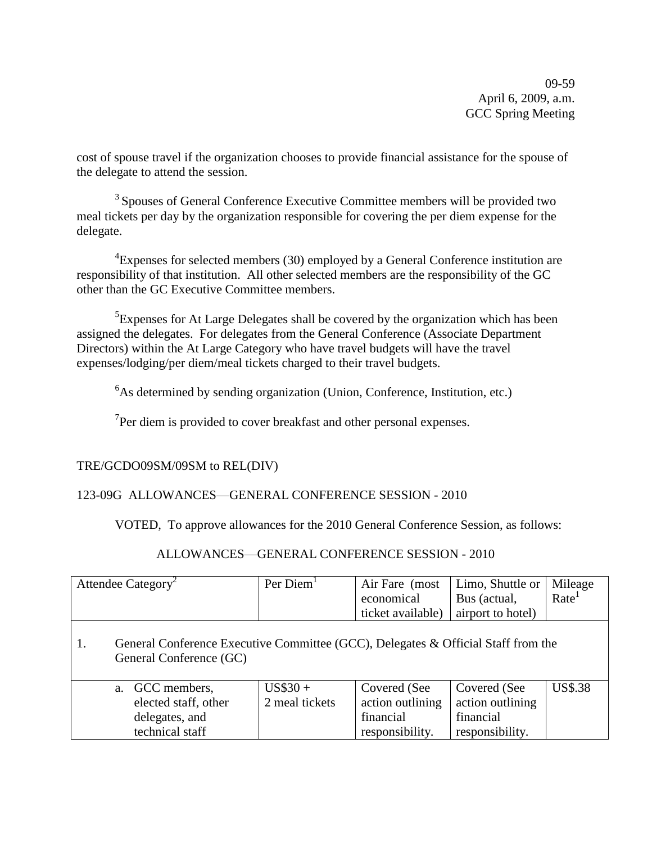09-59 April 6, 2009, a.m. GCC Spring Meeting

cost of spouse travel if the organization chooses to provide financial assistance for the spouse of the delegate to attend the session.

<sup>3</sup> Spouses of General Conference Executive Committee members will be provided two meal tickets per day by the organization responsible for covering the per diem expense for the delegate.

<sup>4</sup>Expenses for selected members (30) employed by a General Conference institution are responsibility of that institution. All other selected members are the responsibility of the GC other than the GC Executive Committee members.

<sup>5</sup> Expenses for At Large Delegates shall be covered by the organization which has been assigned the delegates. For delegates from the General Conference (Associate Department Directors) within the At Large Category who have travel budgets will have the travel expenses/lodging/per diem/meal tickets charged to their travel budgets.

 $6As$  determined by sending organization (Union, Conference, Institution, etc.)

 $7$ Per diem is provided to cover breakfast and other personal expenses.

## TRE/GCDO09SM/09SM to REL(DIV)

## 123-09G ALLOWANCES—GENERAL CONFERENCE SESSION - 2010

VOTED, To approve allowances for the 2010 General Conference Session, as follows:

## ALLOWANCES—GENERAL CONFERENCE SESSION - 2010

| Attendee Category <sup>2</sup> |                                                           | Per Diem <sup>1</sup>       | Air Fare (most<br>economical                                     | Limo, Shuttle or<br>Bus (actual,                                                  | Mileage<br>Rate <sup>1</sup> |
|--------------------------------|-----------------------------------------------------------|-----------------------------|------------------------------------------------------------------|-----------------------------------------------------------------------------------|------------------------------|
|                                |                                                           |                             | ticket available)                                                | airport to hotel)                                                                 |                              |
|                                | General Conference (GC)                                   |                             |                                                                  | General Conference Executive Committee (GCC), Delegates & Official Staff from the |                              |
| a. GCC members,                | elected staff, other<br>delegates, and<br>technical staff | $US$30 +$<br>2 meal tickets | Covered (See<br>action outlining<br>financial<br>responsibility. | Covered (See<br>action outlining<br>financial<br>responsibility.                  | <b>US\$.38</b>               |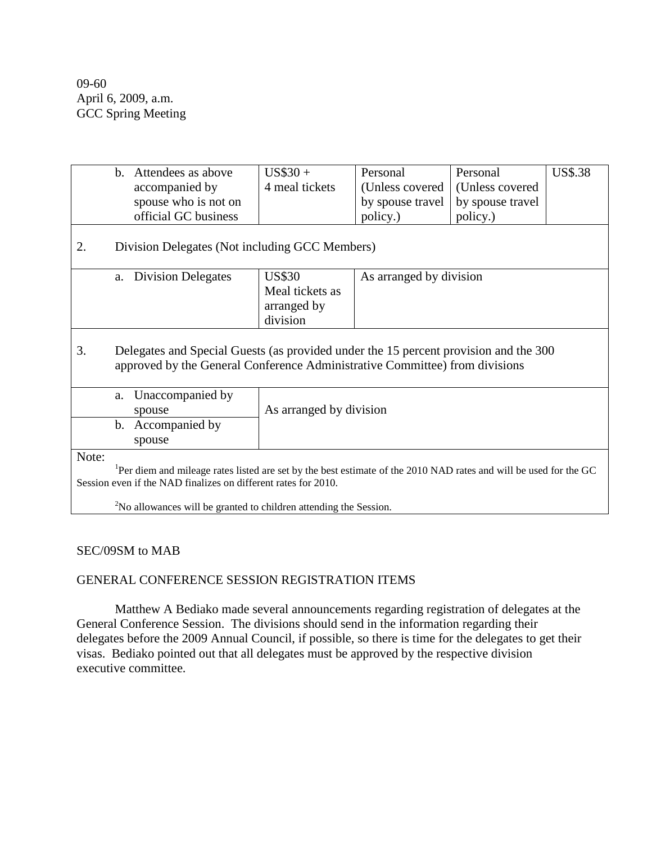|                                                                                                                                                                                                                                                                                           | b. Attendees as above<br>accompanied by<br>spouse who is not on<br>official GC business                                                                                                                                                                                                          | $US$30 +$<br>4 meal tickets                    | Personal<br>(Unless covered)<br>by spouse travel<br>policy.) | Personal<br>(Unless covered)<br>by spouse travel<br>policy.) | <b>US\$.38</b> |  |
|-------------------------------------------------------------------------------------------------------------------------------------------------------------------------------------------------------------------------------------------------------------------------------------------|--------------------------------------------------------------------------------------------------------------------------------------------------------------------------------------------------------------------------------------------------------------------------------------------------|------------------------------------------------|--------------------------------------------------------------|--------------------------------------------------------------|----------------|--|
| 2.                                                                                                                                                                                                                                                                                        |                                                                                                                                                                                                                                                                                                  | Division Delegates (Not including GCC Members) |                                                              |                                                              |                |  |
| 3.                                                                                                                                                                                                                                                                                        | <b>Division Delegates</b><br><b>US\$30</b><br>As arranged by division<br>a.<br>Meal tickets as<br>arranged by<br>division<br>Delegates and Special Guests (as provided under the 15 percent provision and the 300<br>approved by the General Conference Administrative Committee) from divisions |                                                |                                                              |                                                              |                |  |
|                                                                                                                                                                                                                                                                                           | Unaccompanied by<br>a.<br>spouse<br>Accompanied by<br>b.<br>spouse                                                                                                                                                                                                                               | As arranged by division                        |                                                              |                                                              |                |  |
| Note:<br><sup>1</sup> Per diem and mileage rates listed are set by the best estimate of the 2010 NAD rates and will be used for the GC<br>Session even if the NAD finalizes on different rates for 2010.<br><sup>2</sup> No allowances will be granted to children attending the Session. |                                                                                                                                                                                                                                                                                                  |                                                |                                                              |                                                              |                |  |

## SEC/09SM to MAB

## GENERAL CONFERENCE SESSION REGISTRATION ITEMS

Matthew A Bediako made several announcements regarding registration of delegates at the General Conference Session. The divisions should send in the information regarding their delegates before the 2009 Annual Council, if possible, so there is time for the delegates to get their visas. Bediako pointed out that all delegates must be approved by the respective division executive committee.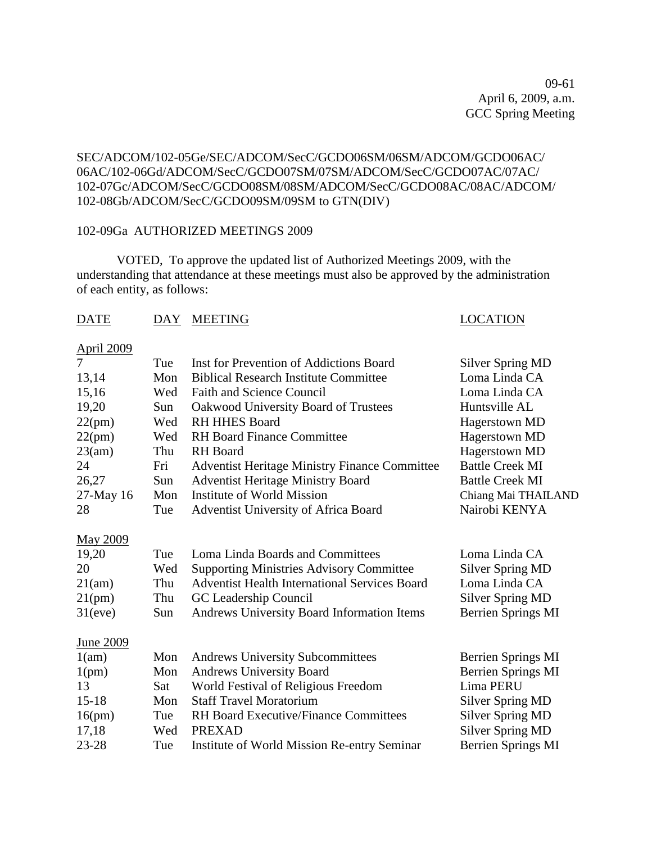09-61 April 6, 2009, a.m. GCC Spring Meeting

SEC/ADCOM/102-05Ge/SEC/ADCOM/SecC/GCDO06SM/06SM/ADCOM/GCDO06AC/ 06AC/102-06Gd/ADCOM/SecC/GCDO07SM/07SM/ADCOM/SecC/GCDO07AC/07AC/ 102-07Gc/ADCOM/SecC/GCDO08SM/08SM/ADCOM/SecC/GCDO08AC/08AC/ADCOM/ 102-08Gb/ADCOM/SecC/GCDO09SM/09SM to GTN(DIV)

## 102-09Ga AUTHORIZED MEETINGS 2009

VOTED, To approve the updated list of Authorized Meetings 2009, with the understanding that attendance at these meetings must also be approved by the administration of each entity, as follows:

DATE DAY MEETING DATE LOCATION

### April 2009

| $\overline{7}$   | Tue | Inst for Prevention of Addictions Board              | Silver Spring MD          |
|------------------|-----|------------------------------------------------------|---------------------------|
| 13,14            | Mon | <b>Biblical Research Institute Committee</b>         | Loma Linda CA             |
| 15,16            | Wed | <b>Faith and Science Council</b>                     | Loma Linda CA             |
| 19,20            | Sun | Oakwood University Board of Trustees                 | Huntsville AL             |
| 22(pm)           | Wed | <b>RH HHES Board</b>                                 | <b>Hagerstown MD</b>      |
| 22(pm)           | Wed | <b>RH Board Finance Committee</b>                    | <b>Hagerstown MD</b>      |
| 23(am)           | Thu | <b>RH</b> Board                                      | Hagerstown MD             |
| 24               | Fri | <b>Adventist Heritage Ministry Finance Committee</b> | <b>Battle Creek MI</b>    |
| 26,27            | Sun | <b>Adventist Heritage Ministry Board</b>             | <b>Battle Creek MI</b>    |
| 27-May 16        | Mon | Institute of World Mission                           | Chiang Mai THAILAND       |
| 28               | Tue | Adventist University of Africa Board                 | Nairobi KENYA             |
| May 2009         |     |                                                      |                           |
| 19,20            | Tue | Loma Linda Boards and Committees                     | Loma Linda CA             |
| 20               | Wed | <b>Supporting Ministries Advisory Committee</b>      | <b>Silver Spring MD</b>   |
| 21(am)           | Thu | <b>Adventist Health International Services Board</b> | Loma Linda CA             |
| 21(pm)           | Thu | GC Leadership Council                                | <b>Silver Spring MD</b>   |
| 31(eve)          | Sun | Andrews University Board Information Items           | Berrien Springs MI        |
| <b>June 2009</b> |     |                                                      |                           |
| 1(am)            | Mon | <b>Andrews University Subcommittees</b>              | Berrien Springs MI        |
| 1(pm)            | Mon | <b>Andrews University Board</b>                      | Berrien Springs MI        |
| 13               | Sat | World Festival of Religious Freedom                  | Lima PERU                 |
| $15 - 18$        | Mon | <b>Staff Travel Moratorium</b>                       | <b>Silver Spring MD</b>   |
| 16(pm)           | Tue | RH Board Executive/Finance Committees                | <b>Silver Spring MD</b>   |
| 17,18            | Wed | <b>PREXAD</b>                                        | <b>Silver Spring MD</b>   |
| 23-28            | Tue | Institute of World Mission Re-entry Seminar          | <b>Berrien Springs MI</b> |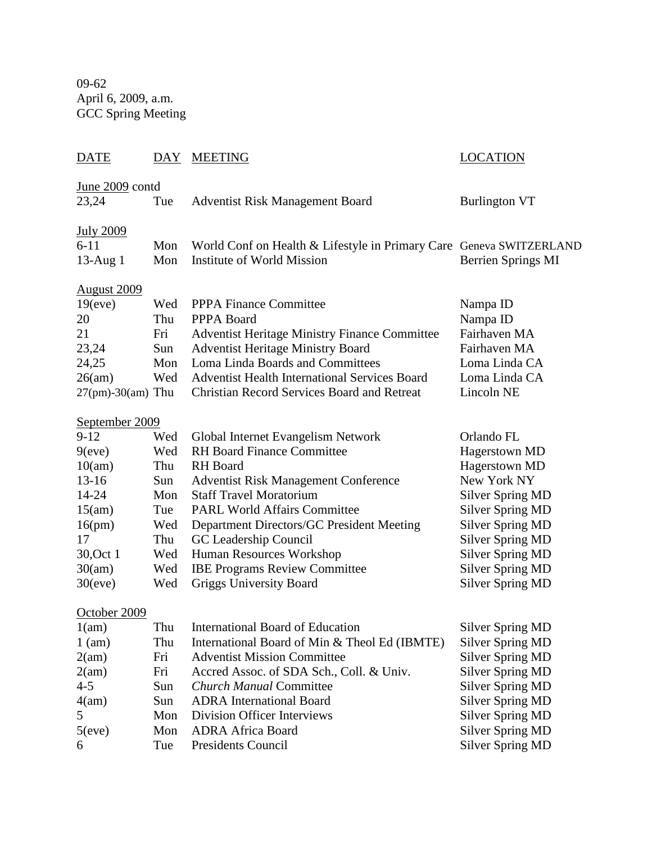09-62 April 6, 2009, a.m. GCC Spring Meeting

# DATE DAY MEETING LOCATION

Silver Spring MD

| June $2009$ contd<br>23,24                  | Tue        | <b>Adventist Risk Management Board</b>                                                            | <b>Burlington VT</b>      |
|---------------------------------------------|------------|---------------------------------------------------------------------------------------------------|---------------------------|
| <b>July 2009</b><br>$6 - 11$<br>$13$ -Aug 1 | Mon<br>Mon | World Conf on Health & Lifestyle in Primary Care Geneva SWITZERLAND<br>Institute of World Mission | <b>Berrien Springs MI</b> |
| <u>August 2009</u>                          |            |                                                                                                   |                           |
| 19(eve)                                     | Wed        | <b>PPPA Finance Committee</b>                                                                     | Nampa ID                  |
| 20                                          | Thu        | PPPA Board                                                                                        | Nampa ID                  |
| 21                                          | Fri        | <b>Adventist Heritage Ministry Finance Committee</b>                                              | Fairhaven MA              |
| 23,24                                       | Sun        | <b>Adventist Heritage Ministry Board</b>                                                          | Fairhaven MA              |
| 24,25                                       | Mon        | Loma Linda Boards and Committees                                                                  | Loma Linda CA             |
| 26(am)                                      | Wed        | <b>Adventist Health International Services Board</b>                                              | Loma Linda CA             |
| $27(pm) - 30(am)$ Thu                       |            | <b>Christian Record Services Board and Retreat</b>                                                | Lincoln NE                |
| September 2009                              |            |                                                                                                   |                           |
| $9-12$                                      | Wed        | Global Internet Evangelism Network                                                                | Orlando FL                |
| 9(eve)                                      | Wed        | <b>RH Board Finance Committee</b>                                                                 | <b>Hagerstown MD</b>      |
| 10(am)                                      | Thu        | <b>RH</b> Board                                                                                   | <b>Hagerstown MD</b>      |
| $13 - 16$                                   | Sun        | <b>Adventist Risk Management Conference</b>                                                       | New York NY               |
| 14-24                                       | Mon        | <b>Staff Travel Moratorium</b>                                                                    | <b>Silver Spring MD</b>   |
| 15(am)                                      | Tue        | <b>PARL World Affairs Committee</b>                                                               | <b>Silver Spring MD</b>   |
| 16(pm)                                      | Wed        | Department Directors/GC President Meeting                                                         | <b>Silver Spring MD</b>   |
| 17                                          | Thu        | GC Leadership Council                                                                             | <b>Silver Spring MD</b>   |
| 30, Oct 1                                   | Wed        | Human Resources Workshop                                                                          | <b>Silver Spring MD</b>   |
| 30(am)                                      | Wed        | <b>IBE Programs Review Committee</b>                                                              | <b>Silver Spring MD</b>   |
| 30(eve)                                     | Wed        | <b>Griggs University Board</b>                                                                    | <b>Silver Spring MD</b>   |
| October 2009                                |            |                                                                                                   |                           |
| 1(am)                                       | Thu        | <b>International Board of Education</b>                                                           | <b>Silver Spring MD</b>   |
| $1 \text{ (am)}$                            | Thu        | International Board of Min & Theol Ed (IBMTE)                                                     | <b>Silver Spring MD</b>   |
| 2(am)                                       | Fri        | <b>Adventist Mission Committee</b>                                                                | <b>Silver Spring MD</b>   |
| 2(am)                                       | Fri        | Accred Assoc. of SDA Sch., Coll. & Univ.                                                          | <b>Silver Spring MD</b>   |
| $4 - 5$                                     | Sun        | <b>Church Manual Committee</b>                                                                    | <b>Silver Spring MD</b>   |
| 4(am)                                       | Sun        | <b>ADRA</b> International Board                                                                   | <b>Silver Spring MD</b>   |
| 5                                           | Mon        | <b>Division Officer Interviews</b>                                                                | <b>Silver Spring MD</b>   |
| 5(eve)                                      | Mon        | <b>ADRA Africa Board</b>                                                                          | <b>Silver Spring MD</b>   |
| 6                                           | Tue        | <b>Presidents Council</b>                                                                         | <b>Silver Spring MD</b>   |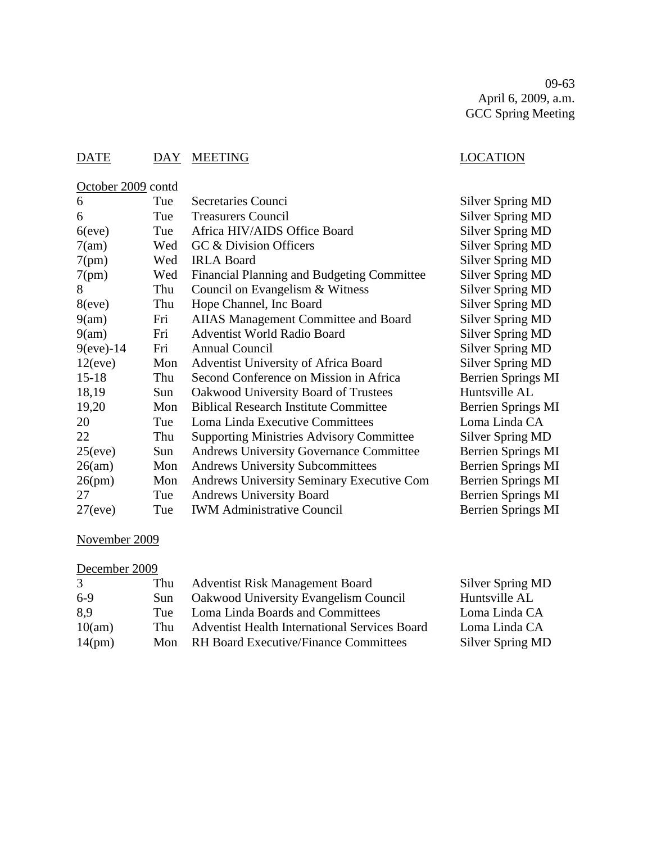09-63 April 6, 2009, a.m. GCC Spring Meeting

# DATE DAY MEETING LOCATION

| October 2009 contd |     |                                                  |                           |
|--------------------|-----|--------------------------------------------------|---------------------------|
| 6                  | Tue | Secretaries Counci                               | Silver Spring MD          |
| 6                  | Tue | <b>Treasurers Council</b>                        | Silver Spring MD          |
| $6$ (eve)          | Tue | Africa HIV/AIDS Office Board                     | <b>Silver Spring MD</b>   |
| 7(am)              | Wed | GC & Division Officers                           | <b>Silver Spring MD</b>   |
| $7$ (pm)           | Wed | <b>IRLA Board</b>                                | <b>Silver Spring MD</b>   |
| $7$ (pm)           | Wed | Financial Planning and Budgeting Committee       | Silver Spring MD          |
| 8                  | Thu | Council on Evangelism & Witness                  | <b>Silver Spring MD</b>   |
| 8(eve)             | Thu | Hope Channel, Inc Board                          | <b>Silver Spring MD</b>   |
| 9(am)              | Fri | <b>AIIAS Management Committee and Board</b>      | Silver Spring MD          |
| 9(am)              | Fri | Adventist World Radio Board                      | <b>Silver Spring MD</b>   |
| $9(eve)$ -14       | Fri | <b>Annual Council</b>                            | Silver Spring MD          |
| 12(eve)            | Mon | Adventist University of Africa Board             | Silver Spring MD          |
| $15 - 18$          | Thu | Second Conference on Mission in Africa           | <b>Berrien Springs MI</b> |
| 18,19              | Sun | Oakwood University Board of Trustees             | Huntsville AL             |
| 19,20              | Mon | <b>Biblical Research Institute Committee</b>     | Berrien Springs MI        |
| 20                 | Tue | Loma Linda Executive Committees                  | Loma Linda CA             |
| 22                 | Thu | <b>Supporting Ministries Advisory Committee</b>  | Silver Spring MD          |
| 25(eve)            | Sun | <b>Andrews University Governance Committee</b>   | <b>Berrien Springs MI</b> |
| 26(am)             | Mon | <b>Andrews University Subcommittees</b>          | <b>Berrien Springs MI</b> |
| 26(pm)             | Mon | <b>Andrews University Seminary Executive Com</b> | <b>Berrien Springs MI</b> |
| 27                 | Tue | <b>Andrews University Board</b>                  | <b>Berrien Springs MI</b> |
| 27(eve)            | Tue | <b>IWM Administrative Council</b>                | <b>Berrien Springs MI</b> |

## November 2009

# December 2009

| 3      | Thu | <b>Adventist Risk Management Board</b>               | Silver Spring MD |
|--------|-----|------------------------------------------------------|------------------|
| $6-9$  | Sun | Oakwood University Evangelism Council                | Huntsville AL    |
| 8.9    | Tue | Loma Linda Boards and Committees                     | Loma Linda CA    |
| 10(am) | Thu | <b>Adventist Health International Services Board</b> | Loma Linda CA    |
| 14(pm) |     | Mon RH Board Executive/Finance Committees            | Silver Spring MD |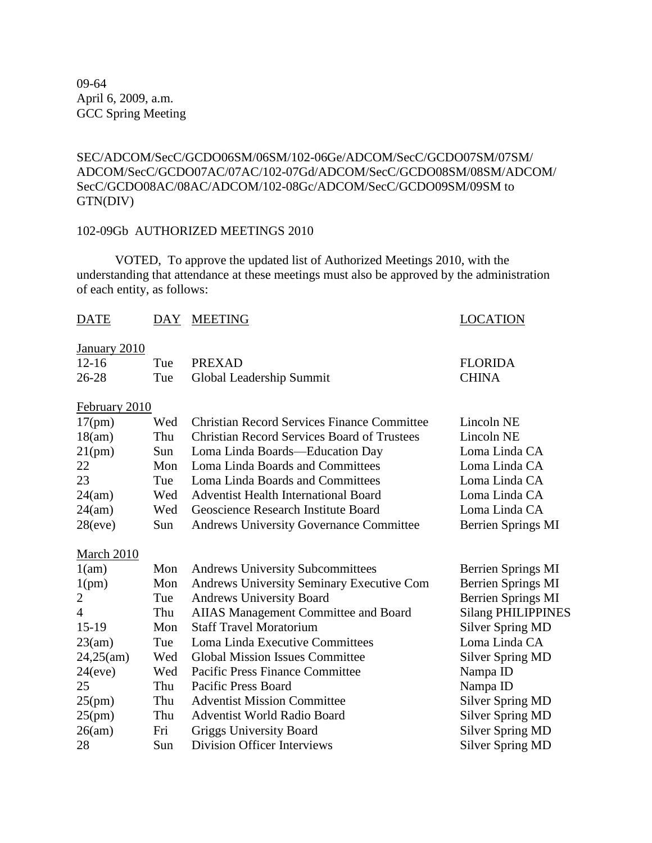09-64 April 6, 2009, a.m. GCC Spring Meeting

SEC/ADCOM/SecC/GCDO06SM/06SM/102-06Ge/ADCOM/SecC/GCDO07SM/07SM/ ADCOM/SecC/GCDO07AC/07AC/102-07Gd/ADCOM/SecC/GCDO08SM/08SM/ADCOM/ SecC/GCDO08AC/08AC/ADCOM/102-08Gc/ADCOM/SecC/GCDO09SM/09SM to GTN(DIV)

## 102-09Gb AUTHORIZED MEETINGS 2010

VOTED, To approve the updated list of Authorized Meetings 2010, with the understanding that attendance at these meetings must also be approved by the administration of each entity, as follows:

| DAY           | <b>MEETING</b>                                     | LOCATION                  |
|---------------|----------------------------------------------------|---------------------------|
|               |                                                    |                           |
| Tue           | <b>PREXAD</b>                                      | <b>FLORIDA</b>            |
| Tue           | Global Leadership Summit                           | <b>CHINA</b>              |
| February 2010 |                                                    |                           |
| Wed           | <b>Christian Record Services Finance Committee</b> | Lincoln NE                |
| Thu           | <b>Christian Record Services Board of Trustees</b> | Lincoln NE                |
| Sun           | Loma Linda Boards-Education Day                    | Loma Linda CA             |
| Mon           | Loma Linda Boards and Committees                   | Loma Linda CA             |
| Tue           | Loma Linda Boards and Committees                   | Loma Linda CA             |
| Wed           | <b>Adventist Health International Board</b>        | Loma Linda CA             |
| Wed           | Geoscience Research Institute Board                | Loma Linda CA             |
| Sun           | <b>Andrews University Governance Committee</b>     | <b>Berrien Springs MI</b> |
|               |                                                    |                           |
| Mon           | <b>Andrews University Subcommittees</b>            | Berrien Springs MI        |
| Mon           | <b>Andrews University Seminary Executive Com</b>   | Berrien Springs MI        |
| Tue           | <b>Andrews University Board</b>                    | <b>Berrien Springs MI</b> |
| Thu           | <b>AIIAS</b> Management Committee and Board        | <b>Silang PHILIPPINES</b> |
| Mon           | <b>Staff Travel Moratorium</b>                     | <b>Silver Spring MD</b>   |
| Tue           | Loma Linda Executive Committees                    | Loma Linda CA             |
| Wed           | <b>Global Mission Issues Committee</b>             | <b>Silver Spring MD</b>   |
| Wed           | Pacific Press Finance Committee                    | Nampa ID                  |
| Thu           | <b>Pacific Press Board</b>                         | Nampa ID                  |
| Thu           | <b>Adventist Mission Committee</b>                 | <b>Silver Spring MD</b>   |
| Thu           | <b>Adventist World Radio Board</b>                 | <b>Silver Spring MD</b>   |
| Fri           | Griggs University Board                            | <b>Silver Spring MD</b>   |
| Sun           | <b>Division Officer Interviews</b>                 | <b>Silver Spring MD</b>   |
|               |                                                    |                           |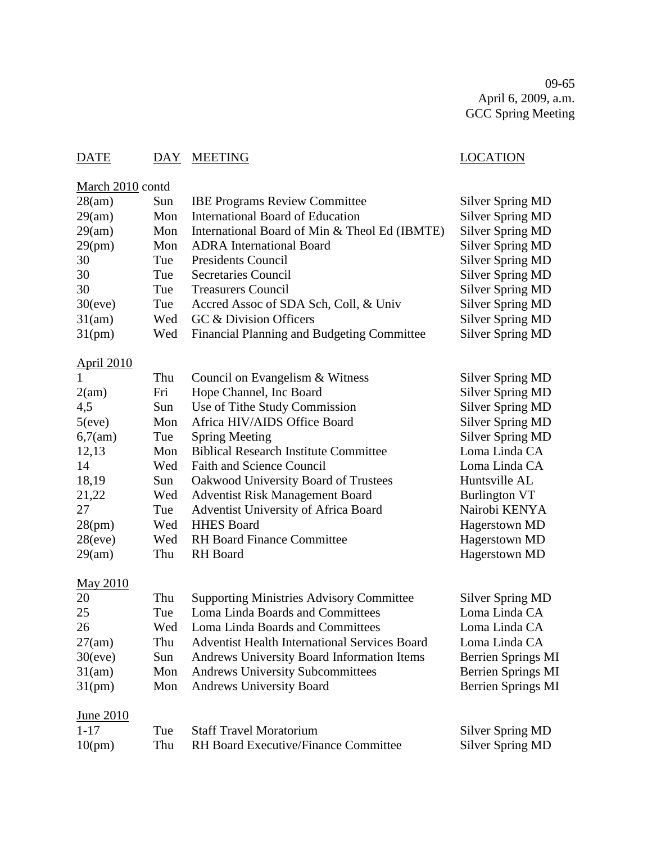09-65 April 6, 2009, a.m. GCC Spring Meeting

# DATE DAY MEETING LOCATION

| March 2010 contd  |     |                                                 |                           |
|-------------------|-----|-------------------------------------------------|---------------------------|
| 28(am)            | Sun | <b>IBE Programs Review Committee</b>            | <b>Silver Spring MD</b>   |
| 29(am)            | Mon | <b>International Board of Education</b>         | <b>Silver Spring MD</b>   |
| 29(am)            | Mon | International Board of Min & Theol Ed (IBMTE)   | <b>Silver Spring MD</b>   |
| 29(pm)            | Mon | <b>ADRA</b> International Board                 | <b>Silver Spring MD</b>   |
| 30                | Tue | <b>Presidents Council</b>                       | <b>Silver Spring MD</b>   |
| 30                | Tue | <b>Secretaries Council</b>                      | <b>Silver Spring MD</b>   |
| 30                | Tue | <b>Treasurers Council</b>                       | <b>Silver Spring MD</b>   |
| 30(eve)           | Tue | Accred Assoc of SDA Sch, Coll, & Univ           | <b>Silver Spring MD</b>   |
| 31(am)            | Wed | GC & Division Officers                          | <b>Silver Spring MD</b>   |
| $31$ (pm)         | Wed | Financial Planning and Budgeting Committee      | <b>Silver Spring MD</b>   |
| <b>April 2010</b> |     |                                                 |                           |
| 1                 | Thu | Council on Evangelism & Witness                 | <b>Silver Spring MD</b>   |
| 2(am)             | Fri | Hope Channel, Inc Board                         | <b>Silver Spring MD</b>   |
| 4,5               | Sun | Use of Tithe Study Commission                   | <b>Silver Spring MD</b>   |
| 5(eve)            | Mon | Africa HIV/AIDS Office Board                    | <b>Silver Spring MD</b>   |
| 6,7(am)           | Tue | <b>Spring Meeting</b>                           | <b>Silver Spring MD</b>   |
| 12,13             | Mon | <b>Biblical Research Institute Committee</b>    | Loma Linda CA             |
| 14                | Wed | <b>Faith and Science Council</b>                | Loma Linda CA             |
| 18,19             | Sun | Oakwood University Board of Trustees            | Huntsville AL             |
| 21,22             | Wed | <b>Adventist Risk Management Board</b>          | <b>Burlington VT</b>      |
| 27                | Tue | Adventist University of Africa Board            | Nairobi KENYA             |
| 28(pm)            | Wed | <b>HHES Board</b>                               | Hagerstown MD             |
| 28(eve)           | Wed | <b>RH Board Finance Committee</b>               | Hagerstown MD             |
| 29(am)            | Thu | <b>RH</b> Board                                 | Hagerstown MD             |
| May 2010          |     |                                                 |                           |
| 20                | Thu | <b>Supporting Ministries Advisory Committee</b> | <b>Silver Spring MD</b>   |
| 25                | Tue | Loma Linda Boards and Committees                | Loma Linda CA             |
| 26                | Wed | Loma Linda Boards and Committees                | Loma Linda CA             |
| 27(am)            | Thu | Adventist Health International Services Board   | Loma Linda CA             |
| 30(eve)           | Sun | Andrews University Board Information Items      | <b>Berrien Springs MI</b> |
| 31(am)            | Mon | <b>Andrews University Subcommittees</b>         | <b>Berrien Springs MI</b> |
| $31$ (pm)         | Mon | <b>Andrews University Board</b>                 | <b>Berrien Springs MI</b> |
| June 2010         |     |                                                 |                           |
| $1 - 17$          | Tue | <b>Staff Travel Moratorium</b>                  | <b>Silver Spring MD</b>   |
| 10(pm)            | Thu | RH Board Executive/Finance Committee            | <b>Silver Spring MD</b>   |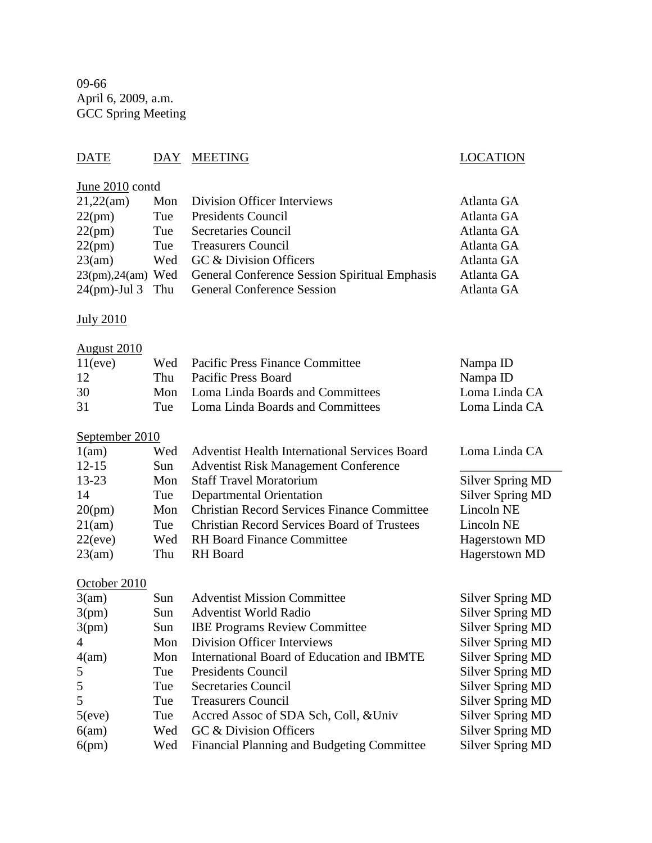09-66 April 6, 2009, a.m. GCC Spring Meeting

# DATE DAY MEETING DATE LOCATION

## June 2010 contd

| 21,22(am) |     | Mon Division Officer Interviews                                  | Atlanta GA |
|-----------|-----|------------------------------------------------------------------|------------|
| 22(pm)    | Tue | <b>Presidents Council</b>                                        | Atlanta GA |
| 22(pm)    | Tue | <b>Secretaries Council</b>                                       | Atlanta GA |
| 22(pm)    | Tue | <b>Treasurers Council</b>                                        | Atlanta GA |
| 23(am)    |     | Wed GC & Division Officers                                       | Atlanta GA |
|           |     | 23(pm), 24(am) Wed General Conference Session Spiritual Emphasis | Atlanta GA |
|           |     | 24(pm)-Jul 3 Thu General Conference Session                      | Atlanta GA |

## July 2010

## August 2010

| 11(eve) |     | Wed Pacific Press Finance Committee  | Nampa ID      |
|---------|-----|--------------------------------------|---------------|
| -12     | Thu | Pacific Press Board                  | Nampa ID      |
| 30      |     | Mon Loma Linda Boards and Committees | Loma Linda CA |
| -31     | Tue | Loma Linda Boards and Committees     | Loma Linda CA |

# September 2010

| 1(am)     | Wed | <b>Adventist Health International Services Board</b> | Loma Linda CA           |
|-----------|-----|------------------------------------------------------|-------------------------|
| $12 - 15$ | Sun | <b>Adventist Risk Management Conference</b>          |                         |
| $13 - 23$ | Mon | <b>Staff Travel Moratorium</b>                       | <b>Silver Spring MD</b> |
| 14        | Tue | Departmental Orientation                             | Silver Spring MD        |
| 20(pm)    | Mon | <b>Christian Record Services Finance Committee</b>   | Lincoln NE              |
| 21(am)    | Tue | <b>Christian Record Services Board of Trustees</b>   | Lincoln NE              |
| 22(eve)   | Wed | <b>RH Board Finance Committee</b>                    | Hagerstown MD           |
| 23(am)    | Thu | RH Board                                             | Hagerstown MD           |

# October 2010

| 3(am)          | Sun | <b>Adventist Mission Committee</b>         | <b>Silver Spring MD</b> |
|----------------|-----|--------------------------------------------|-------------------------|
| 3(pm)          | Sun | <b>Adventist World Radio</b>               | <b>Silver Spring MD</b> |
| 3(pm)          | Sun | <b>IBE Programs Review Committee</b>       | <b>Silver Spring MD</b> |
| $\overline{4}$ | Mon | <b>Division Officer Interviews</b>         | <b>Silver Spring MD</b> |
| 4(am)          | Mon | International Board of Education and IBMTE | Silver Spring MD        |
| 5              | Tue | Presidents Council                         | <b>Silver Spring MD</b> |
| 5              | Tue | Secretaries Council                        | <b>Silver Spring MD</b> |
| $\mathfrak{S}$ | Tue | <b>Treasurers Council</b>                  | Silver Spring MD        |
| 5(eve)         | Tue | Accred Assoc of SDA Sch, Coll, &Univ       | <b>Silver Spring MD</b> |
| 6(am)          | Wed | GC & Division Officers                     | <b>Silver Spring MD</b> |
| 6(pm)          | Wed | Financial Planning and Budgeting Committee | <b>Silver Spring MD</b> |
|                |     |                                            |                         |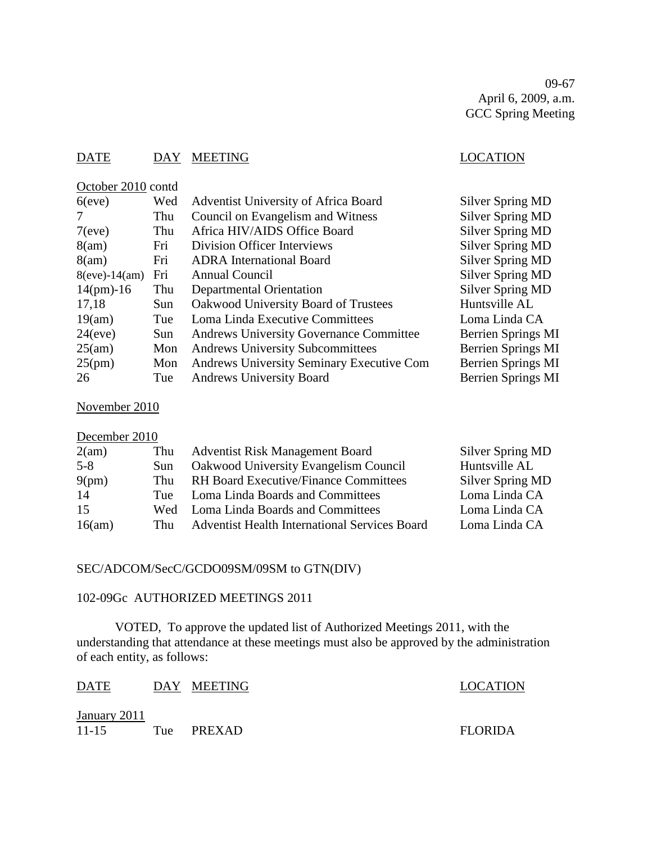09-67 April 6, 2009, a.m. GCC Spring Meeting

## DATE DAY MEETING DATE LOCATION

October 2010 contd

| 6(eve)          | Wed | Adventist University of Africa Board           | <b>Silver Spring MD</b>   |
|-----------------|-----|------------------------------------------------|---------------------------|
| 7               | Thu | Council on Evangelism and Witness              | Silver Spring MD          |
| 7(eve)          | Thu | Africa HIV/AIDS Office Board                   | Silver Spring MD          |
| 8(am)           | Fri | Division Officer Interviews                    | Silver Spring MD          |
| 8(am)           | Fri | <b>ADRA</b> International Board                | <b>Silver Spring MD</b>   |
| $8(eve)-14(am)$ | Fri | Annual Council                                 | Silver Spring MD          |
| $14$ (pm) $-16$ | Thu | Departmental Orientation                       | Silver Spring MD          |
| 17,18           | Sun | Oakwood University Board of Trustees           | Huntsville AL             |
| 19(am)          | Tue | Loma Linda Executive Committees                | Loma Linda CA             |
| 24(eve)         | Sun | <b>Andrews University Governance Committee</b> | Berrien Springs MI        |
| 25(am)          | Mon | <b>Andrews University Subcommittees</b>        | <b>Berrien Springs MI</b> |
| 25(pm)          | Mon | Andrews University Seminary Executive Com      | <b>Berrien Springs MI</b> |
| 26              | Tue | <b>Andrews University Board</b>                | Berrien Springs MI        |

November 2010

#### December 2010

| 2(am)   | Thu | <b>Adventist Risk Management Board</b>               | Silver Spring MD |
|---------|-----|------------------------------------------------------|------------------|
| $5 - 8$ | Sun | Oakwood University Evangelism Council                | Huntsville AL    |
| 9(pm)   | Thu | <b>RH Board Executive/Finance Committees</b>         | Silver Spring MD |
| 14      | Tue | Loma Linda Boards and Committees                     | Loma Linda CA    |
| 15      |     | Wed Loma Linda Boards and Committees                 | Loma Linda CA    |
| 16(am)  | Thu | <b>Adventist Health International Services Board</b> | Loma Linda CA    |

## SEC/ADCOM/SecC/GCDO09SM/09SM to GTN(DIV)

## 102-09Gc AUTHORIZED MEETINGS 2011

VOTED, To approve the updated list of Authorized Meetings 2011, with the understanding that attendance at these meetings must also be approved by the administration of each entity, as follows:

| <b>DATE</b>               | DAY MEETING | <b>LOCATION</b> |
|---------------------------|-------------|-----------------|
| January 2011<br>$11 - 15$ | Tue PREXAD  | <b>FLORIDA</b>  |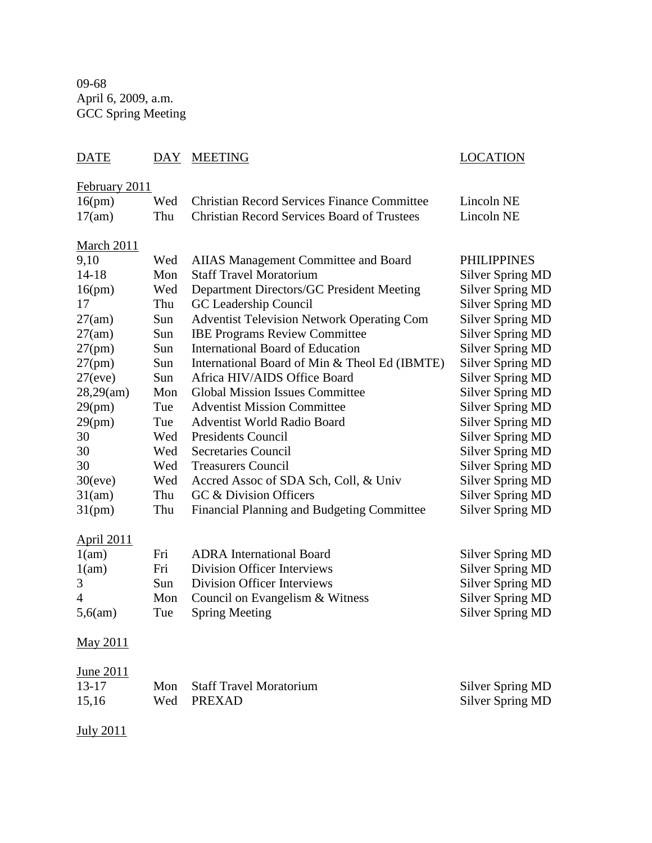09-68 April 6, 2009, a.m. GCC Spring Meeting

# DATE DAY MEETING LOCATION

## February 2011

| $\cdots$<br>----  |     |                                                    |                         |
|-------------------|-----|----------------------------------------------------|-------------------------|
| 16(pm)            | Wed | <b>Christian Record Services Finance Committee</b> | Lincoln NE              |
| 17(am)            | Thu | <b>Christian Record Services Board of Trustees</b> | Lincoln NE              |
|                   |     |                                                    |                         |
| <b>March 2011</b> |     |                                                    |                         |
| 9,10              | Wed | <b>AIIAS</b> Management Committee and Board        | <b>PHILIPPINES</b>      |
| $14 - 18$         | Mon | <b>Staff Travel Moratorium</b>                     | Silver Spring MD        |
| 16(pm)            | Wed | Department Directors/GC President Meeting          | <b>Silver Spring MD</b> |
| 17                | Thu | GC Leadership Council                              | <b>Silver Spring MD</b> |
| 27(am)            | Sun | <b>Adventist Television Network Operating Com</b>  | <b>Silver Spring MD</b> |
| 27(am)            | Sun | <b>IBE Programs Review Committee</b>               | <b>Silver Spring MD</b> |
| 27(pm)            | Sun | <b>International Board of Education</b>            | <b>Silver Spring MD</b> |
| 27(pm)            | Sun | International Board of Min & Theol Ed (IBMTE)      | <b>Silver Spring MD</b> |
| 27(eve)           | Sun | Africa HIV/AIDS Office Board                       | <b>Silver Spring MD</b> |
| 28,29(am)         | Mon | <b>Global Mission Issues Committee</b>             | <b>Silver Spring MD</b> |
| 29(pm)            | Tue | <b>Adventist Mission Committee</b>                 | <b>Silver Spring MD</b> |
| 29(pm)            | Tue | <b>Adventist World Radio Board</b>                 | <b>Silver Spring MD</b> |
| 30                | Wed | <b>Presidents Council</b>                          | <b>Silver Spring MD</b> |
| 30                | Wed | <b>Secretaries Council</b>                         | <b>Silver Spring MD</b> |
| 30                | Wed | <b>Treasurers Council</b>                          | <b>Silver Spring MD</b> |
| 30(eve)           | Wed | Accred Assoc of SDA Sch, Coll, & Univ              | <b>Silver Spring MD</b> |
| 31(am)            | Thu | GC & Division Officers                             | <b>Silver Spring MD</b> |
| $31$ (pm)         | Thu | Financial Planning and Budgeting Committee         | <b>Silver Spring MD</b> |
| <b>April 2011</b> |     |                                                    |                         |
| 1(am)             | Fri | <b>ADRA</b> International Board                    | Silver Spring MD        |
| 1(am)             | Fri | <b>Division Officer Interviews</b>                 | <b>Silver Spring MD</b> |
| 3                 | Sun | <b>Division Officer Interviews</b>                 |                         |
| $\overline{4}$    | Mon |                                                    | <b>Silver Spring MD</b> |
|                   |     | Council on Evangelism & Witness                    | <b>Silver Spring MD</b> |
| 5,6(am)           | Tue | <b>Spring Meeting</b>                              | <b>Silver Spring MD</b> |
| $M = 0.011$       |     |                                                    |                         |

## May 2011

## June 2011

| 13-17 | Mon Staff Travel Moratorium | Silver Spring MD |
|-------|-----------------------------|------------------|
| 15,16 | Wed PREXAD                  | Silver Spring MD |

July 2011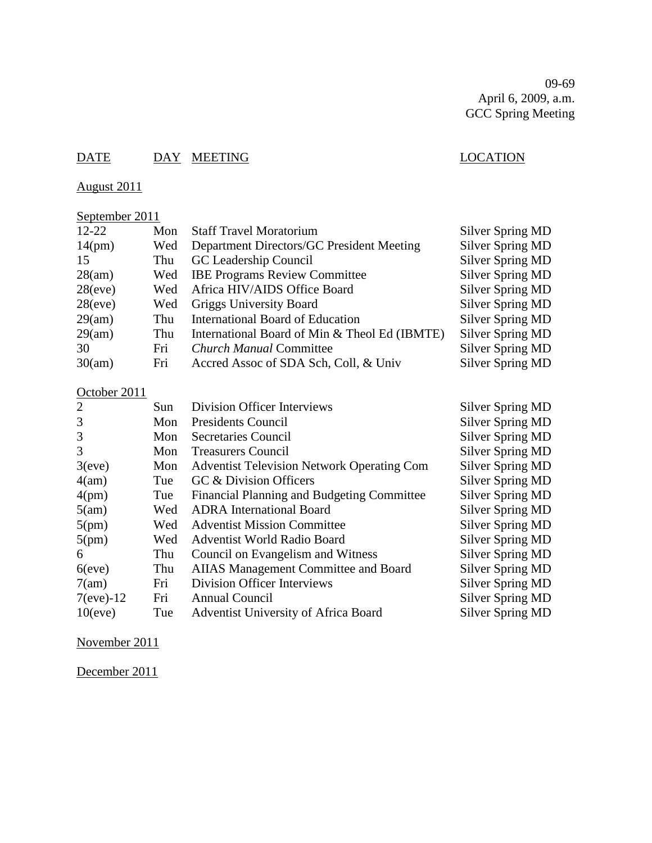09-69 April 6, 2009, a.m. GCC Spring Meeting

# DATE DAY MEETING DATE LOCATION

August 2011

# September 2011

| $12 - 22$  | Mon | <b>Staff Travel Moratorium</b>                | <b>Silver Spring MD</b> |
|------------|-----|-----------------------------------------------|-------------------------|
| 14(pm)     | Wed | Department Directors/GC President Meeting     | <b>Silver Spring MD</b> |
| 15         | Thu | GC Leadership Council                         | <b>Silver Spring MD</b> |
| 28(am)     | Wed | <b>IBE Programs Review Committee</b>          | <b>Silver Spring MD</b> |
| $28$ (eve) | Wed | Africa HIV/AIDS Office Board                  | <b>Silver Spring MD</b> |
| $28$ (eve) | Wed | Griggs University Board                       | <b>Silver Spring MD</b> |
| 29(am)     | Thu | <b>International Board of Education</b>       | <b>Silver Spring MD</b> |
| 29(am)     | Thu | International Board of Min & Theol Ed (IBMTE) | <b>Silver Spring MD</b> |
| 30         | Fri | <b>Church Manual Committee</b>                | <b>Silver Spring MD</b> |
| 30(am)     | Fri | Accred Assoc of SDA Sch, Coll, & Univ         | <b>Silver Spring MD</b> |
|            |     |                                               |                         |

# October 2011

| Sun | <b>Division Officer Interviews</b>                | <b>Silver Spring MD</b> |
|-----|---------------------------------------------------|-------------------------|
| Mon | <b>Presidents Council</b>                         | <b>Silver Spring MD</b> |
| Mon | <b>Secretaries Council</b>                        | <b>Silver Spring MD</b> |
| Mon | <b>Treasurers Council</b>                         | Silver Spring MD        |
| Mon | <b>Adventist Television Network Operating Com</b> | <b>Silver Spring MD</b> |
| Tue | GC & Division Officers                            | <b>Silver Spring MD</b> |
| Tue | Financial Planning and Budgeting Committee        | <b>Silver Spring MD</b> |
| Wed | <b>ADRA</b> International Board                   | Silver Spring MD        |
| Wed | <b>Adventist Mission Committee</b>                | <b>Silver Spring MD</b> |
| Wed | Adventist World Radio Board                       | <b>Silver Spring MD</b> |
| Thu | Council on Evangelism and Witness                 | <b>Silver Spring MD</b> |
| Thu | AIIAS Management Committee and Board              | Silver Spring MD        |
| Fri | <b>Division Officer Interviews</b>                | <b>Silver Spring MD</b> |
| Fri | <b>Annual Council</b>                             | Silver Spring MD        |
| Tue | Adventist University of Africa Board              | Silver Spring MD        |
|     |                                                   |                         |

# November 2011

## December 2011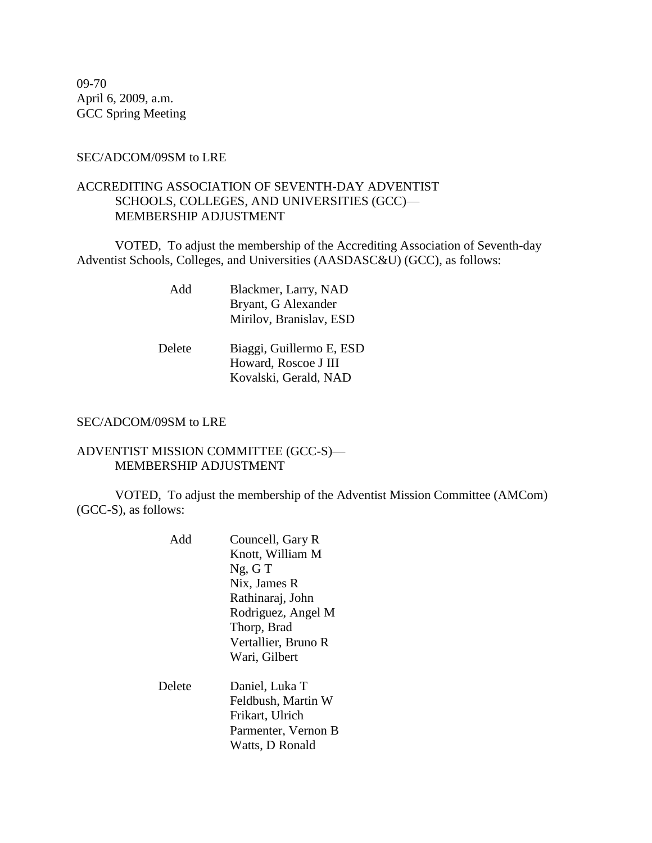09-70 April 6, 2009, a.m. GCC Spring Meeting

## SEC/ADCOM/09SM to LRE

## ACCREDITING ASSOCIATION OF SEVENTH-DAY ADVENTIST SCHOOLS, COLLEGES, AND UNIVERSITIES (GCC)— MEMBERSHIP ADJUSTMENT

VOTED, To adjust the membership of the Accrediting Association of Seventh-day Adventist Schools, Colleges, and Universities (AASDASC&U) (GCC), as follows:

| Add             | Blackmer, Larry, NAD                                                      |
|-----------------|---------------------------------------------------------------------------|
|                 | Bryant, G Alexander                                                       |
|                 | Mirilov, Branislav, ESD                                                   |
| $\lambda$ alata | $\rm Di\alpha\alpha\alpha$ ; $\rm Cuill\alpha\mu\alpha$ $\rm E$ $\rm ECI$ |

| Delete | Biaggi, Guillermo E, ESD |
|--------|--------------------------|
|        | Howard, Roscoe J III     |
|        | Kovalski, Gerald, NAD    |

#### SEC/ADCOM/09SM to LRE

## ADVENTIST MISSION COMMITTEE (GCC-S)— MEMBERSHIP ADJUSTMENT

VOTED, To adjust the membership of the Adventist Mission Committee (AMCom) (GCC-S), as follows:

| Add    | Councell, Gary R    |
|--------|---------------------|
|        | Knott, William M    |
|        | $Ng$ , G T          |
|        | Nix, James R        |
|        | Rathinaraj, John    |
|        | Rodriguez, Angel M  |
|        | Thorp, Brad         |
|        | Vertallier, Bruno R |
|        | Wari, Gilbert       |
| Delete | Daniel, Luka T      |
|        | Feldbush, Martin W  |
|        | Frikart, Ulrich     |
|        | Parmenter, Vernon B |
|        | Watts, D Ronald     |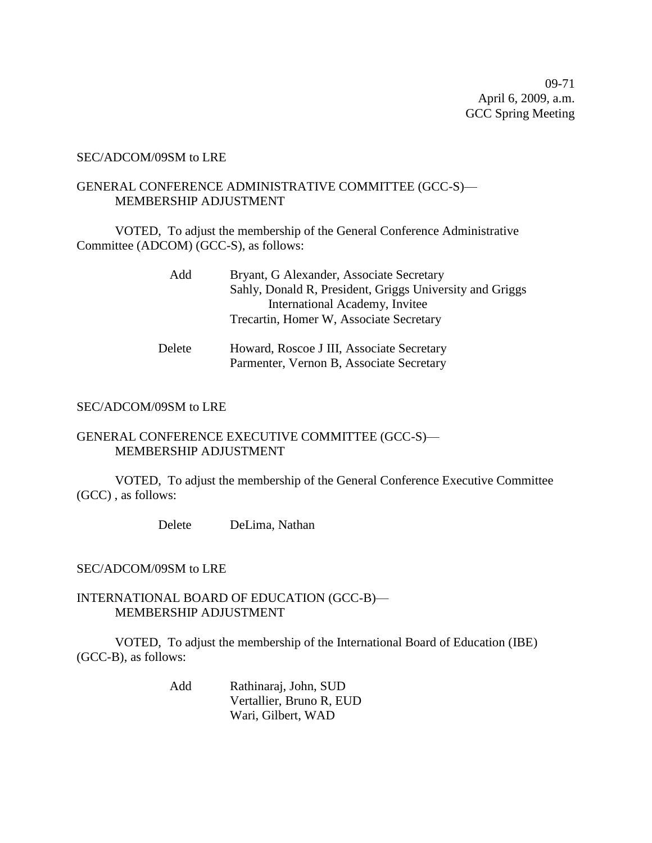09-71 April 6, 2009, a.m. GCC Spring Meeting

#### SEC/ADCOM/09SM to LRE

## GENERAL CONFERENCE ADMINISTRATIVE COMMITTEE (GCC-S)— MEMBERSHIP ADJUSTMENT

VOTED, To adjust the membership of the General Conference Administrative Committee (ADCOM) (GCC-S), as follows:

| Add    | Bryant, G Alexander, Associate Secretary                 |  |
|--------|----------------------------------------------------------|--|
|        | Sahly, Donald R, President, Griggs University and Griggs |  |
|        | International Academy, Invitee                           |  |
|        | Trecartin, Homer W, Associate Secretary                  |  |
| Delete | Howard, Roscoe J III, Associate Secretary                |  |
|        | Parmenter, Vernon B, Associate Secretary                 |  |

## SEC/ADCOM/09SM to LRE

## GENERAL CONFERENCE EXECUTIVE COMMITTEE (GCC-S)— MEMBERSHIP ADJUSTMENT

VOTED, To adjust the membership of the General Conference Executive Committee (GCC) , as follows:

Delete DeLima, Nathan

## SEC/ADCOM/09SM to LRE

## INTERNATIONAL BOARD OF EDUCATION (GCC-B)— MEMBERSHIP ADJUSTMENT

VOTED, To adjust the membership of the International Board of Education (IBE) (GCC-B), as follows:

> Add Rathinaraj, John, SUD Vertallier, Bruno R, EUD Wari, Gilbert, WAD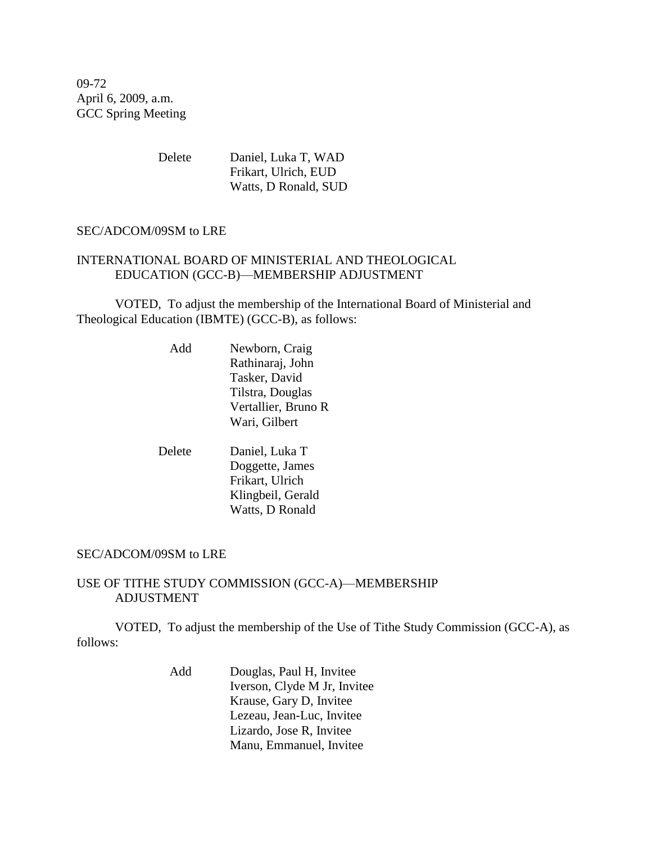09-72 April 6, 2009, a.m. GCC Spring Meeting

> Delete Daniel, Luka T, WAD Frikart, Ulrich, EUD Watts, D Ronald, SUD

## SEC/ADCOM/09SM to LRE

## INTERNATIONAL BOARD OF MINISTERIAL AND THEOLOGICAL EDUCATION (GCC-B)—MEMBERSHIP ADJUSTMENT

VOTED, To adjust the membership of the International Board of Ministerial and Theological Education (IBMTE) (GCC-B), as follows:

| Add | Newborn, Craig      |
|-----|---------------------|
|     | Rathinaraj, John    |
|     | Tasker, David       |
|     | Tilstra, Douglas    |
|     | Vertallier, Bruno R |
|     | Wari, Gilbert       |
|     |                     |

Delete Daniel, Luka T Doggette, James Frikart, Ulrich Klingbeil, Gerald Watts, D Ronald

#### SEC/ADCOM/09SM to LRE

## USE OF TITHE STUDY COMMISSION (GCC-A)—MEMBERSHIP ADJUSTMENT

VOTED, To adjust the membership of the Use of Tithe Study Commission (GCC-A), as follows:

> Add Douglas, Paul H, Invitee Iverson, Clyde M Jr, Invitee Krause, Gary D, Invitee Lezeau, Jean-Luc, Invitee Lizardo, Jose R, Invitee Manu, Emmanuel, Invitee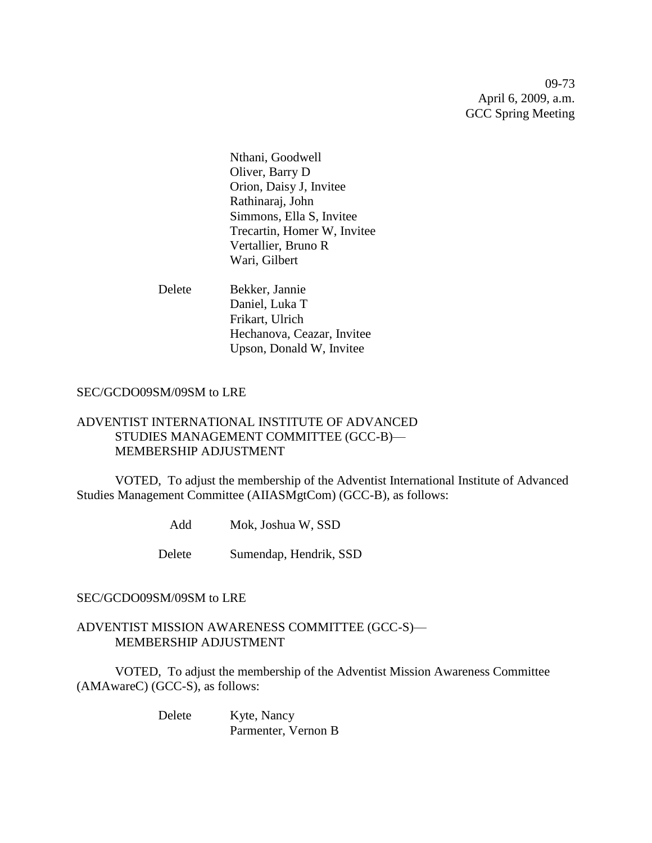09-73 April 6, 2009, a.m. GCC Spring Meeting

Nthani, Goodwell Oliver, Barry D Orion, Daisy J, Invitee Rathinaraj, John Simmons, Ella S, Invitee Trecartin, Homer W, Invitee Vertallier, Bruno R Wari, Gilbert

Delete Bekker, Jannie Daniel, Luka T Frikart, Ulrich Hechanova, Ceazar, Invitee Upson, Donald W, Invitee

## SEC/GCDO09SM/09SM to LRE

## ADVENTIST INTERNATIONAL INSTITUTE OF ADVANCED STUDIES MANAGEMENT COMMITTEE (GCC-B)— MEMBERSHIP ADJUSTMENT

VOTED, To adjust the membership of the Adventist International Institute of Advanced Studies Management Committee (AIIASMgtCom) (GCC-B), as follows:

Add Mok, Joshua W, SSD

Delete Sumendap, Hendrik, SSD

#### SEC/GCDO09SM/09SM to LRE

## ADVENTIST MISSION AWARENESS COMMITTEE (GCC-S)— MEMBERSHIP ADJUSTMENT

VOTED, To adjust the membership of the Adventist Mission Awareness Committee (AMAwareC) (GCC-S), as follows:

Delete Kyte, Nancy Parmenter, Vernon B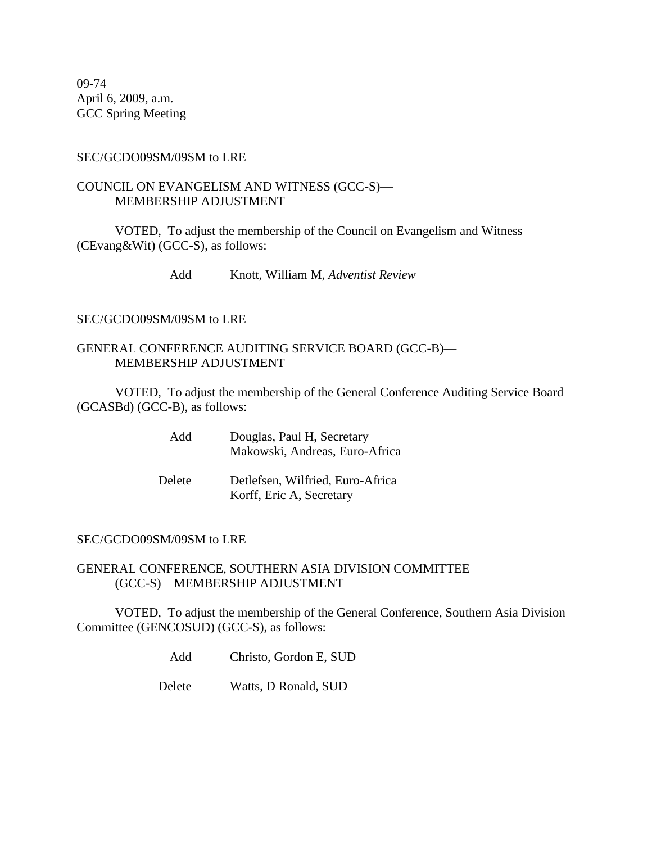09-74 April 6, 2009, a.m. GCC Spring Meeting

#### SEC/GCDO09SM/09SM to LRE

# COUNCIL ON EVANGELISM AND WITNESS (GCC-S)— MEMBERSHIP ADJUSTMENT

VOTED, To adjust the membership of the Council on Evangelism and Witness (CEvang&Wit) (GCC-S), as follows:

Add Knott, William M, *Adventist Review*

#### SEC/GCDO09SM/09SM to LRE

#### GENERAL CONFERENCE AUDITING SERVICE BOARD (GCC-B)— MEMBERSHIP ADJUSTMENT

VOTED, To adjust the membership of the General Conference Auditing Service Board (GCASBd) (GCC-B), as follows:

| Add    | Douglas, Paul H, Secretary<br>Makowski, Andreas, Euro-Africa |
|--------|--------------------------------------------------------------|
| Delete | Detlefsen, Wilfried, Euro-Africa<br>Korff, Eric A, Secretary |

## SEC/GCDO09SM/09SM to LRE

## GENERAL CONFERENCE, SOUTHERN ASIA DIVISION COMMITTEE (GCC-S)—MEMBERSHIP ADJUSTMENT

VOTED, To adjust the membership of the General Conference, Southern Asia Division Committee (GENCOSUD) (GCC-S), as follows:

Add Christo, Gordon E, SUD

Delete Watts, D Ronald, SUD